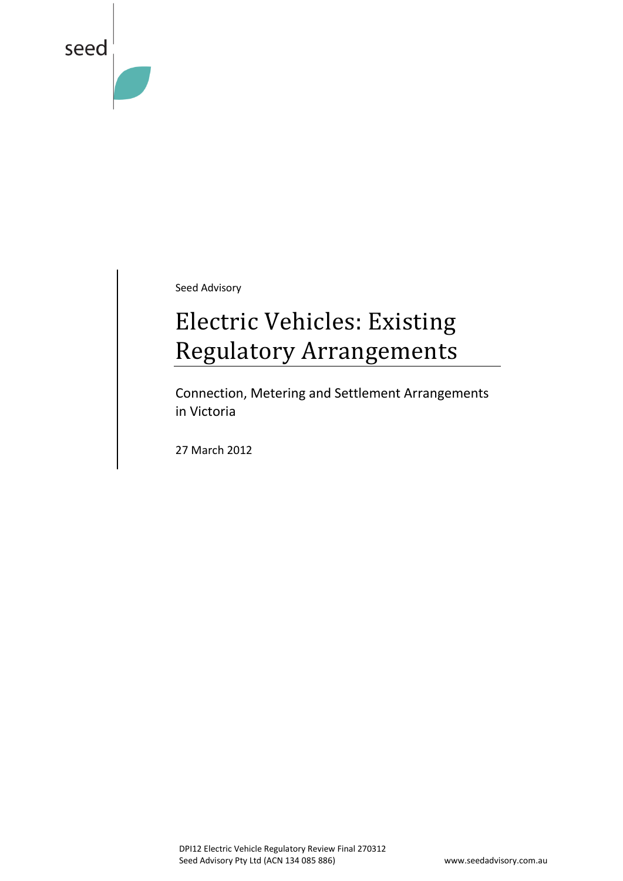

Seed Advisory

# Electric Vehicles: Existing Regulatory Arrangements

Connection, Metering and Settlement Arrangements in Victoria

27 March 2012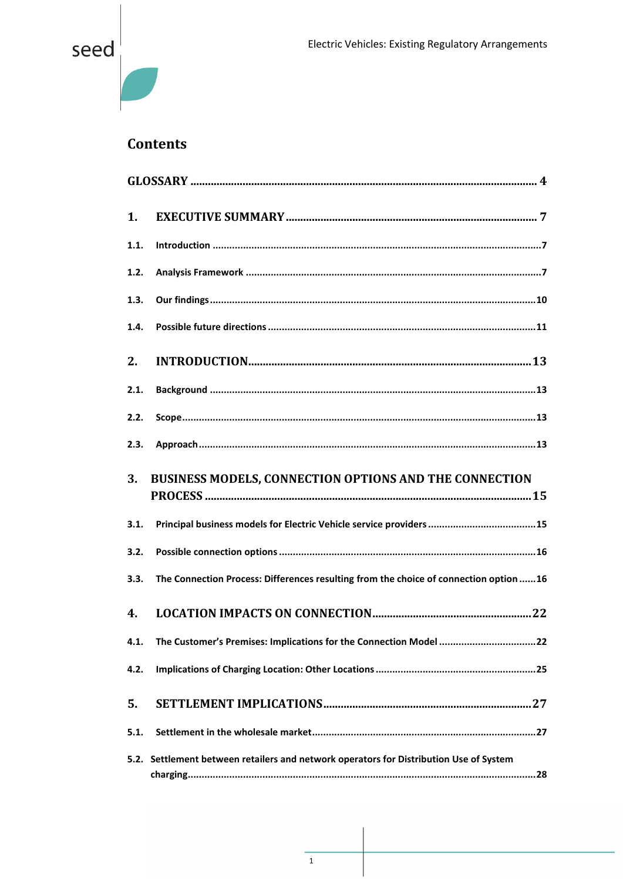#### **Contents**

| 1.   |                                                                                        |
|------|----------------------------------------------------------------------------------------|
| 1.1. |                                                                                        |
| 1.2. |                                                                                        |
| 1.3. |                                                                                        |
| 1.4. |                                                                                        |
| 2.   |                                                                                        |
| 2.1. |                                                                                        |
| 2.2. |                                                                                        |
| 2.3. |                                                                                        |
| 3.   | BUSINESS MODELS, CONNECTION OPTIONS AND THE CONNECTION                                 |
| 3.1. |                                                                                        |
| 3.2. |                                                                                        |
| 3.3. | The Connection Process: Differences resulting from the choice of connection option 16  |
| 4.   |                                                                                        |
|      | 4.1. The Customer's Premises: Implications for the Connection Model 22                 |
| 4.2. |                                                                                        |
| 5.   |                                                                                        |
| 5.1. |                                                                                        |
|      | 5.2. Settlement between retailers and network operators for Distribution Use of System |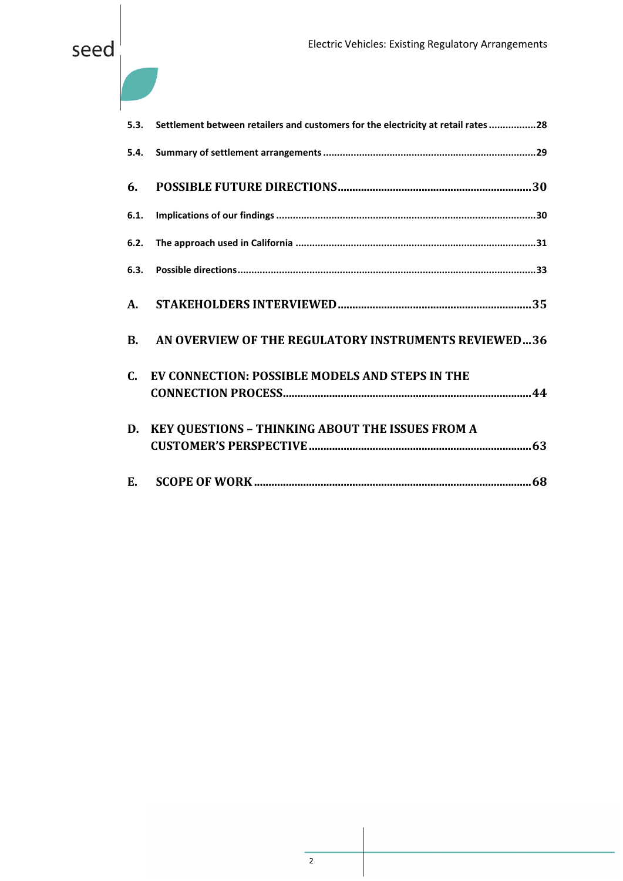| 5.3.           | Settlement between retailers and customers for the electricity at retail rates 28 |
|----------------|-----------------------------------------------------------------------------------|
| 5.4.           |                                                                                   |
| 6.             |                                                                                   |
| 6.1.           |                                                                                   |
| 6.2.           |                                                                                   |
|                |                                                                                   |
| A.             |                                                                                   |
| $\mathbf{R}$ . | AN OVERVIEW OF THE REGULATORY INSTRUMENTS REVIEWED36                              |
| $\mathbf{C}$   | EV CONNECTION: POSSIBLE MODELS AND STEPS IN THE                                   |
| D.             | <b>KEY QUESTIONS - THINKING ABOUT THE ISSUES FROM A</b>                           |
|                |                                                                                   |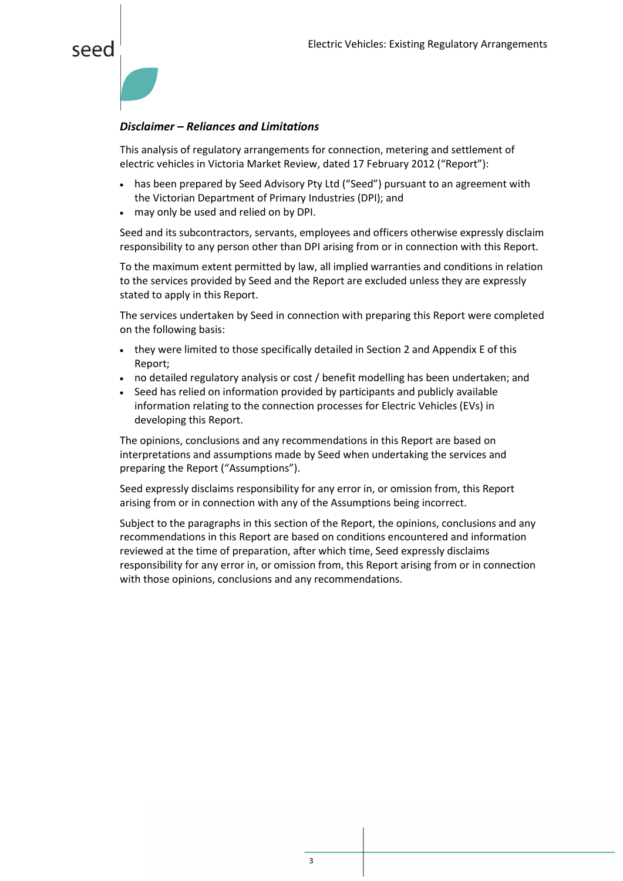



#### *Disclaimer – Reliances and Limitations*

This analysis of regulatory arrangements for connection, metering and settlement of electric vehicles in Victoria Market Review, dated 17 February 2012 ("Report"):

- has been prepared by Seed Advisory Pty Ltd ("Seed") pursuant to an agreement with the Victorian Department of Primary Industries (DPI); and
- may only be used and relied on by DPI.

Seed and its subcontractors, servants, employees and officers otherwise expressly disclaim responsibility to any person other than DPI arising from or in connection with this Report.

To the maximum extent permitted by law, all implied warranties and conditions in relation to the services provided by Seed and the Report are excluded unless they are expressly stated to apply in this Report.

The services undertaken by Seed in connection with preparing this Report were completed on the following basis:

- they were limited to those specifically detailed in Section 2 and Appendix E of this Report;
- no detailed regulatory analysis or cost / benefit modelling has been undertaken; and
- Seed has relied on information provided by participants and publicly available information relating to the connection processes for Electric Vehicles (EVs) in developing this Report.

The opinions, conclusions and any recommendations in this Report are based on interpretations and assumptions made by Seed when undertaking the services and preparing the Report ("Assumptions").

Seed expressly disclaims responsibility for any error in, or omission from, this Report arising from or in connection with any of the Assumptions being incorrect.

Subject to the paragraphs in this section of the Report, the opinions, conclusions and any recommendations in this Report are based on conditions encountered and information reviewed at the time of preparation, after which time, Seed expressly disclaims responsibility for any error in, or omission from, this Report arising from or in connection with those opinions, conclusions and any recommendations.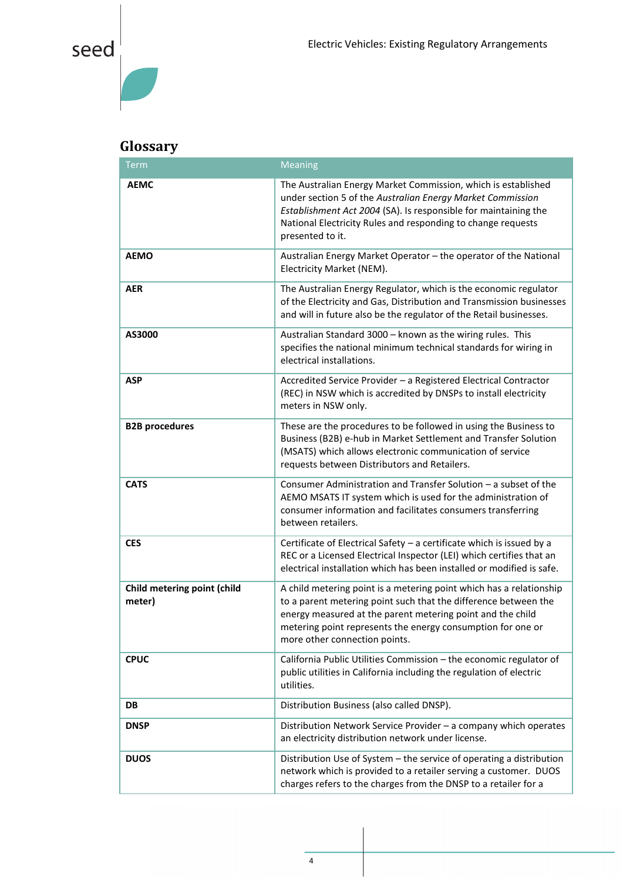### <span id="page-4-0"></span>**Glossary**

| <b>Term</b>                           | <b>Meaning</b>                                                                                                                                                                                                                                                                                       |
|---------------------------------------|------------------------------------------------------------------------------------------------------------------------------------------------------------------------------------------------------------------------------------------------------------------------------------------------------|
| <b>AEMC</b>                           | The Australian Energy Market Commission, which is established<br>under section 5 of the Australian Energy Market Commission<br>Establishment Act 2004 (SA). Is responsible for maintaining the<br>National Electricity Rules and responding to change requests<br>presented to it.                   |
| <b>AEMO</b>                           | Australian Energy Market Operator - the operator of the National<br>Electricity Market (NEM).                                                                                                                                                                                                        |
| <b>AER</b>                            | The Australian Energy Regulator, which is the economic regulator<br>of the Electricity and Gas, Distribution and Transmission businesses<br>and will in future also be the regulator of the Retail businesses.                                                                                       |
| AS3000                                | Australian Standard 3000 - known as the wiring rules. This<br>specifies the national minimum technical standards for wiring in<br>electrical installations.                                                                                                                                          |
| <b>ASP</b>                            | Accredited Service Provider - a Registered Electrical Contractor<br>(REC) in NSW which is accredited by DNSPs to install electricity<br>meters in NSW only.                                                                                                                                          |
| <b>B2B procedures</b>                 | These are the procedures to be followed in using the Business to<br>Business (B2B) e-hub in Market Settlement and Transfer Solution<br>(MSATS) which allows electronic communication of service<br>requests between Distributors and Retailers.                                                      |
| <b>CATS</b>                           | Consumer Administration and Transfer Solution - a subset of the<br>AEMO MSATS IT system which is used for the administration of<br>consumer information and facilitates consumers transferring<br>between retailers.                                                                                 |
| <b>CES</b>                            | Certificate of Electrical Safety - a certificate which is issued by a<br>REC or a Licensed Electrical Inspector (LEI) which certifies that an<br>electrical installation which has been installed or modified is safe.                                                                               |
| Child metering point (child<br>meter) | A child metering point is a metering point which has a relationship<br>to a parent metering point such that the difference between the<br>energy measured at the parent metering point and the child<br>metering point represents the energy consumption for one or<br>more other connection points. |
| <b>CPUC</b>                           | California Public Utilities Commission - the economic regulator of<br>public utilities in California including the regulation of electric<br>utilities.                                                                                                                                              |
| DB                                    | Distribution Business (also called DNSP).                                                                                                                                                                                                                                                            |
| <b>DNSP</b>                           | Distribution Network Service Provider - a company which operates<br>an electricity distribution network under license.                                                                                                                                                                               |
| <b>DUOS</b>                           | Distribution Use of System - the service of operating a distribution<br>network which is provided to a retailer serving a customer. DUOS<br>charges refers to the charges from the DNSP to a retailer for a                                                                                          |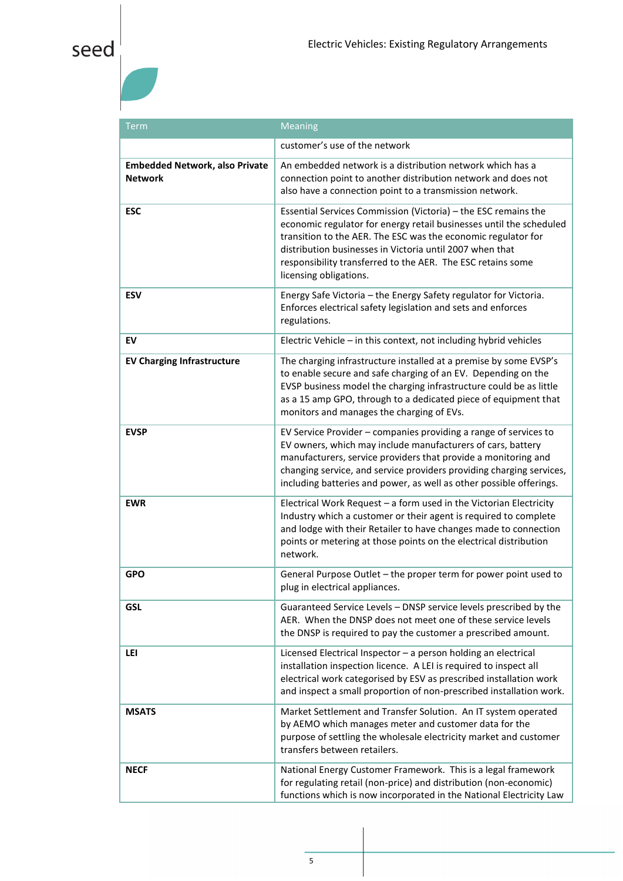| Term                                                    | <b>Meaning</b>                                                                                                                                                                                                                                                                                                                                              |
|---------------------------------------------------------|-------------------------------------------------------------------------------------------------------------------------------------------------------------------------------------------------------------------------------------------------------------------------------------------------------------------------------------------------------------|
|                                                         | customer's use of the network                                                                                                                                                                                                                                                                                                                               |
| <b>Embedded Network, also Private</b><br><b>Network</b> | An embedded network is a distribution network which has a<br>connection point to another distribution network and does not<br>also have a connection point to a transmission network.                                                                                                                                                                       |
| <b>ESC</b>                                              | Essential Services Commission (Victoria) - the ESC remains the<br>economic regulator for energy retail businesses until the scheduled<br>transition to the AER. The ESC was the economic regulator for<br>distribution businesses in Victoria until 2007 when that<br>responsibility transferred to the AER. The ESC retains some<br>licensing obligations. |
| <b>ESV</b>                                              | Energy Safe Victoria - the Energy Safety regulator for Victoria.<br>Enforces electrical safety legislation and sets and enforces<br>regulations.                                                                                                                                                                                                            |
| EV                                                      | Electric Vehicle - in this context, not including hybrid vehicles                                                                                                                                                                                                                                                                                           |
| <b>EV Charging Infrastructure</b>                       | The charging infrastructure installed at a premise by some EVSP's<br>to enable secure and safe charging of an EV. Depending on the<br>EVSP business model the charging infrastructure could be as little<br>as a 15 amp GPO, through to a dedicated piece of equipment that<br>monitors and manages the charging of EVs.                                    |
| <b>EVSP</b>                                             | EV Service Provider - companies providing a range of services to<br>EV owners, which may include manufacturers of cars, battery<br>manufacturers, service providers that provide a monitoring and<br>changing service, and service providers providing charging services,<br>including batteries and power, as well as other possible offerings.            |
| <b>EWR</b>                                              | Electrical Work Request - a form used in the Victorian Electricity<br>Industry which a customer or their agent is required to complete<br>and lodge with their Retailer to have changes made to connection<br>points or metering at those points on the electrical distribution<br>network.                                                                 |
| <b>GPO</b>                                              | General Purpose Outlet - the proper term for power point used to<br>plug in electrical appliances.                                                                                                                                                                                                                                                          |
| <b>GSL</b>                                              | Guaranteed Service Levels - DNSP service levels prescribed by the<br>AER. When the DNSP does not meet one of these service levels<br>the DNSP is required to pay the customer a prescribed amount.                                                                                                                                                          |
| LEI                                                     | Licensed Electrical Inspector - a person holding an electrical<br>installation inspection licence. A LEI is required to inspect all<br>electrical work categorised by ESV as prescribed installation work<br>and inspect a small proportion of non-prescribed installation work.                                                                            |
| <b>MSATS</b>                                            | Market Settlement and Transfer Solution. An IT system operated<br>by AEMO which manages meter and customer data for the<br>purpose of settling the wholesale electricity market and customer<br>transfers between retailers.                                                                                                                                |
| <b>NECF</b>                                             | National Energy Customer Framework. This is a legal framework<br>for regulating retail (non-price) and distribution (non-economic)<br>functions which is now incorporated in the National Electricity Law                                                                                                                                                   |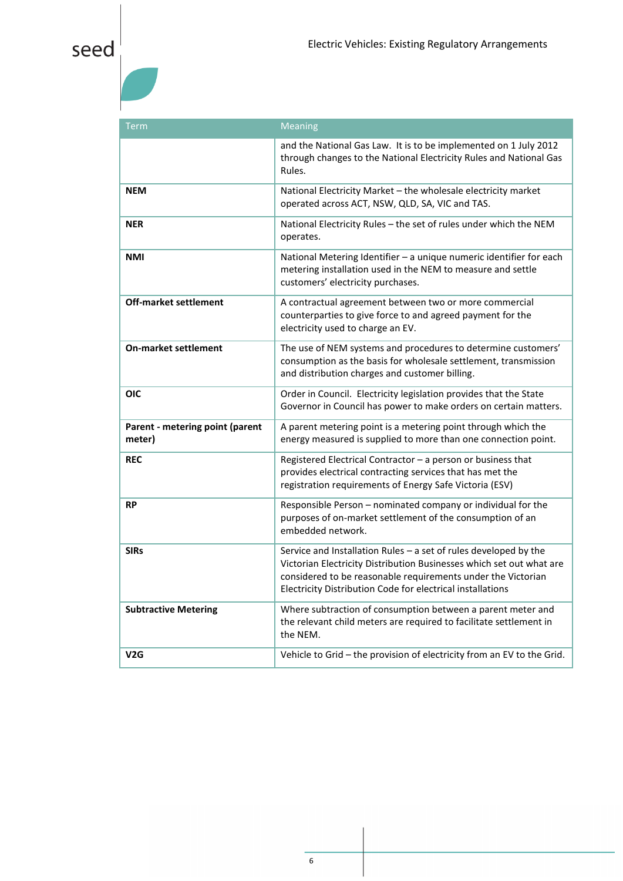| Term                                      | <b>Meaning</b>                                                                                                                                                                                                                                                           |
|-------------------------------------------|--------------------------------------------------------------------------------------------------------------------------------------------------------------------------------------------------------------------------------------------------------------------------|
|                                           | and the National Gas Law. It is to be implemented on 1 July 2012<br>through changes to the National Electricity Rules and National Gas<br>Rules.                                                                                                                         |
| <b>NEM</b>                                | National Electricity Market - the wholesale electricity market<br>operated across ACT, NSW, QLD, SA, VIC and TAS.                                                                                                                                                        |
| <b>NER</b>                                | National Electricity Rules - the set of rules under which the NEM<br>operates.                                                                                                                                                                                           |
| <b>NMI</b>                                | National Metering Identifier - a unique numeric identifier for each<br>metering installation used in the NEM to measure and settle<br>customers' electricity purchases.                                                                                                  |
| <b>Off-market settlement</b>              | A contractual agreement between two or more commercial<br>counterparties to give force to and agreed payment for the<br>electricity used to charge an EV.                                                                                                                |
| <b>On-market settlement</b>               | The use of NEM systems and procedures to determine customers'<br>consumption as the basis for wholesale settlement, transmission<br>and distribution charges and customer billing.                                                                                       |
| <b>OIC</b>                                | Order in Council. Electricity legislation provides that the State<br>Governor in Council has power to make orders on certain matters.                                                                                                                                    |
| Parent - metering point (parent<br>meter) | A parent metering point is a metering point through which the<br>energy measured is supplied to more than one connection point.                                                                                                                                          |
| <b>REC</b>                                | Registered Electrical Contractor - a person or business that<br>provides electrical contracting services that has met the<br>registration requirements of Energy Safe Victoria (ESV)                                                                                     |
| <b>RP</b>                                 | Responsible Person - nominated company or individual for the<br>purposes of on-market settlement of the consumption of an<br>embedded network.                                                                                                                           |
| <b>SIRs</b>                               | Service and Installation Rules $-$ a set of rules developed by the<br>Victorian Electricity Distribution Businesses which set out what are<br>considered to be reasonable requirements under the Victorian<br>Electricity Distribution Code for electrical installations |
| <b>Subtractive Metering</b>               | Where subtraction of consumption between a parent meter and<br>the relevant child meters are required to facilitate settlement in<br>the NEM.                                                                                                                            |
| V2G                                       | Vehicle to Grid - the provision of electricity from an EV to the Grid.                                                                                                                                                                                                   |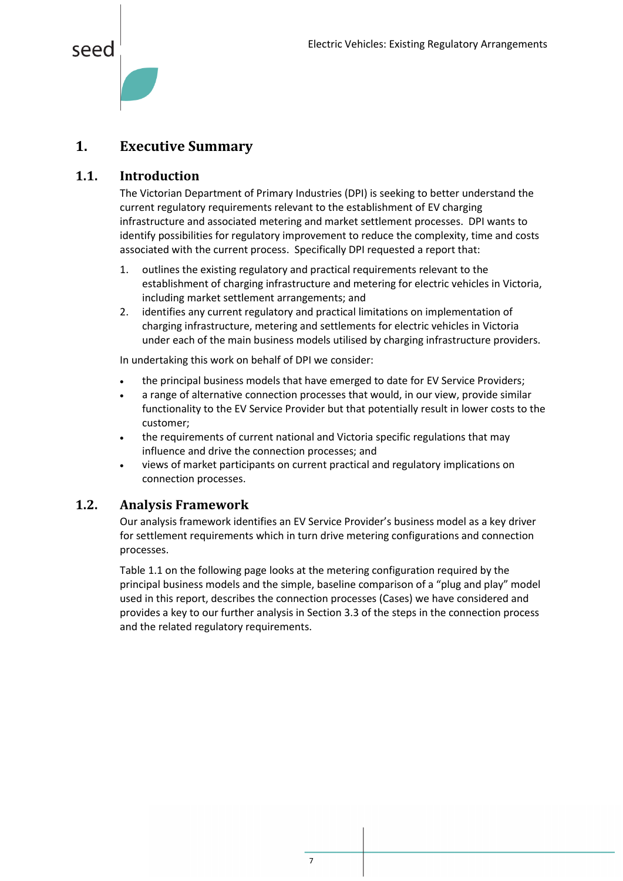

#### <span id="page-7-0"></span>**1. Executive Summary**

#### <span id="page-7-1"></span>**1.1. Introduction**

The Victorian Department of Primary Industries (DPI) is seeking to better understand the current regulatory requirements relevant to the establishment of EV charging infrastructure and associated metering and market settlement processes. DPI wants to identify possibilities for regulatory improvement to reduce the complexity, time and costs associated with the current process. Specifically DPI requested a report that:

- 1. outlines the existing regulatory and practical requirements relevant to the establishment of charging infrastructure and metering for electric vehicles in Victoria, including market settlement arrangements; and
- 2. identifies any current regulatory and practical limitations on implementation of charging infrastructure, metering and settlements for electric vehicles in Victoria under each of the main business models utilised by charging infrastructure providers.

In undertaking this work on behalf of DPI we consider:

- the principal business models that have emerged to date for EV Service Providers;
- a range of alternative connection processes that would, in our view, provide similar functionality to the EV Service Provider but that potentially result in lower costs to the customer;
- the requirements of current national and Victoria specific regulations that may influence and drive the connection processes; and
- views of market participants on current practical and regulatory implications on connection processes.

#### <span id="page-7-2"></span>**1.2. Analysis Framework**

Our analysis framework identifies an EV Service Provider's business model as a key driver for settlement requirements which in turn drive metering configurations and connection processes.

[Table 1.1](#page-8-0) on the following page looks at the metering configuration required by the principal business models and the simple, baseline comparison of a "plug and play" model used in this report, describes the connection processes (Cases) we have considered and provides a key to our further analysis in Section [3.3](#page-16-1) of the steps in the connection process and the related regulatory requirements.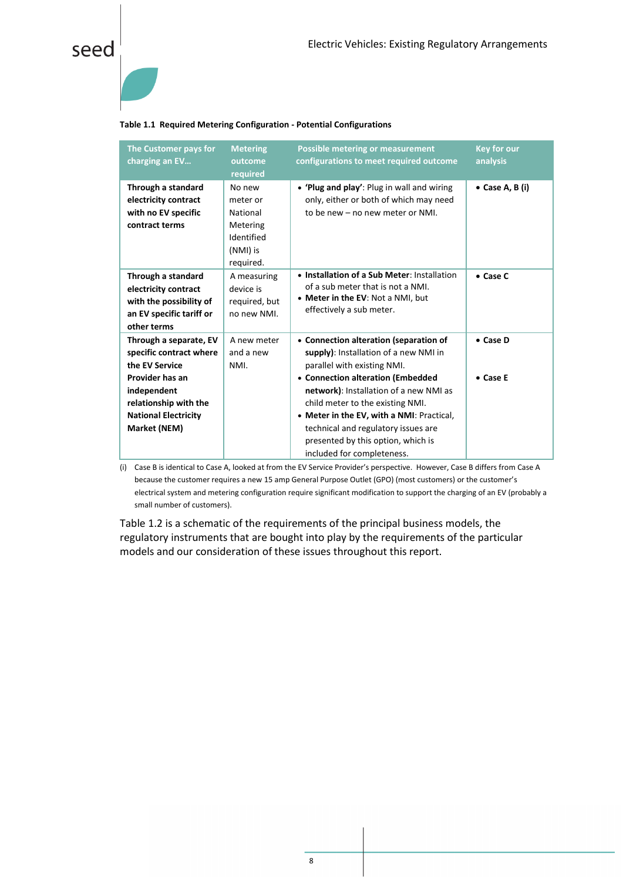

#### <span id="page-8-0"></span>**Table 1.1 Required Metering Configuration - Potential Configurations**

| The Customer pays for<br>charging an EV                                                                                                                                       | <b>Metering</b><br>outcome<br>required                                            | <b>Possible metering or measurement</b><br>configurations to meet required outcome                                                                                                                                                                                                                                                                                                        | <b>Key for our</b><br>analysis |
|-------------------------------------------------------------------------------------------------------------------------------------------------------------------------------|-----------------------------------------------------------------------------------|-------------------------------------------------------------------------------------------------------------------------------------------------------------------------------------------------------------------------------------------------------------------------------------------------------------------------------------------------------------------------------------------|--------------------------------|
| Through a standard<br>electricity contract<br>with no EV specific<br>contract terms                                                                                           | No new<br>meter or<br>National<br>Metering<br>Identified<br>(NMI) is<br>required. | • 'Plug and play': Plug in wall and wiring<br>only, either or both of which may need<br>to be new - no new meter or NMI.                                                                                                                                                                                                                                                                  | $\bullet$ Case A, B (i)        |
| Through a standard<br>electricity contract<br>with the possibility of<br>an EV specific tariff or<br>other terms                                                              | A measuring<br>device is<br>required, but<br>no new NMI.                          | • Installation of a Sub Meter: Installation<br>of a sub meter that is not a NMI.<br>• Meter in the EV: Not a NMI, but<br>effectively a sub meter.                                                                                                                                                                                                                                         | $\bullet$ Case C               |
| Through a separate, EV<br>specific contract where<br>the EV Service<br>Provider has an<br>independent<br>relationship with the<br><b>National Electricity</b><br>Market (NEM) | A new meter<br>and a new<br>NMI.                                                  | • Connection alteration (separation of<br>supply): Installation of a new NMI in<br>parallel with existing NMI.<br>• Connection alteration (Embedded<br>network): Installation of a new NMI as<br>child meter to the existing NMI.<br>• Meter in the EV, with a NMI: Practical,<br>technical and regulatory issues are<br>presented by this option, which is<br>included for completeness. | • Case D<br>• Case E           |

(i) Case B is identical to Case A, looked at from the EV Service Provider's perspective. However, Case B differs from Case A because the customer requires a new 15 amp General Purpose Outlet (GPO) (most customers) or the customer's electrical system and metering configuration require significant modification to support the charging of an EV (probably a small number of customers).

[Table 1.2](#page-9-0) is a schematic of the requirements of the principal business models, the regulatory instruments that are bought into play by the requirements of the particular models and our consideration of these issues throughout this report.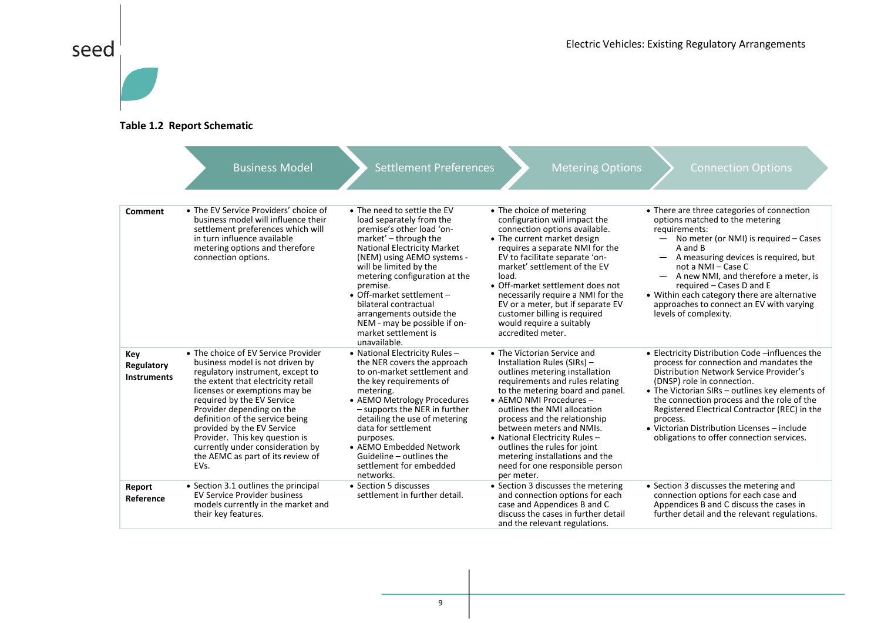

#### **Table 1.2 Report Schematic**

<span id="page-9-0"></span>

|                                         | <b>Business Model</b>                                                                                                                                                                                                                                                                                                                                                                                                            | <b>Settlement Preferences</b>                                                                                                                                                                                                                                                                                                                                                                                      | <b>Metering Options</b>                                                                                                                                                                                                                                                                                                                                                                                                                        | <b>Connection Options</b>                                                                                                                                                                                                                                                                                                                                                                                                             |
|-----------------------------------------|----------------------------------------------------------------------------------------------------------------------------------------------------------------------------------------------------------------------------------------------------------------------------------------------------------------------------------------------------------------------------------------------------------------------------------|--------------------------------------------------------------------------------------------------------------------------------------------------------------------------------------------------------------------------------------------------------------------------------------------------------------------------------------------------------------------------------------------------------------------|------------------------------------------------------------------------------------------------------------------------------------------------------------------------------------------------------------------------------------------------------------------------------------------------------------------------------------------------------------------------------------------------------------------------------------------------|---------------------------------------------------------------------------------------------------------------------------------------------------------------------------------------------------------------------------------------------------------------------------------------------------------------------------------------------------------------------------------------------------------------------------------------|
| Comment                                 | • The EV Service Providers' choice of<br>business model will influence their<br>settlement preferences which will<br>in turn influence available<br>metering options and therefore<br>connection options.                                                                                                                                                                                                                        | • The need to settle the EV<br>load separately from the<br>premise's other load 'on-<br>market' - through the<br><b>National Electricity Market</b><br>(NEM) using AEMO systems -<br>will be limited by the<br>metering configuration at the<br>premise.<br>• Off-market settlement -<br>bilateral contractual<br>arrangements outside the<br>NEM - may be possible if on-<br>market settlement is<br>unavailable. | • The choice of metering<br>configuration will impact the<br>connection options available.<br>• The current market design<br>requires a separate NMI for the<br>EV to facilitate separate 'on-<br>market' settlement of the EV<br>load.<br>• Off-market settlement does not<br>necessarily require a NMI for the<br>EV or a meter, but if separate EV<br>customer billing is required<br>would require a suitably<br>accredited meter.         | • There are three categories of connection<br>options matched to the metering<br>requirements:<br>No meter (or NMI) is required - Cases<br>A and B<br>A measuring devices is required, but<br>$\overline{\phantom{0}}$<br>not a NMI - Case C<br>A new NMI, and therefore a meter, is<br>required – Cases D and E<br>• Within each category there are alternative<br>approaches to connect an EV with varying<br>levels of complexity. |
| Key<br>Regulatory<br><b>Instruments</b> | • The choice of EV Service Provider<br>business model is not driven by<br>regulatory instrument, except to<br>the extent that electricity retail<br>licenses or exemptions may be<br>required by the EV Service<br>Provider depending on the<br>definition of the service being<br>provided by the EV Service<br>Provider. This key question is<br>currently under consideration by<br>the AEMC as part of its review of<br>EVs. | • National Electricity Rules -<br>the NER covers the approach<br>to on-market settlement and<br>the key requirements of<br>metering.<br>• AEMO Metrology Procedures<br>$-$ supports the NER in further<br>detailing the use of metering<br>data for settlement<br>purposes.<br>• AEMO Embedded Network<br>Guideline - outlines the<br>settlement for embedded<br>networks.                                         | • The Victorian Service and<br>Installation Rules (SIRs) -<br>outlines metering installation<br>requirements and rules relating<br>to the metering board and panel.<br>• AEMO NMI Procedures -<br>outlines the NMI allocation<br>process and the relationship<br>between meters and NMIs.<br>• National Electricity Rules -<br>outlines the rules for joint<br>metering installations and the<br>need for one responsible person<br>per meter. | • Electricity Distribution Code -influences the<br>process for connection and mandates the<br>Distribution Network Service Provider's<br>(DNSP) role in connection.<br>• The Victorian SIRs – outlines key elements of<br>the connection process and the role of the<br>Registered Electrical Contractor (REC) in the<br>process.<br>• Victorian Distribution Licenses - include<br>obligations to offer connection services.         |
| Report<br>Reference                     | • Section 3.1 outlines the principal<br>EV Service Provider business<br>models currently in the market and<br>their key features.                                                                                                                                                                                                                                                                                                | • Section 5 discusses<br>settlement in further detail.                                                                                                                                                                                                                                                                                                                                                             | • Section 3 discusses the metering<br>and connection options for each<br>case and Appendices B and C<br>discuss the cases in further detail<br>and the relevant regulations.                                                                                                                                                                                                                                                                   | • Section 3 discusses the metering and<br>connection options for each case and<br>Appendices B and C discuss the cases in<br>further detail and the relevant regulations.                                                                                                                                                                                                                                                             |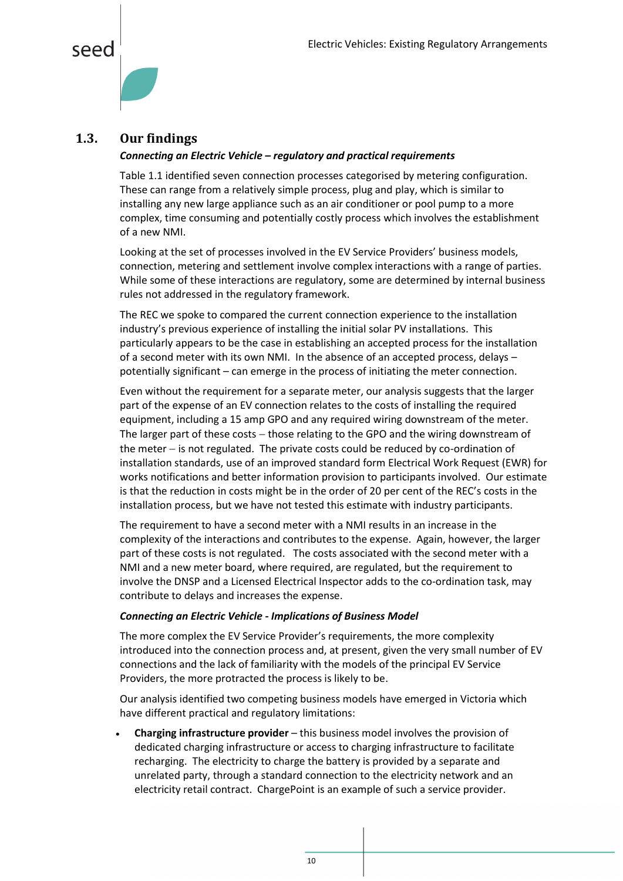



#### <span id="page-10-0"></span>**1.3. Our findings**

#### *Connecting an Electric Vehicle – regulatory and practical requirements*

Table 1.1 identified seven connection processes categorised by metering configuration. These can range from a relatively simple process, plug and play, which is similar to installing any new large appliance such as an air conditioner or pool pump to a more complex, time consuming and potentially costly process which involves the establishment of a new NMI.

Looking at the set of processes involved in the EV Service Providers' business models, connection, metering and settlement involve complex interactions with a range of parties. While some of these interactions are regulatory, some are determined by internal business rules not addressed in the regulatory framework.

The REC we spoke to compared the current connection experience to the installation industry's previous experience of installing the initial solar PV installations. This particularly appears to be the case in establishing an accepted process for the installation of a second meter with its own NMI. In the absence of an accepted process, delays – potentially significant – can emerge in the process of initiating the meter connection.

Even without the requirement for a separate meter, our analysis suggests that the larger part of the expense of an EV connection relates to the costs of installing the required equipment, including a 15 amp GPO and any required wiring downstream of the meter. The larger part of these costs  $-$  those relating to the GPO and the wiring downstream of the meter  $-$  is not regulated. The private costs could be reduced by co-ordination of installation standards, use of an improved standard form Electrical Work Request (EWR) for works notifications and better information provision to participants involved. Our estimate is that the reduction in costs might be in the order of 20 per cent of the REC's costs in the installation process, but we have not tested this estimate with industry participants.

The requirement to have a second meter with a NMI results in an increase in the complexity of the interactions and contributes to the expense. Again, however, the larger part of these costs is not regulated. The costs associated with the second meter with a NMI and a new meter board, where required, are regulated, but the requirement to involve the DNSP and a Licensed Electrical Inspector adds to the co-ordination task, may contribute to delays and increases the expense.

#### *Connecting an Electric Vehicle - Implications of Business Model*

The more complex the EV Service Provider's requirements, the more complexity introduced into the connection process and, at present, given the very small number of EV connections and the lack of familiarity with the models of the principal EV Service Providers, the more protracted the process is likely to be.

Our analysis identified two competing business models have emerged in Victoria which have different practical and regulatory limitations:

 **Charging infrastructure provider** – this business model involves the provision of dedicated charging infrastructure or access to charging infrastructure to facilitate recharging. The electricity to charge the battery is provided by a separate and unrelated party, through a standard connection to the electricity network and an electricity retail contract. ChargePoint is an example of such a service provider.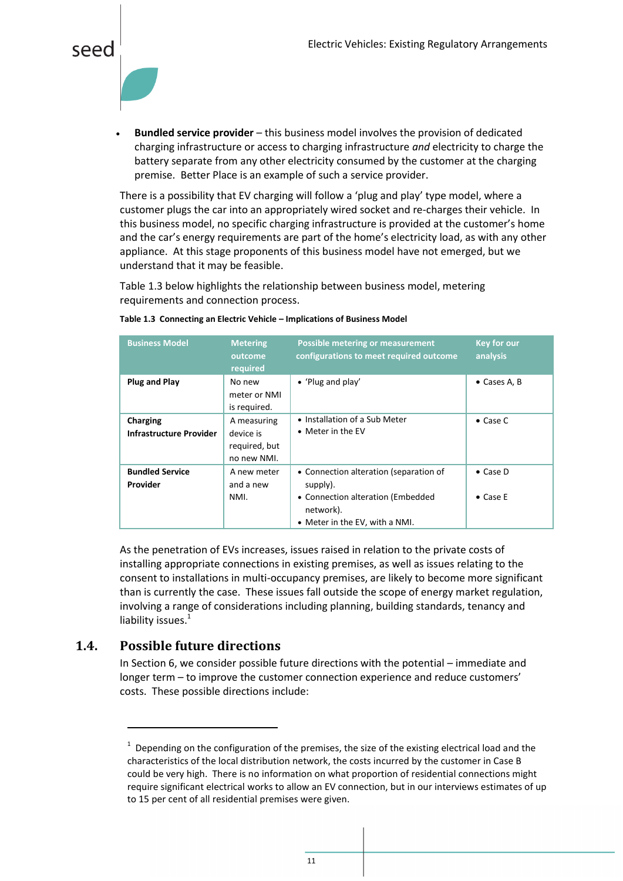

 **Bundled service provider** – this business model involves the provision of dedicated charging infrastructure or access to charging infrastructure *and* electricity to charge the battery separate from any other electricity consumed by the customer at the charging premise. Better Place is an example of such a service provider.

There is a possibility that EV charging will follow a 'plug and play' type model, where a customer plugs the car into an appropriately wired socket and re-charges their vehicle. In this business model, no specific charging infrastructure is provided at the customer's home and the car's energy requirements are part of the home's electricity load, as with any other appliance. At this stage proponents of this business model have not emerged, but we understand that it may be feasible.

Table 1.3 below highlights the relationship between business model, metering requirements and connection process.

| <b>Business Model</b>                      | <b>Metering</b><br>outcome<br>required                   | <b>Possible metering or measurement</b><br>configurations to meet required outcome                                                     | <b>Key for our</b><br>analysis       |
|--------------------------------------------|----------------------------------------------------------|----------------------------------------------------------------------------------------------------------------------------------------|--------------------------------------|
| <b>Plug and Play</b>                       | No new<br>meter or NMI<br>is required.                   | • 'Plug and play'                                                                                                                      | $\bullet$ Cases A, B                 |
| Charging<br><b>Infrastructure Provider</b> | A measuring<br>device is<br>required, but<br>no new NMI. | • Installation of a Sub Meter<br>$\bullet$ Meter in the EV                                                                             | $\bullet$ Case C                     |
| <b>Bundled Service</b><br><b>Provider</b>  | A new meter<br>and a new<br>NMI.                         | • Connection alteration (separation of<br>supply).<br>• Connection alteration (Embedded<br>network).<br>• Meter in the EV, with a NMI. | $\bullet$ Case D<br>$\bullet$ Case E |

#### **Table 1.3 Connecting an Electric Vehicle – Implications of Business Model**

As the penetration of EVs increases, issues raised in relation to the private costs of installing appropriate connections in existing premises, as well as issues relating to the consent to installations in multi-occupancy premises, are likely to become more significant than is currently the case. These issues fall outside the scope of energy market regulation, involving a range of considerations including planning, building standards, tenancy and liability issues.<sup>1</sup>

#### <span id="page-11-0"></span>**1.4. Possible future directions**

 $\overline{a}$ 

In Section 6, we consider possible future directions with the potential – immediate and longer term – to improve the customer connection experience and reduce customers' costs. These possible directions include:

 $1$  Depending on the configuration of the premises, the size of the existing electrical load and the characteristics of the local distribution network, the costs incurred by the customer in Case B could be very high. There is no information on what proportion of residential connections might require significant electrical works to allow an EV connection, but in our interviews estimates of up to 15 per cent of all residential premises were given.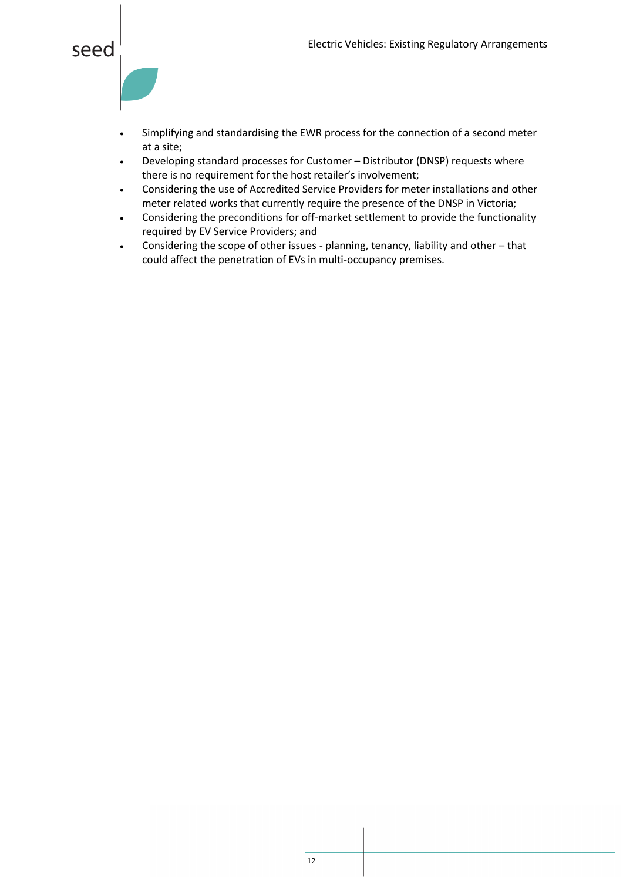

- Simplifying and standardising the EWR process for the connection of a second meter at a site;
- Developing standard processes for Customer Distributor (DNSP) requests where there is no requirement for the host retailer's involvement;
- Considering the use of Accredited Service Providers for meter installations and other meter related works that currently require the presence of the DNSP in Victoria;
- Considering the preconditions for off-market settlement to provide the functionality required by EV Service Providers; and
- Considering the scope of other issues planning, tenancy, liability and other that could affect the penetration of EVs in multi-occupancy premises.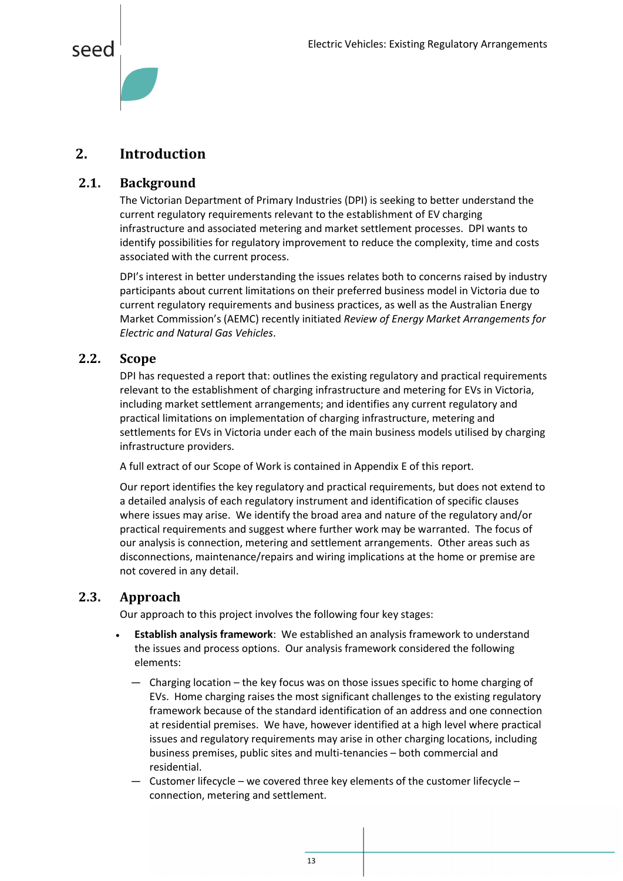

#### <span id="page-13-0"></span>**2. Introduction**

#### <span id="page-13-1"></span>**2.1. Background**

The Victorian Department of Primary Industries (DPI) is seeking to better understand the current regulatory requirements relevant to the establishment of EV charging infrastructure and associated metering and market settlement processes. DPI wants to identify possibilities for regulatory improvement to reduce the complexity, time and costs associated with the current process.

DPI's interest in better understanding the issues relates both to concerns raised by industry participants about current limitations on their preferred business model in Victoria due to current regulatory requirements and business practices, as well as the Australian Energy Market Commission's (AEMC) recently initiated *Review of Energy Market Arrangements for Electric and Natural Gas Vehicles*.

#### <span id="page-13-2"></span>**2.2. Scope**

DPI has requested a report that: outlines the existing regulatory and practical requirements relevant to the establishment of charging infrastructure and metering for EVs in Victoria, including market settlement arrangements; and identifies any current regulatory and practical limitations on implementation of charging infrastructure, metering and settlements for EVs in Victoria under each of the main business models utilised by charging infrastructure providers.

A full extract of our Scope of Work is contained in Appendix E of this report.

Our report identifies the key regulatory and practical requirements, but does not extend to a detailed analysis of each regulatory instrument and identification of specific clauses where issues may arise. We identify the broad area and nature of the regulatory and/or practical requirements and suggest where further work may be warranted. The focus of our analysis is connection, metering and settlement arrangements. Other areas such as disconnections, maintenance/repairs and wiring implications at the home or premise are not covered in any detail.

#### <span id="page-13-3"></span>**2.3. Approach**

Our approach to this project involves the following four key stages:

- **Establish analysis framework**: We established an analysis framework to understand the issues and process options. Our analysis framework considered the following elements:
	- ― Charging location the key focus was on those issues specific to home charging of EVs. Home charging raises the most significant challenges to the existing regulatory framework because of the standard identification of an address and one connection at residential premises. We have, however identified at a high level where practical issues and regulatory requirements may arise in other charging locations, including business premises, public sites and multi-tenancies – both commercial and residential.
	- ― Customer lifecycle we covered three key elements of the customer lifecycle connection, metering and settlement.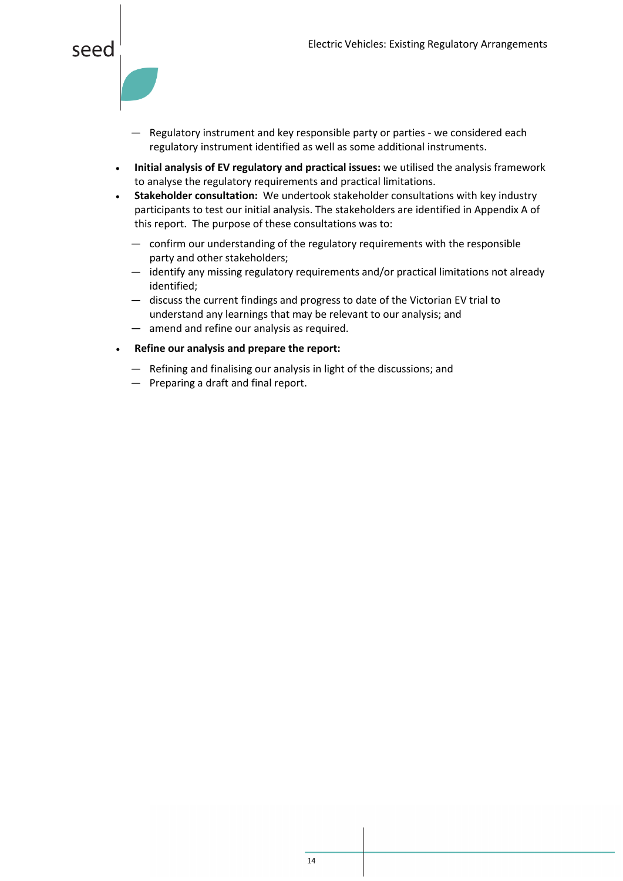#### seed

- ― Regulatory instrument and key responsible party or parties we considered each regulatory instrument identified as well as some additional instruments.
- **Initial analysis of EV regulatory and practical issues:** we utilised the analysis framework to analyse the regulatory requirements and practical limitations.
- **Stakeholder consultation:** We undertook stakeholder consultations with key industry participants to test our initial analysis. The stakeholders are identified in Appendix A of this report. The purpose of these consultations was to:
	- ― confirm our understanding of the regulatory requirements with the responsible party and other stakeholders;
	- ― identify any missing regulatory requirements and/or practical limitations not already identified;
	- ― discuss the current findings and progress to date of the Victorian EV trial to understand any learnings that may be relevant to our analysis; and
	- ― amend and refine our analysis as required.
- **Refine our analysis and prepare the report:**
	- ― Refining and finalising our analysis in light of the discussions; and
	- ― Preparing a draft and final report.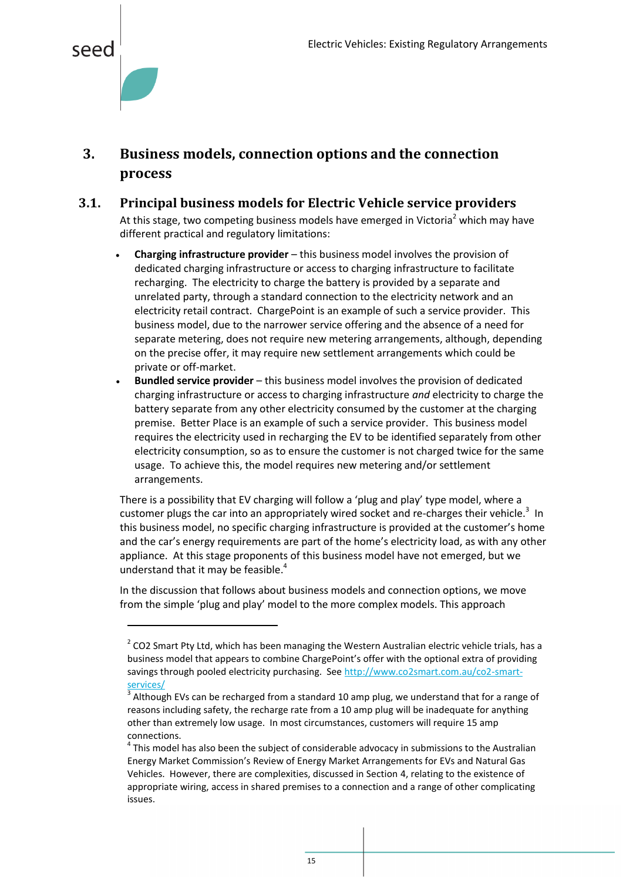<span id="page-15-2"></span>

 $\overline{\phantom{a}}$ 

#### <span id="page-15-0"></span>**3. Business models, connection options and the connection process**

- <span id="page-15-1"></span>**3.1. Principal business models for Electric Vehicle service providers** At this stage, two competing business models have emerged in Victoria<sup>2</sup> which may have different practical and regulatory limitations:
	- **Charging infrastructure provider** this business model involves the provision of dedicated charging infrastructure or access to charging infrastructure to facilitate recharging. The electricity to charge the battery is provided by a separate and unrelated party, through a standard connection to the electricity network and an electricity retail contract. ChargePoint is an example of such a service provider. This business model, due to the narrower service offering and the absence of a need for separate metering, does not require new metering arrangements, although, depending on the precise offer, it may require new settlement arrangements which could be private or off-market.
	- **Bundled service provider** this business model involves the provision of dedicated charging infrastructure or access to charging infrastructure *and* electricity to charge the battery separate from any other electricity consumed by the customer at the charging premise. Better Place is an example of such a service provider. This business model requires the electricity used in recharging the EV to be identified separately from other electricity consumption, so as to ensure the customer is not charged twice for the same usage. To achieve this, the model requires new metering and/or settlement arrangements.

There is a possibility that EV charging will follow a 'plug and play' type model, where a customer plugs the car into an appropriately wired socket and re-charges their vehicle.<sup>3</sup> In this business model, no specific charging infrastructure is provided at the customer's home and the car's energy requirements are part of the home's electricity load, as with any other appliance. At this stage proponents of this business model have not emerged, but we understand that it may be feasible. 4

In the discussion that follows about business models and connection options, we move from the simple 'plug and play' model to the more complex models. This approach

 $2$  CO2 Smart Pty Ltd, which has been managing the Western Australian electric vehicle trials, has a business model that appears to combine ChargePoint's offer with the optional extra of providing savings through pooled electricity purchasing. See [http://www.co2smart.com.au/co2-smart](http://www.co2smart.com.au/co2-smart-services/)[services/](http://www.co2smart.com.au/co2-smart-services/)

<sup>3</sup> Although EVs can be recharged from a standard 10 amp plug, we understand that for a range of reasons including safety, the recharge rate from a 10 amp plug will be inadequate for anything other than extremely low usage. In most circumstances, customers will require 15 amp connections.

 $<sup>4</sup>$  This model has also been the subject of considerable advocacy in submissions to the Australian</sup> Energy Market Commission's Review of Energy Market Arrangements for EVs and Natural Gas Vehicles. However, there are complexities, discussed in Sectio[n 4,](#page-22-0) relating to the existence of appropriate wiring, access in shared premises to a connection and a range of other complicating issues.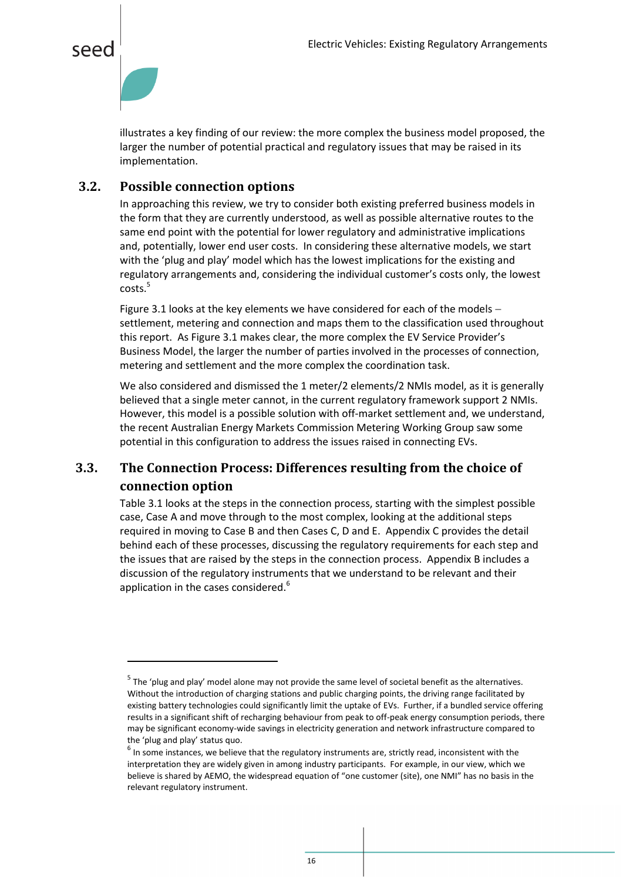



 $\overline{\phantom{a}}$ 

illustrates a key finding of our review: the more complex the business model proposed, the larger the number of potential practical and regulatory issues that may be raised in its implementation.

#### <span id="page-16-0"></span>**3.2. Possible connection options**

In approaching this review, we try to consider both existing preferred business models in the form that they are currently understood, as well as possible alternative routes to the same end point with the potential for lower regulatory and administrative implications and, potentially, lower end user costs. In considering these alternative models, we start with the 'plug and play' model which has the lowest implications for the existing and regulatory arrangements and, considering the individual customer's costs only, the lowest  $costs.<sup>5</sup>$ 

Figure 3.1 looks at the key elements we have considered for each of the models settlement, metering and connection and maps them to the classification used throughout this report. As Figure 3.1 makes clear, the more complex the EV Service Provider's Business Model, the larger the number of parties involved in the processes of connection, metering and settlement and the more complex the coordination task.

We also considered and dismissed the 1 meter/2 elements/2 NMIs model, as it is generally believed that a single meter cannot, in the current regulatory framework support 2 NMIs. However, this model is a possible solution with off-market settlement and, we understand, the recent Australian Energy Markets Commission Metering Working Group saw some potential in this configuration to address the issues raised in connecting EVs.

#### <span id="page-16-1"></span>**3.3. The Connection Process: Differences resulting from the choice of connection option**

[Table 3.1](#page-18-0) looks at the steps in the connection process, starting with the simplest possible case, Case A and move through to the most complex, looking at the additional steps required in moving to Case B and then Cases C, D and E. Appendix [C](#page-44-0) provides the detail behind each of these processes, discussing the regulatory requirements for each step and the issues that are raised by the steps in the connection process. Appendi[x B](#page-36-0) includes a discussion of the regulatory instruments that we understand to be relevant and their application in the cases considered.<sup>6</sup>

<sup>&</sup>lt;sup>5</sup> The 'plug and play' model alone may not provide the same level of societal benefit as the alternatives. Without the introduction of charging stations and public charging points, the driving range facilitated by existing battery technologies could significantly limit the uptake of EVs. Further, if a bundled service offering results in a significant shift of recharging behaviour from peak to off-peak energy consumption periods, there may be significant economy-wide savings in electricity generation and network infrastructure compared to the 'plug and play' status quo.

 $^6$  In some instances, we believe that the regulatory instruments are, strictly read, inconsistent with the interpretation they are widely given in among industry participants. For example, in our view, which we believe is shared by AEMO, the widespread equation of "one customer (site), one NMI" has no basis in the relevant regulatory instrument.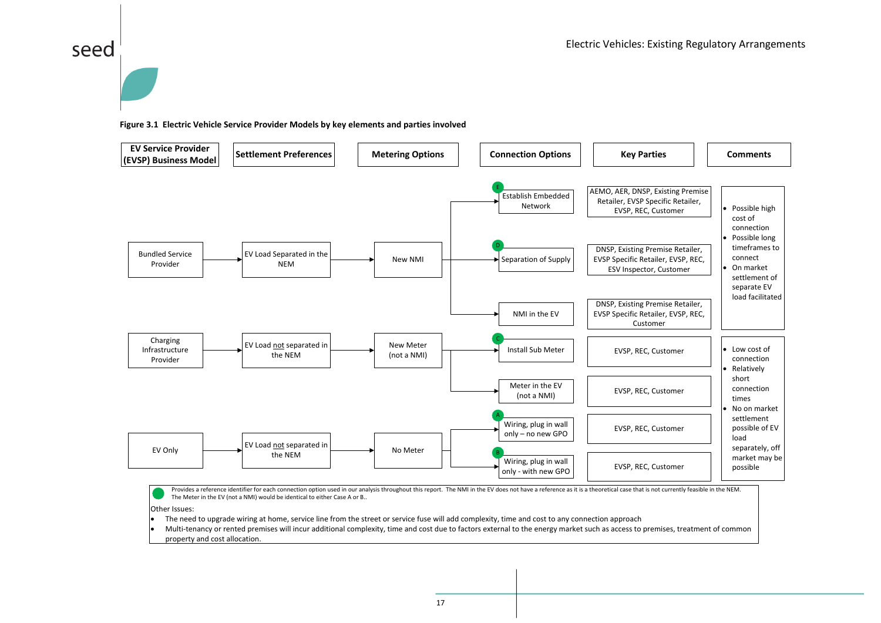# seed

#### **Figure 3.1 Electric Vehicle Service Provider Models by key elements and parties involved**



Provides a reference identifier for each connection option used in our analysis throughout this report. The NMI in the EV does not have a reference as it is a theoretical case that is not currently feasible in the NEM. The Meter in the EV (not a NMI) would be identical to either Case A or B..

Other Issues:

The need to upgrade wiring at home, service line from the street or service fuse will add complexity, time and cost to any connection approach

 Multi-tenancy or rented premises will incur additional complexity, time and cost due to factors external to the energy market such as access to premises, treatment of common property and cost allocation.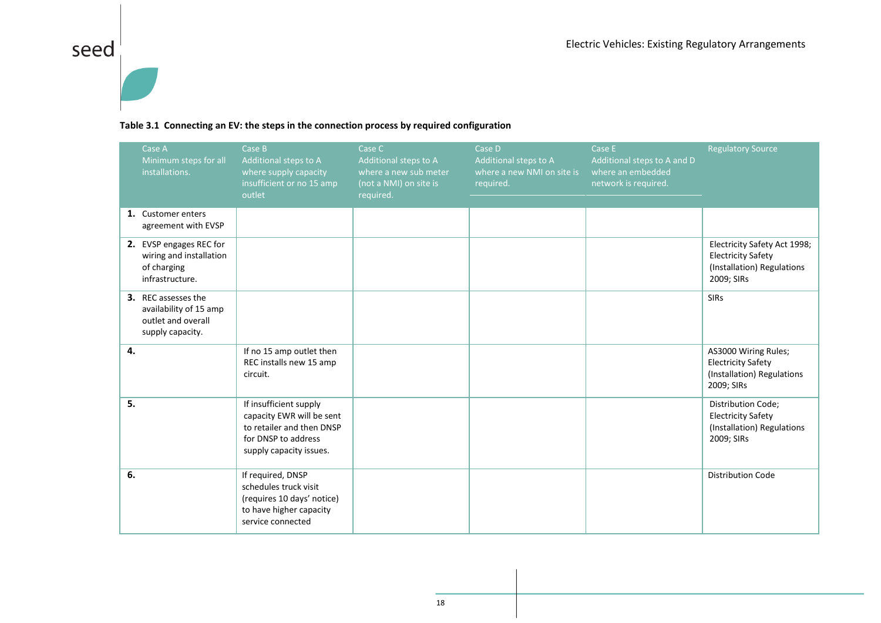# seed $\vert$



#### **Table 3.1 Connecting an EV: the steps in the connection process by required configuration**

<span id="page-18-0"></span>

| Case A<br>Minimum steps for all<br>installations.                                       | Case B<br>Additional steps to A<br>where supply capacity<br>insufficient or no 15 amp<br>outlet                                    | Case C<br>Additional steps to A<br>where a new sub meter<br>(not a NMI) on site is<br>required. | Case D<br>Additional steps to A<br>where a new NMI on site is<br>required. | Case E<br>Additional steps to A and D<br>where an embedded<br>network is required. | <b>Regulatory Source</b>                                                                              |
|-----------------------------------------------------------------------------------------|------------------------------------------------------------------------------------------------------------------------------------|-------------------------------------------------------------------------------------------------|----------------------------------------------------------------------------|------------------------------------------------------------------------------------|-------------------------------------------------------------------------------------------------------|
| 1. Customer enters<br>agreement with EVSP                                               |                                                                                                                                    |                                                                                                 |                                                                            |                                                                                    |                                                                                                       |
| 2. EVSP engages REC for<br>wiring and installation<br>of charging<br>infrastructure.    |                                                                                                                                    |                                                                                                 |                                                                            |                                                                                    | Electricity Safety Act 1998;<br><b>Electricity Safety</b><br>(Installation) Regulations<br>2009; SIRs |
| 3. REC assesses the<br>availability of 15 amp<br>outlet and overall<br>supply capacity. |                                                                                                                                    |                                                                                                 |                                                                            |                                                                                    | <b>SIRs</b>                                                                                           |
| 4.                                                                                      | If no 15 amp outlet then<br>REC installs new 15 amp<br>circuit.                                                                    |                                                                                                 |                                                                            |                                                                                    | AS3000 Wiring Rules;<br><b>Electricity Safety</b><br>(Installation) Regulations<br>2009; SIRs         |
| 5.                                                                                      | If insufficient supply<br>capacity EWR will be sent<br>to retailer and then DNSP<br>for DNSP to address<br>supply capacity issues. |                                                                                                 |                                                                            |                                                                                    | <b>Distribution Code;</b><br><b>Electricity Safety</b><br>(Installation) Regulations<br>2009; SIRs    |
| 6.                                                                                      | If required, DNSP<br>schedules truck visit<br>(requires 10 days' notice)<br>to have higher capacity<br>service connected           |                                                                                                 |                                                                            |                                                                                    | <b>Distribution Code</b>                                                                              |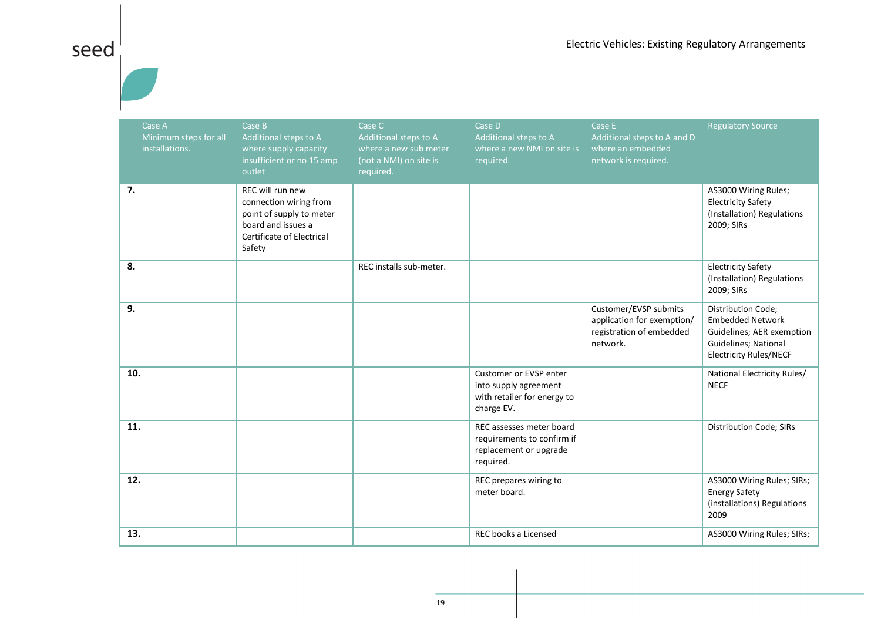# seed

| Case A<br>Minimum steps for all<br>installations. | Case B<br>Additional steps to A<br>where supply capacity<br>insufficient or no 15 amp<br>outlet                                     | Case C<br>Additional steps to A<br>where a new sub meter<br>(not a NMI) on site is<br>required. | Case D<br>Additional steps to A<br>where a new NMI on site is<br>required.                    | Case E<br>Additional steps to A and D<br>where an embedded<br>network is required.          | <b>Regulatory Source</b>                                                                                                                   |
|---------------------------------------------------|-------------------------------------------------------------------------------------------------------------------------------------|-------------------------------------------------------------------------------------------------|-----------------------------------------------------------------------------------------------|---------------------------------------------------------------------------------------------|--------------------------------------------------------------------------------------------------------------------------------------------|
| 7.                                                | REC will run new<br>connection wiring from<br>point of supply to meter<br>board and issues a<br>Certificate of Electrical<br>Safety |                                                                                                 |                                                                                               |                                                                                             | AS3000 Wiring Rules;<br><b>Electricity Safety</b><br>(Installation) Regulations<br>2009; SIRs                                              |
| 8.                                                |                                                                                                                                     | REC installs sub-meter.                                                                         |                                                                                               |                                                                                             | <b>Electricity Safety</b><br>(Installation) Regulations<br>2009; SIRs                                                                      |
| 9.                                                |                                                                                                                                     |                                                                                                 |                                                                                               | Customer/EVSP submits<br>application for exemption/<br>registration of embedded<br>network. | <b>Distribution Code;</b><br><b>Embedded Network</b><br>Guidelines; AER exemption<br>Guidelines; National<br><b>Electricity Rules/NECF</b> |
| 10.                                               |                                                                                                                                     |                                                                                                 | Customer or EVSP enter<br>into supply agreement<br>with retailer for energy to<br>charge EV.  |                                                                                             | National Electricity Rules/<br><b>NECF</b>                                                                                                 |
| 11.                                               |                                                                                                                                     |                                                                                                 | REC assesses meter board<br>requirements to confirm if<br>replacement or upgrade<br>required. |                                                                                             | Distribution Code; SIRs                                                                                                                    |
| 12.                                               |                                                                                                                                     |                                                                                                 | REC prepares wiring to<br>meter board.                                                        |                                                                                             | AS3000 Wiring Rules; SIRs;<br><b>Energy Safety</b><br>(installations) Regulations<br>2009                                                  |
| 13.                                               |                                                                                                                                     |                                                                                                 | REC books a Licensed                                                                          |                                                                                             | AS3000 Wiring Rules; SIRs;                                                                                                                 |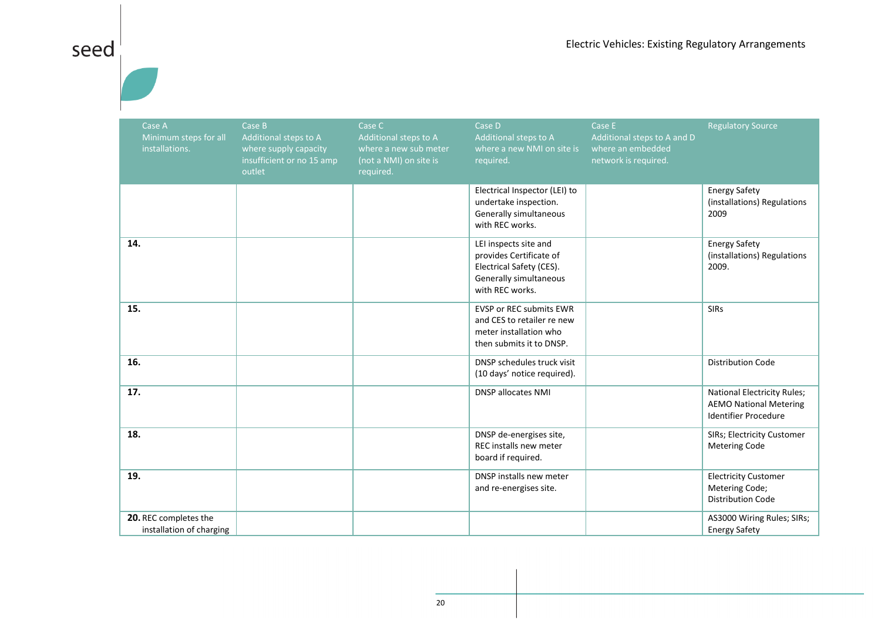| Case A<br>Minimum steps for all<br>installations. | Case B<br>Additional steps to A<br>where supply capacity<br>insufficient or no 15 amp<br>outlet | Case C<br>Additional steps to A<br>where a new sub meter<br>(not a NMI) on site is<br>required. | Case D<br>Additional steps to A<br>where a new NMI on site is<br>required.                                                | Case E<br>Additional steps to A and D<br>where an embedded<br>network is required. | <b>Regulatory Source</b>                                                                           |
|---------------------------------------------------|-------------------------------------------------------------------------------------------------|-------------------------------------------------------------------------------------------------|---------------------------------------------------------------------------------------------------------------------------|------------------------------------------------------------------------------------|----------------------------------------------------------------------------------------------------|
|                                                   |                                                                                                 |                                                                                                 | Electrical Inspector (LEI) to<br>undertake inspection.<br>Generally simultaneous<br>with REC works.                       |                                                                                    | <b>Energy Safety</b><br>(installations) Regulations<br>2009                                        |
| 14.                                               |                                                                                                 |                                                                                                 | LEI inspects site and<br>provides Certificate of<br>Electrical Safety (CES).<br>Generally simultaneous<br>with REC works. |                                                                                    | <b>Energy Safety</b><br>(installations) Regulations<br>2009.                                       |
| 15.                                               |                                                                                                 |                                                                                                 | <b>EVSP or REC submits EWR</b><br>and CES to retailer re new<br>meter installation who<br>then submits it to DNSP.        |                                                                                    | <b>SIRs</b>                                                                                        |
| 16.                                               |                                                                                                 |                                                                                                 | DNSP schedules truck visit<br>(10 days' notice required).                                                                 |                                                                                    | <b>Distribution Code</b>                                                                           |
| 17.                                               |                                                                                                 |                                                                                                 | <b>DNSP allocates NMI</b>                                                                                                 |                                                                                    | <b>National Electricity Rules;</b><br><b>AEMO National Metering</b><br><b>Identifier Procedure</b> |
| 18.                                               |                                                                                                 |                                                                                                 | DNSP de-energises site,<br>REC installs new meter<br>board if required.                                                   |                                                                                    | SIRs; Electricity Customer<br><b>Metering Code</b>                                                 |
| 19.                                               |                                                                                                 |                                                                                                 | DNSP installs new meter<br>and re-energises site.                                                                         |                                                                                    | <b>Electricity Customer</b><br>Metering Code;<br><b>Distribution Code</b>                          |
| 20. REC completes the<br>installation of charging |                                                                                                 |                                                                                                 |                                                                                                                           |                                                                                    | AS3000 Wiring Rules; SIRs;<br><b>Energy Safety</b>                                                 |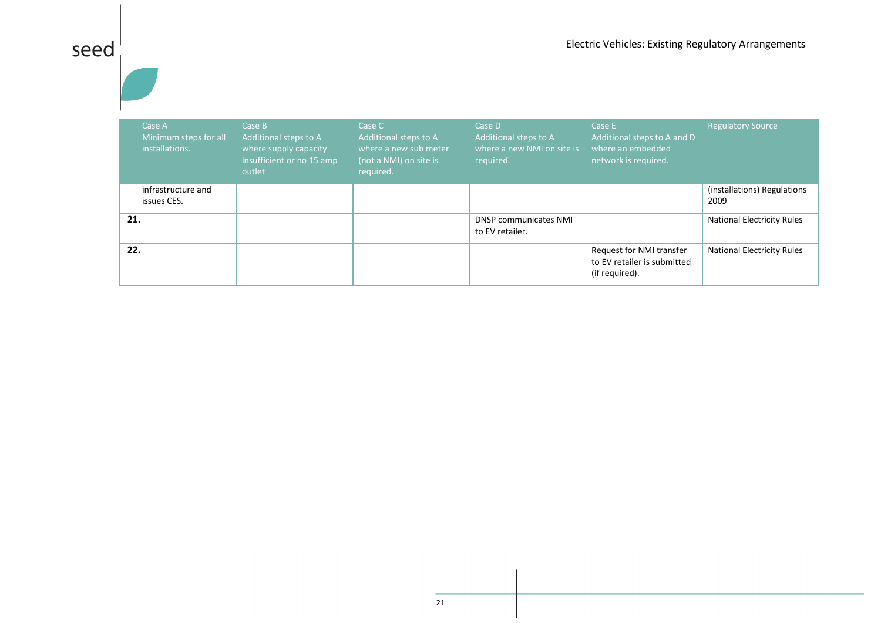# $\begin{array}{c|c}\n \hline\n \text{seed} & \text{d}\n \hline\n \end{array}$

| Case A<br>Minimum steps for all<br>installations. | Case B<br>Additional steps to A<br>where supply capacity<br>insufficient or no 15 amp<br>outlet | Case C<br>Additional steps to A<br>where a new sub meter<br>(not a NMI) on site is<br>required. | Case D<br>Additional steps to A<br>where a new NMI on site is<br>required. | Case E<br>Additional steps to A and D<br>where an embedded<br>network is required. | <b>Regulatory Source</b>            |
|---------------------------------------------------|-------------------------------------------------------------------------------------------------|-------------------------------------------------------------------------------------------------|----------------------------------------------------------------------------|------------------------------------------------------------------------------------|-------------------------------------|
| infrastructure and<br>issues CES.                 |                                                                                                 |                                                                                                 |                                                                            |                                                                                    | (installations) Regulations<br>2009 |
| 21.                                               |                                                                                                 |                                                                                                 | <b>DNSP communicates NMI</b><br>to EV retailer.                            |                                                                                    | <b>National Electricity Rules</b>   |
| 22.                                               |                                                                                                 |                                                                                                 |                                                                            | Request for NMI transfer<br>to EV retailer is submitted<br>(if required).          | <b>National Electricity Rules</b>   |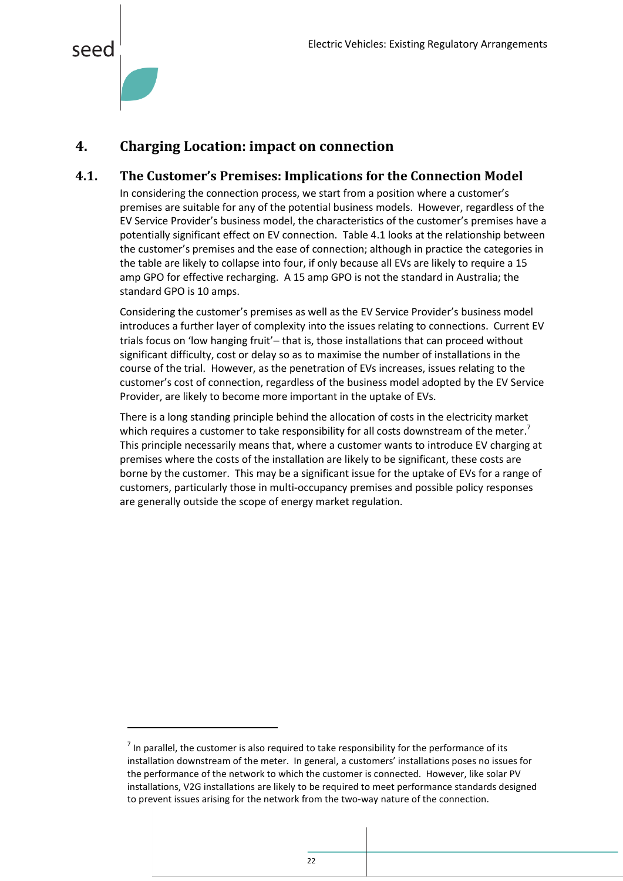

 $\overline{a}$ 

#### <span id="page-22-0"></span>**4. Charging Location: impact on connection**

#### <span id="page-22-1"></span>**4.1. The Customer's Premises: Implications for the Connection Model**

In considering the connection process, we start from a position where a customer's premises are suitable for any of the potential business models. However, regardless of the EV Service Provider's business model, the characteristics of the customer's premises have a potentially significant effect on EV connection. [Table 4.1](#page-23-0) looks at the relationship between the customer's premises and the ease of connection; although in practice the categories in the table are likely to collapse into four, if only because all EVs are likely to require a 15 amp GPO for effective recharging. A 15 amp GPO is not the standard in Australia; the standard GPO is 10 amps.

Considering the customer's premises as well as the EV Service Provider's business model introduces a further layer of complexity into the issues relating to connections. Current EV trials focus on 'low hanging fruit' - that is, those installations that can proceed without significant difficulty, cost or delay so as to maximise the number of installations in the course of the trial. However, as the penetration of EVs increases, issues relating to the customer's cost of connection, regardless of the business model adopted by the EV Service Provider, are likely to become more important in the uptake of EVs.

There is a long standing principle behind the allocation of costs in the electricity market which requires a customer to take responsibility for all costs downstream of the meter.<sup>7</sup> This principle necessarily means that, where a customer wants to introduce EV charging at premises where the costs of the installation are likely to be significant, these costs are borne by the customer. This may be a significant issue for the uptake of EVs for a range of customers, particularly those in multi-occupancy premises and possible policy responses are generally outside the scope of energy market regulation.

 $<sup>7</sup>$  In parallel, the customer is also required to take responsibility for the performance of its</sup> installation downstream of the meter. In general, a customers' installations poses no issues for the performance of the network to which the customer is connected. However, like solar PV installations, V2G installations are likely to be required to meet performance standards designed to prevent issues arising for the network from the two-way nature of the connection.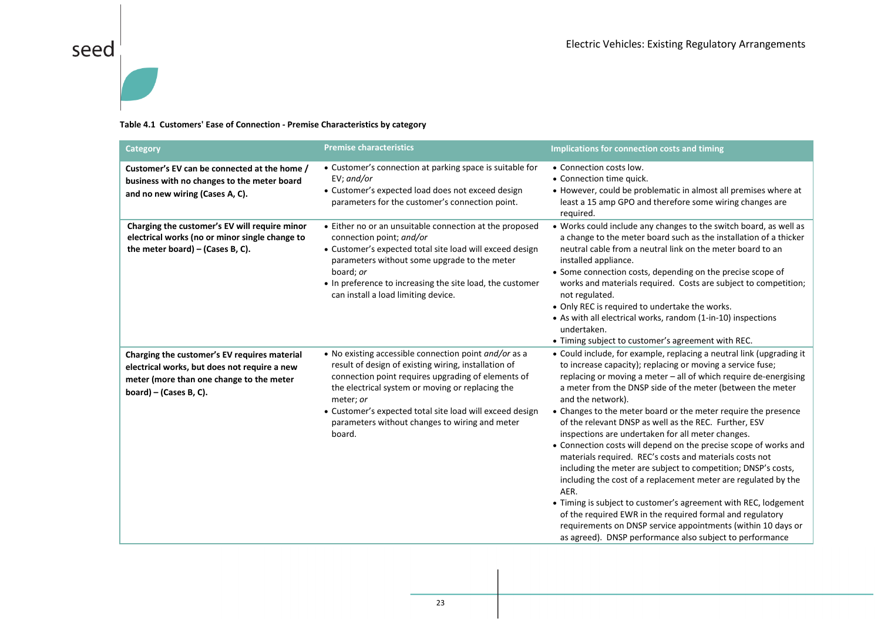# seed $\frac{1}{1}$

#### **Table 4.1 Customers' Ease of Connection - Premise Characteristics by category**

<span id="page-23-0"></span>

| <b>Category</b>                                                                                                                                                    | <b>Premise characteristics</b>                                                                                                                                                                                                                                                                                                                               | Implications for connection costs and timing                                                                                                                                                                                                                                                                                                                                                                                                                                                                                                                                                                                                                                                                                                                                                                                                                                                                                                                                                                    |
|--------------------------------------------------------------------------------------------------------------------------------------------------------------------|--------------------------------------------------------------------------------------------------------------------------------------------------------------------------------------------------------------------------------------------------------------------------------------------------------------------------------------------------------------|-----------------------------------------------------------------------------------------------------------------------------------------------------------------------------------------------------------------------------------------------------------------------------------------------------------------------------------------------------------------------------------------------------------------------------------------------------------------------------------------------------------------------------------------------------------------------------------------------------------------------------------------------------------------------------------------------------------------------------------------------------------------------------------------------------------------------------------------------------------------------------------------------------------------------------------------------------------------------------------------------------------------|
| Customer's EV can be connected at the home /<br>business with no changes to the meter board<br>and no new wiring (Cases A, C).                                     | • Customer's connection at parking space is suitable for<br>$EV$ ; and/or<br>• Customer's expected load does not exceed design<br>parameters for the customer's connection point.                                                                                                                                                                            | • Connection costs low.<br>• Connection time quick.<br>• However, could be problematic in almost all premises where at<br>least a 15 amp GPO and therefore some wiring changes are<br>required.                                                                                                                                                                                                                                                                                                                                                                                                                                                                                                                                                                                                                                                                                                                                                                                                                 |
| Charging the customer's EV will require minor<br>electrical works (no or minor single change to<br>the meter board) $-$ (Cases B, C).                              | • Either no or an unsuitable connection at the proposed<br>connection point; and/or<br>• Customer's expected total site load will exceed design<br>parameters without some upgrade to the meter<br>board; or<br>• In preference to increasing the site load, the customer<br>can install a load limiting device.                                             | • Works could include any changes to the switch board, as well as<br>a change to the meter board such as the installation of a thicker<br>neutral cable from a neutral link on the meter board to an<br>installed appliance.<br>• Some connection costs, depending on the precise scope of<br>works and materials required. Costs are subject to competition;<br>not regulated.<br>• Only REC is required to undertake the works.<br>• As with all electrical works, random (1-in-10) inspections<br>undertaken.<br>• Timing subject to customer's agreement with REC.                                                                                                                                                                                                                                                                                                                                                                                                                                          |
| Charging the customer's EV requires material<br>electrical works, but does not require a new<br>meter (more than one change to the meter<br>board) – (Cases B, C). | • No existing accessible connection point and/or as a<br>result of design of existing wiring, installation of<br>connection point requires upgrading of elements of<br>the electrical system or moving or replacing the<br>meter; or<br>• Customer's expected total site load will exceed design<br>parameters without changes to wiring and meter<br>board. | • Could include, for example, replacing a neutral link (upgrading it<br>to increase capacity); replacing or moving a service fuse;<br>replacing or moving a meter - all of which require de-energising<br>a meter from the DNSP side of the meter (between the meter<br>and the network).<br>• Changes to the meter board or the meter require the presence<br>of the relevant DNSP as well as the REC. Further, ESV<br>inspections are undertaken for all meter changes.<br>• Connection costs will depend on the precise scope of works and<br>materials required. REC's costs and materials costs not<br>including the meter are subject to competition; DNSP's costs,<br>including the cost of a replacement meter are regulated by the<br>AER.<br>• Timing is subject to customer's agreement with REC, lodgement<br>of the required EWR in the required formal and regulatory<br>requirements on DNSP service appointments (within 10 days or<br>as agreed). DNSP performance also subject to performance |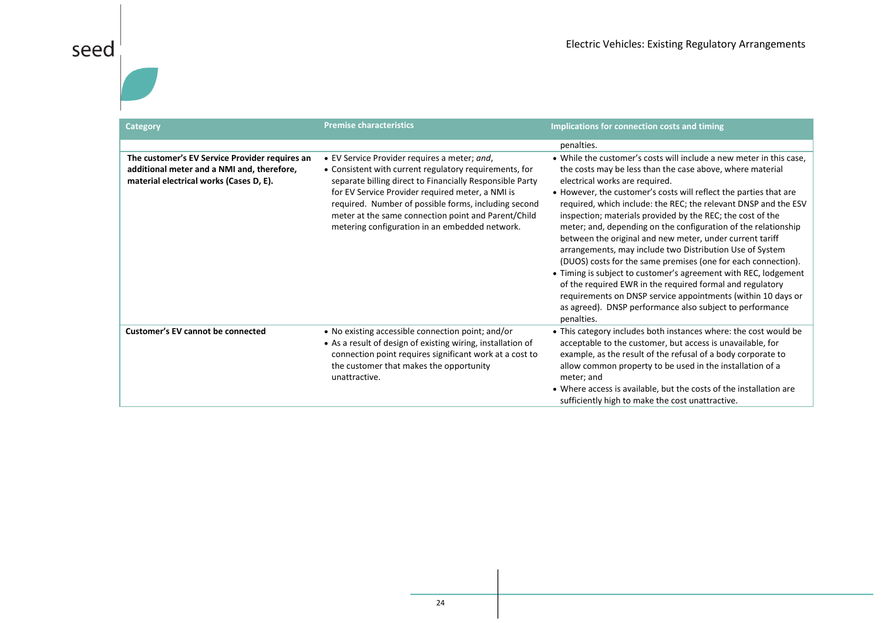| <b>Category</b>                                                                                                                         | <b>Premise characteristics</b>                                                                                                                                                                                                                                                                                                                                                          | Implications for connection costs and timing                                                                                                                                                                                                                                                                                                                                                                                                                                                                                                                                                                                                                                                                                                                                                                                                                                                                  |
|-----------------------------------------------------------------------------------------------------------------------------------------|-----------------------------------------------------------------------------------------------------------------------------------------------------------------------------------------------------------------------------------------------------------------------------------------------------------------------------------------------------------------------------------------|---------------------------------------------------------------------------------------------------------------------------------------------------------------------------------------------------------------------------------------------------------------------------------------------------------------------------------------------------------------------------------------------------------------------------------------------------------------------------------------------------------------------------------------------------------------------------------------------------------------------------------------------------------------------------------------------------------------------------------------------------------------------------------------------------------------------------------------------------------------------------------------------------------------|
|                                                                                                                                         |                                                                                                                                                                                                                                                                                                                                                                                         | penalties.                                                                                                                                                                                                                                                                                                                                                                                                                                                                                                                                                                                                                                                                                                                                                                                                                                                                                                    |
| The customer's EV Service Provider requires an<br>additional meter and a NMI and, therefore,<br>material electrical works (Cases D, E). | • EV Service Provider requires a meter; and,<br>• Consistent with current regulatory requirements, for<br>separate billing direct to Financially Responsible Party<br>for EV Service Provider required meter, a NMI is<br>required. Number of possible forms, including second<br>meter at the same connection point and Parent/Child<br>metering configuration in an embedded network. | • While the customer's costs will include a new meter in this case,<br>the costs may be less than the case above, where material<br>electrical works are required.<br>• However, the customer's costs will reflect the parties that are<br>required, which include: the REC; the relevant DNSP and the ESV<br>inspection; materials provided by the REC; the cost of the<br>meter; and, depending on the configuration of the relationship<br>between the original and new meter, under current tariff<br>arrangements, may include two Distribution Use of System<br>(DUOS) costs for the same premises (one for each connection).<br>• Timing is subject to customer's agreement with REC, lodgement<br>of the required EWR in the required formal and regulatory<br>requirements on DNSP service appointments (within 10 days or<br>as agreed). DNSP performance also subject to performance<br>penalties. |
| <b>Customer's EV cannot be connected</b>                                                                                                | • No existing accessible connection point; and/or<br>• As a result of design of existing wiring, installation of<br>connection point requires significant work at a cost to<br>the customer that makes the opportunity<br>unattractive.                                                                                                                                                 | • This category includes both instances where: the cost would be<br>acceptable to the customer, but access is unavailable, for<br>example, as the result of the refusal of a body corporate to<br>allow common property to be used in the installation of a<br>meter; and<br>• Where access is available, but the costs of the installation are<br>sufficiently high to make the cost unattractive.                                                                                                                                                                                                                                                                                                                                                                                                                                                                                                           |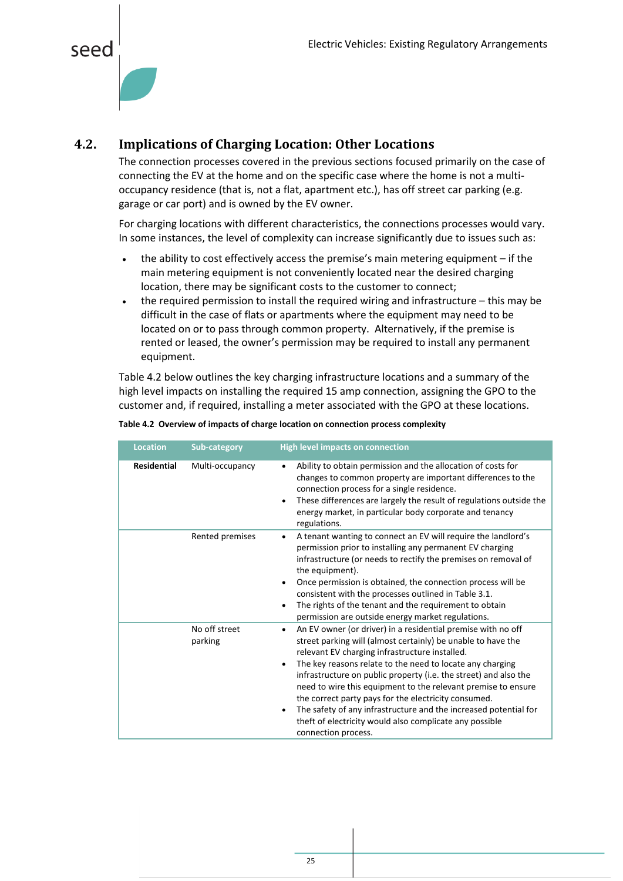



#### <span id="page-25-0"></span>**4.2. Implications of Charging Location: Other Locations**

The connection processes covered in the previous sections focused primarily on the case of connecting the EV at the home and on the specific case where the home is not a multioccupancy residence (that is, not a flat, apartment etc.), has off street car parking (e.g. garage or car port) and is owned by the EV owner.

For charging locations with different characteristics, the connections processes would vary. In some instances, the level of complexity can increase significantly due to issues such as:

- the ability to cost effectively access the premise's main metering equipment if the main metering equipment is not conveniently located near the desired charging location, there may be significant costs to the customer to connect;
- the required permission to install the required wiring and infrastructure this may be difficult in the case of flats or apartments where the equipment may need to be located on or to pass through common property. Alternatively, if the premise is rented or leased, the owner's permission may be required to install any permanent equipment.

[Table 4.2](#page-25-1) below outlines the key charging infrastructure locations and a summary of the high level impacts on installing the required 15 amp connection, assigning the GPO to the customer and, if required, installing a meter associated with the GPO at these locations.

| <b>Location</b>    | Sub-category             | <b>High level impacts on connection</b>                                                                                                                                                                                                                                                                                                                                                                                                                                                                                                                                                                                               |
|--------------------|--------------------------|---------------------------------------------------------------------------------------------------------------------------------------------------------------------------------------------------------------------------------------------------------------------------------------------------------------------------------------------------------------------------------------------------------------------------------------------------------------------------------------------------------------------------------------------------------------------------------------------------------------------------------------|
| <b>Residential</b> | Multi-occupancy          | Ability to obtain permission and the allocation of costs for<br>$\bullet$<br>changes to common property are important differences to the<br>connection process for a single residence.<br>These differences are largely the result of regulations outside the<br>$\bullet$<br>energy market, in particular body corporate and tenancy<br>regulations.                                                                                                                                                                                                                                                                                 |
|                    | Rented premises          | A tenant wanting to connect an EV will require the landlord's<br>$\bullet$<br>permission prior to installing any permanent EV charging<br>infrastructure (or needs to rectify the premises on removal of<br>the equipment).<br>Once permission is obtained, the connection process will be<br>$\bullet$<br>consistent with the processes outlined in Table 3.1.<br>The rights of the tenant and the requirement to obtain<br>٠<br>permission are outside energy market regulations.                                                                                                                                                   |
|                    | No off street<br>parking | An EV owner (or driver) in a residential premise with no off<br>$\bullet$<br>street parking will (almost certainly) be unable to have the<br>relevant EV charging infrastructure installed.<br>The key reasons relate to the need to locate any charging<br>$\bullet$<br>infrastructure on public property (i.e. the street) and also the<br>need to wire this equipment to the relevant premise to ensure<br>the correct party pays for the electricity consumed.<br>The safety of any infrastructure and the increased potential for<br>$\bullet$<br>theft of electricity would also complicate any possible<br>connection process. |

<span id="page-25-1"></span>**Table 4.2 Overview of impacts of charge location on connection process complexity**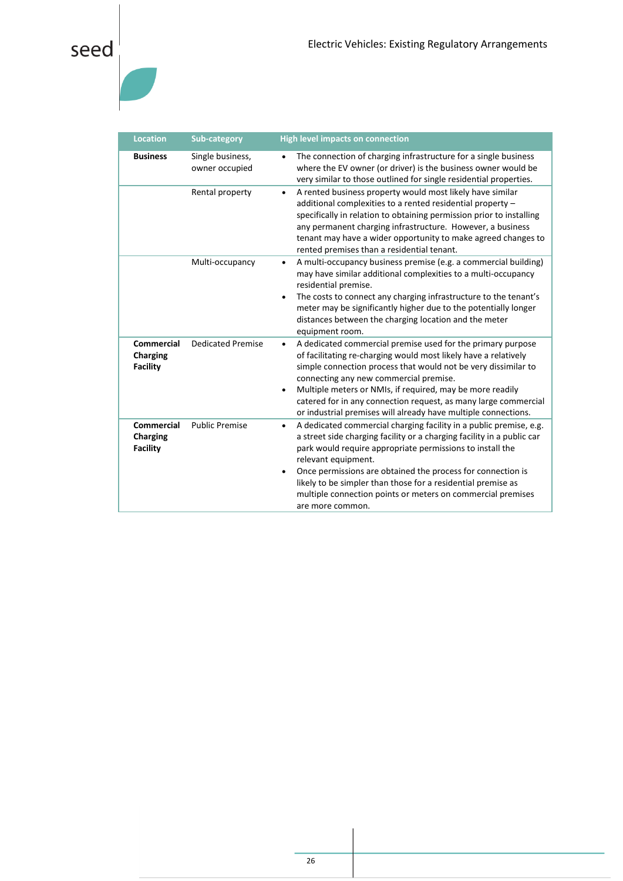| <b>Location</b>                                         | <b>Sub-category</b>                | <b>High level impacts on connection</b>                                                                                                                                                                                                                                                                                                                                                                                                                                      |
|---------------------------------------------------------|------------------------------------|------------------------------------------------------------------------------------------------------------------------------------------------------------------------------------------------------------------------------------------------------------------------------------------------------------------------------------------------------------------------------------------------------------------------------------------------------------------------------|
| <b>Business</b>                                         | Single business,<br>owner occupied | The connection of charging infrastructure for a single business<br>$\bullet$<br>where the EV owner (or driver) is the business owner would be<br>very similar to those outlined for single residential properties.                                                                                                                                                                                                                                                           |
|                                                         | Rental property                    | A rented business property would most likely have similar<br>$\bullet$<br>additional complexities to a rented residential property -<br>specifically in relation to obtaining permission prior to installing<br>any permanent charging infrastructure. However, a business<br>tenant may have a wider opportunity to make agreed changes to<br>rented premises than a residential tenant.                                                                                    |
|                                                         | Multi-occupancy                    | A multi-occupancy business premise (e.g. a commercial building)<br>٠<br>may have similar additional complexities to a multi-occupancy<br>residential premise.<br>The costs to connect any charging infrastructure to the tenant's<br>$\bullet$<br>meter may be significantly higher due to the potentially longer<br>distances between the charging location and the meter<br>equipment room.                                                                                |
| Commercial<br><b>Charging</b><br><b>Facility</b>        | <b>Dedicated Premise</b>           | A dedicated commercial premise used for the primary purpose<br>٠<br>of facilitating re-charging would most likely have a relatively<br>simple connection process that would not be very dissimilar to<br>connecting any new commercial premise.<br>Multiple meters or NMIs, if required, may be more readily<br>$\bullet$<br>catered for in any connection request, as many large commercial<br>or industrial premises will already have multiple connections.               |
| <b>Commercial</b><br><b>Charging</b><br><b>Facility</b> | <b>Public Premise</b>              | A dedicated commercial charging facility in a public premise, e.g.<br>$\bullet$<br>a street side charging facility or a charging facility in a public car<br>park would require appropriate permissions to install the<br>relevant equipment.<br>Once permissions are obtained the process for connection is<br>$\bullet$<br>likely to be simpler than those for a residential premise as<br>multiple connection points or meters on commercial premises<br>are more common. |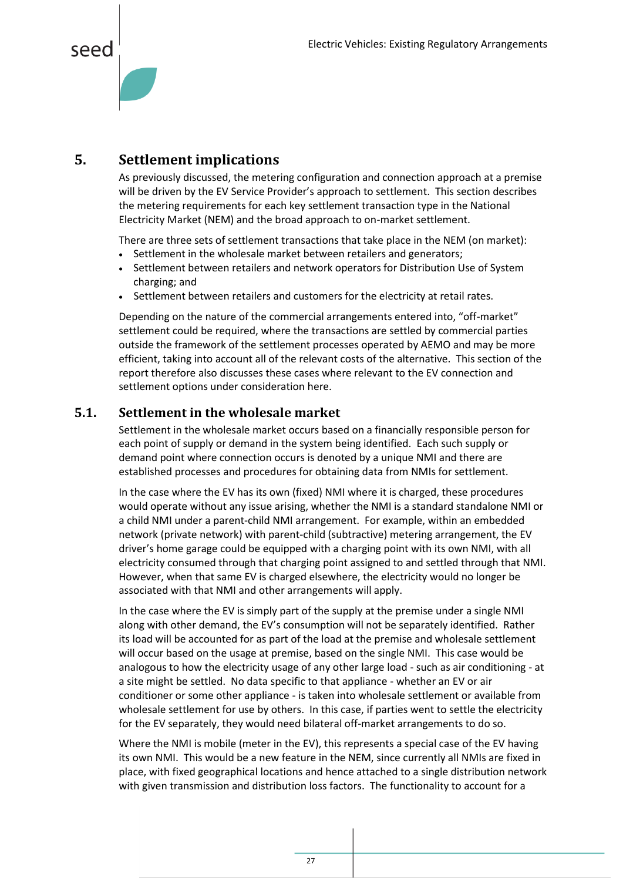#### <span id="page-27-0"></span>**5. Settlement implications**

As previously discussed, the metering configuration and connection approach at a premise will be driven by the EV Service Provider's approach to settlement. This section describes the metering requirements for each key settlement transaction type in the National Electricity Market (NEM) and the broad approach to on-market settlement.

There are three sets of settlement transactions that take place in the NEM (on market):

- Settlement in the wholesale market between retailers and generators;
- Settlement between retailers and network operators for Distribution Use of System charging; and
- Settlement between retailers and customers for the electricity at retail rates.

Depending on the nature of the commercial arrangements entered into, "off-market" settlement could be required, where the transactions are settled by commercial parties outside the framework of the settlement processes operated by AEMO and may be more efficient, taking into account all of the relevant costs of the alternative. This section of the report therefore also discusses these cases where relevant to the EV connection and settlement options under consideration here.

#### <span id="page-27-1"></span>**5.1. Settlement in the wholesale market**

Settlement in the wholesale market occurs based on a financially responsible person for each point of supply or demand in the system being identified. Each such supply or demand point where connection occurs is denoted by a unique NMI and there are established processes and procedures for obtaining data from NMIs for settlement.

In the case where the EV has its own (fixed) NMI where it is charged, these procedures would operate without any issue arising, whether the NMI is a standard standalone NMI or a child NMI under a parent-child NMI arrangement. For example, within an embedded network (private network) with parent-child (subtractive) metering arrangement, the EV driver's home garage could be equipped with a charging point with its own NMI, with all electricity consumed through that charging point assigned to and settled through that NMI. However, when that same EV is charged elsewhere, the electricity would no longer be associated with that NMI and other arrangements will apply.

In the case where the EV is simply part of the supply at the premise under a single NMI along with other demand, the EV's consumption will not be separately identified. Rather its load will be accounted for as part of the load at the premise and wholesale settlement will occur based on the usage at premise, based on the single NMI. This case would be analogous to how the electricity usage of any other large load - such as air conditioning - at a site might be settled. No data specific to that appliance - whether an EV or air conditioner or some other appliance - is taken into wholesale settlement or available from wholesale settlement for use by others. In this case, if parties went to settle the electricity for the EV separately, they would need bilateral off-market arrangements to do so.

Where the NMI is mobile (meter in the EV), this represents a special case of the EV having its own NMI. This would be a new feature in the NEM, since currently all NMIs are fixed in place, with fixed geographical locations and hence attached to a single distribution network with given transmission and distribution loss factors. The functionality to account for a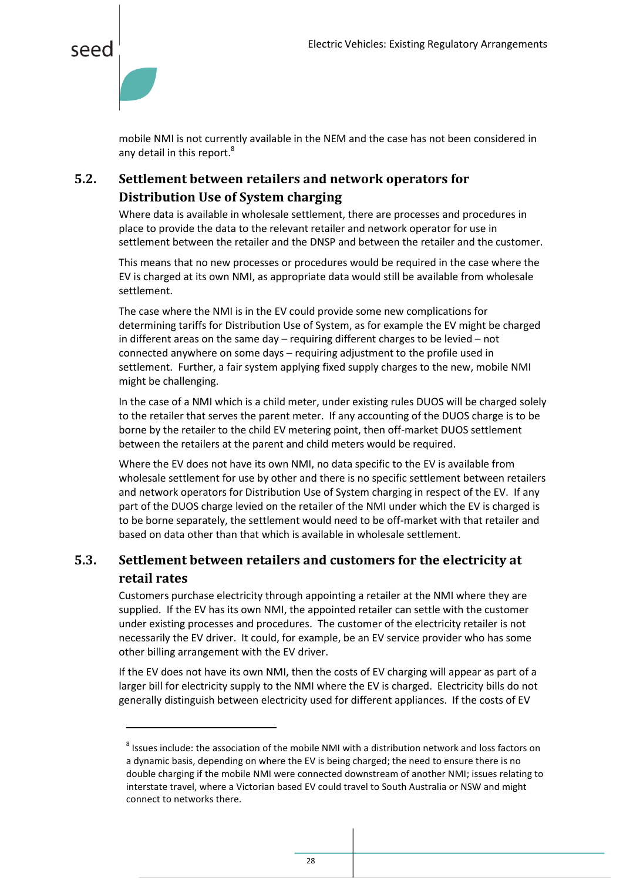

 $\ddot{\phantom{a}}$ 

mobile NMI is not currently available in the NEM and the case has not been considered in any detail in this report.<sup>8</sup>

#### <span id="page-28-0"></span>**5.2. Settlement between retailers and network operators for Distribution Use of System charging**

Where data is available in wholesale settlement, there are processes and procedures in place to provide the data to the relevant retailer and network operator for use in settlement between the retailer and the DNSP and between the retailer and the customer.

This means that no new processes or procedures would be required in the case where the EV is charged at its own NMI, as appropriate data would still be available from wholesale settlement.

The case where the NMI is in the EV could provide some new complications for determining tariffs for Distribution Use of System, as for example the EV might be charged in different areas on the same day – requiring different charges to be levied – not connected anywhere on some days – requiring adjustment to the profile used in settlement. Further, a fair system applying fixed supply charges to the new, mobile NMI might be challenging.

In the case of a NMI which is a child meter, under existing rules DUOS will be charged solely to the retailer that serves the parent meter. If any accounting of the DUOS charge is to be borne by the retailer to the child EV metering point, then off-market DUOS settlement between the retailers at the parent and child meters would be required.

Where the EV does not have its own NMI, no data specific to the EV is available from wholesale settlement for use by other and there is no specific settlement between retailers and network operators for Distribution Use of System charging in respect of the EV. If any part of the DUOS charge levied on the retailer of the NMI under which the EV is charged is to be borne separately, the settlement would need to be off-market with that retailer and based on data other than that which is available in wholesale settlement.

#### <span id="page-28-1"></span>**5.3. Settlement between retailers and customers for the electricity at retail rates**

Customers purchase electricity through appointing a retailer at the NMI where they are supplied. If the EV has its own NMI, the appointed retailer can settle with the customer under existing processes and procedures. The customer of the electricity retailer is not necessarily the EV driver. It could, for example, be an EV service provider who has some other billing arrangement with the EV driver.

If the EV does not have its own NMI, then the costs of EV charging will appear as part of a larger bill for electricity supply to the NMI where the EV is charged. Electricity bills do not generally distinguish between electricity used for different appliances. If the costs of EV

 $^8$  Issues include: the association of the mobile NMI with a distribution network and loss factors on a dynamic basis, depending on where the EV is being charged; the need to ensure there is no double charging if the mobile NMI were connected downstream of another NMI; issues relating to interstate travel, where a Victorian based EV could travel to South Australia or NSW and might connect to networks there.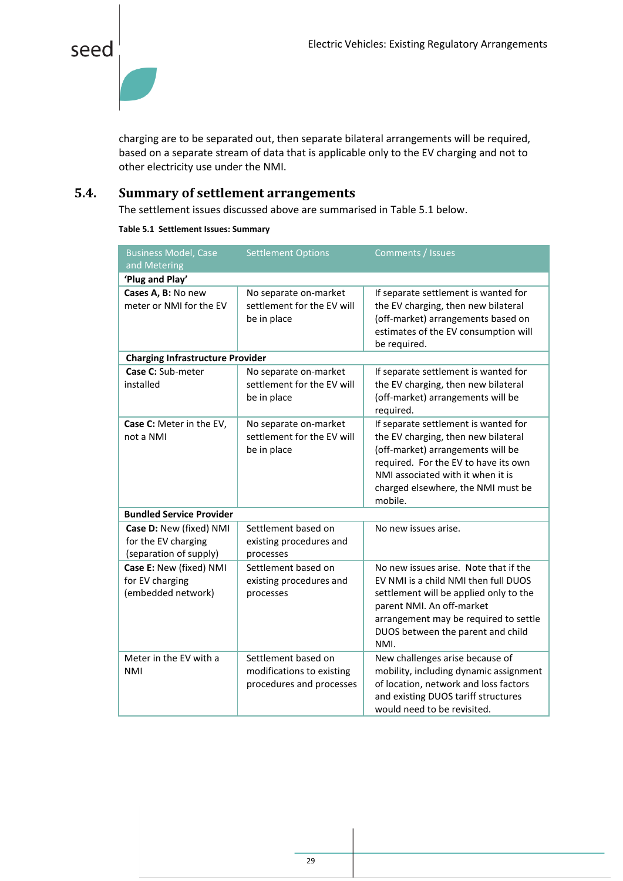

charging are to be separated out, then separate bilateral arrangements will be required, based on a separate stream of data that is applicable only to the EV charging and not to other electricity use under the NMI.

#### <span id="page-29-0"></span>**5.4. Summary of settlement arrangements**

The settlement issues discussed above are summarised in Table 5.1 below.

**Table 5.1 Settlement Issues: Summary**

| <b>Business Model, Case</b><br>and Metering                              | <b>Settlement Options</b>                                                    | Comments / Issues                                                                                                                                                                                                                              |
|--------------------------------------------------------------------------|------------------------------------------------------------------------------|------------------------------------------------------------------------------------------------------------------------------------------------------------------------------------------------------------------------------------------------|
| 'Plug and Play'                                                          |                                                                              |                                                                                                                                                                                                                                                |
| Cases A, B: No new<br>meter or NMI for the EV                            | No separate on-market<br>settlement for the EV will<br>be in place           | If separate settlement is wanted for<br>the EV charging, then new bilateral<br>(off-market) arrangements based on<br>estimates of the EV consumption will<br>be required.                                                                      |
| <b>Charging Infrastructure Provider</b>                                  |                                                                              |                                                                                                                                                                                                                                                |
| Case C: Sub-meter<br>installed                                           | No separate on-market<br>settlement for the EV will<br>be in place           | If separate settlement is wanted for<br>the EV charging, then new bilateral<br>(off-market) arrangements will be<br>required.                                                                                                                  |
| Case C: Meter in the EV,<br>not a NMI                                    | No separate on-market<br>settlement for the EV will<br>be in place           | If separate settlement is wanted for<br>the EV charging, then new bilateral<br>(off-market) arrangements will be<br>required. For the EV to have its own<br>NMI associated with it when it is<br>charged elsewhere, the NMI must be<br>mobile. |
| <b>Bundled Service Provider</b>                                          |                                                                              |                                                                                                                                                                                                                                                |
| Case D: New (fixed) NMI<br>for the EV charging<br>(separation of supply) | Settlement based on<br>existing procedures and<br>processes                  | No new issues arise.                                                                                                                                                                                                                           |
| Case E: New (fixed) NMI<br>for EV charging<br>(embedded network)         | Settlement based on<br>existing procedures and<br>processes                  | No new issues arise. Note that if the<br>EV NMI is a child NMI then full DUOS<br>settlement will be applied only to the<br>parent NMI. An off-market<br>arrangement may be required to settle<br>DUOS between the parent and child<br>NMI.     |
| Meter in the EV with a<br><b>NMI</b>                                     | Settlement based on<br>modifications to existing<br>procedures and processes | New challenges arise because of<br>mobility, including dynamic assignment<br>of location, network and loss factors<br>and existing DUOS tariff structures<br>would need to be revisited.                                                       |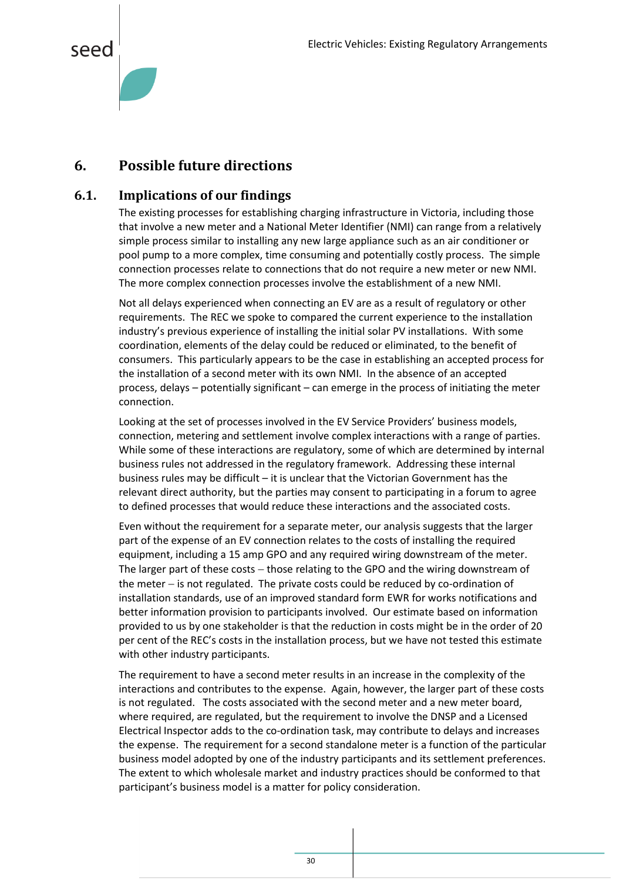<span id="page-30-2"></span>

#### <span id="page-30-0"></span>**6. Possible future directions**

#### <span id="page-30-1"></span>**6.1. Implications of our findings**

The existing processes for establishing charging infrastructure in Victoria, including those that involve a new meter and a National Meter Identifier (NMI) can range from a relatively simple process similar to installing any new large appliance such as an air conditioner or pool pump to a more complex, time consuming and potentially costly process. The simple connection processes relate to connections that do not require a new meter or new NMI. The more complex connection processes involve the establishment of a new NMI.

Not all delays experienced when connecting an EV are as a result of regulatory or other requirements. The REC we spoke to compared the current experience to the installation industry's previous experience of installing the initial solar PV installations. With some coordination, elements of the delay could be reduced or eliminated, to the benefit of consumers. This particularly appears to be the case in establishing an accepted process for the installation of a second meter with its own NMI. In the absence of an accepted process, delays – potentially significant – can emerge in the process of initiating the meter connection.

Looking at the set of processes involved in the EV Service Providers' business models, connection, metering and settlement involve complex interactions with a range of parties. While some of these interactions are regulatory, some of which are determined by internal business rules not addressed in the regulatory framework. Addressing these internal business rules may be difficult – it is unclear that the Victorian Government has the relevant direct authority, but the parties may consent to participating in a forum to agree to defined processes that would reduce these interactions and the associated costs.

Even without the requirement for a separate meter, our analysis suggests that the larger part of the expense of an EV connection relates to the costs of installing the required equipment, including a 15 amp GPO and any required wiring downstream of the meter. The larger part of these costs  $-$  those relating to the GPO and the wiring downstream of the meter  $-$  is not regulated. The private costs could be reduced by co-ordination of installation standards, use of an improved standard form EWR for works notifications and better information provision to participants involved. Our estimate based on information provided to us by one stakeholder is that the reduction in costs might be in the order of 20 per cent of the REC's costs in the installation process, but we have not tested this estimate with other industry participants.

The requirement to have a second meter results in an increase in the complexity of the interactions and contributes to the expense. Again, however, the larger part of these costs is not regulated. The costs associated with the second meter and a new meter board, where required, are regulated, but the requirement to involve the DNSP and a Licensed Electrical Inspector adds to the co-ordination task, may contribute to delays and increases the expense. The requirement for a second standalone meter is a function of the particular business model adopted by one of the industry participants and its settlement preferences. The extent to which wholesale market and industry practices should be conformed to that participant's business model is a matter for policy consideration.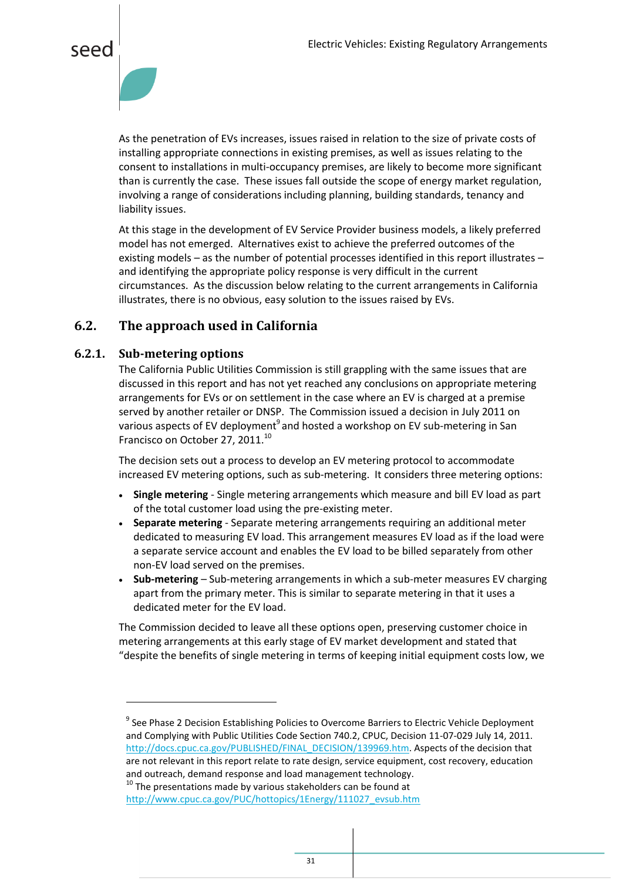



As the penetration of EVs increases, issues raised in relation to the size of private costs of installing appropriate connections in existing premises, as well as issues relating to the consent to installations in multi-occupancy premises, are likely to become more significant than is currently the case. These issues fall outside the scope of energy market regulation, involving a range of considerations including planning, building standards, tenancy and liability issues.

At this stage in the development of EV Service Provider business models, a likely preferred model has not emerged. Alternatives exist to achieve the preferred outcomes of the existing models – as the number of potential processes identified in this report illustrates – and identifying the appropriate policy response is very difficult in the current circumstances. As the discussion below relating to the current arrangements in California illustrates, there is no obvious, easy solution to the issues raised by EVs.

#### <span id="page-31-0"></span>**6.2. The approach used in California**

#### **6.2.1. Sub-metering options**

 $\overline{a}$ 

The California Public Utilities Commission is still grappling with the same issues that are discussed in this report and has not yet reached any conclusions on appropriate metering arrangements for EVs or on settlement in the case where an EV is charged at a premise served by another retailer or DNSP. The Commission issued a decision in July 2011 on various aspects of EV deployment<sup>9</sup> and hosted a workshop on EV sub-metering in San Francisco on October 27, 2011.<sup>10</sup>

The decision sets out a process to develop an EV metering protocol to accommodate increased EV metering options, such as sub-metering. It considers three metering options:

- **Single metering** Single metering arrangements which measure and bill EV load as part of the total customer load using the pre-existing meter.
- **Separate metering** Separate metering arrangements requiring an additional meter dedicated to measuring EV load. This arrangement measures EV load as if the load were a separate service account and enables the EV load to be billed separately from other non-EV load served on the premises.
- **Sub-metering** Sub-metering arrangements in which a sub-meter measures EV charging apart from the primary meter. This is similar to separate metering in that it uses a dedicated meter for the EV load.

The Commission decided to leave all these options open, preserving customer choice in metering arrangements at this early stage of EV market development and stated that "despite the benefits of single metering in terms of keeping initial equipment costs low, we

<sup>&</sup>lt;sup>9</sup> See Phase 2 Decision Establishing Policies to Overcome Barriers to Electric Vehicle Deployment and Complying with Public Utilities Code Section 740.2, CPUC, Decision 11-07-029 July 14, 2011. [http://docs.cpuc.ca.gov/PUBLISHED/FINAL\\_DECISION/139969.htm.](http://docs.cpuc.ca.gov/PUBLISHED/FINAL_DECISION/139969.htm) Aspects of the decision that are not relevant in this report relate to rate design, service equipment, cost recovery, education and outreach, demand response and load management technology.

 $10$  The presentations made by various stakeholders can be found at [http://www.cpuc.ca.gov/PUC/hottopics/1Energy/111027\\_evsub.htm](http://www.cpuc.ca.gov/PUC/hottopics/1Energy/111027_evsub.htm)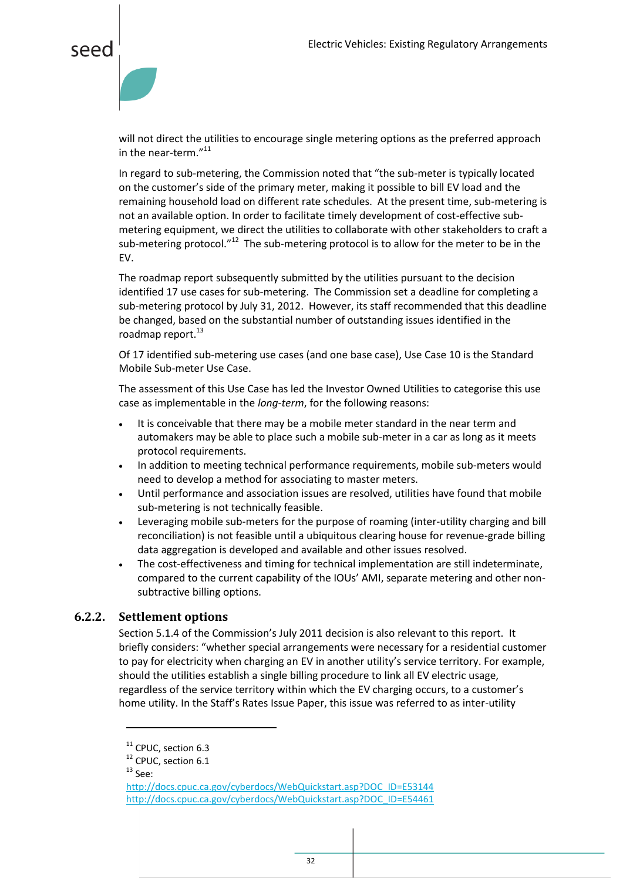

will not direct the utilities to encourage single metering options as the preferred approach in the near-term."<sup>11</sup>

In regard to sub-metering, the Commission noted that "the sub-meter is typically located on the customer's side of the primary meter, making it possible to bill EV load and the remaining household load on different rate schedules. At the present time, sub-metering is not an available option. In order to facilitate timely development of cost-effective submetering equipment, we direct the utilities to collaborate with other stakeholders to craft a sub-metering protocol."<sup>12</sup> The sub-metering protocol is to allow for the meter to be in the EV.

The roadmap report subsequently submitted by the utilities pursuant to the decision identified 17 use cases for sub-metering. The Commission set a deadline for completing a sub-metering protocol by July 31, 2012. However, its staff recommended that this deadline be changed, based on the substantial number of outstanding issues identified in the roadmap report.<sup>13</sup>

Of 17 identified sub-metering use cases (and one base case), Use Case 10 is the Standard Mobile Sub-meter Use Case.

The assessment of this Use Case has led the Investor Owned Utilities to categorise this use case as implementable in the *long-term*, for the following reasons:

- It is conceivable that there may be a mobile meter standard in the near term and automakers may be able to place such a mobile sub-meter in a car as long as it meets protocol requirements.
- In addition to meeting technical performance requirements, mobile sub-meters would need to develop a method for associating to master meters.
- Until performance and association issues are resolved, utilities have found that mobile sub-metering is not technically feasible.
- Leveraging mobile sub-meters for the purpose of roaming (inter-utility charging and bill reconciliation) is not feasible until a ubiquitous clearing house for revenue-grade billing data aggregation is developed and available and other issues resolved.
- The cost-effectiveness and timing for technical implementation are still indeterminate, compared to the current capability of the IOUs' AMI, separate metering and other nonsubtractive billing options.

#### **6.2.2. Settlement options**

Section 5.1.4 of the Commission's July 2011 decision is also relevant to this report. It briefly considers: "whether special arrangements were necessary for a residential customer to pay for electricity when charging an EV in another utility's service territory. For example, should the utilities establish a single billing procedure to link all EV electric usage, regardless of the service territory within which the EV charging occurs, to a customer's home utility. In the Staff's Rates Issue Paper, this issue was referred to as inter-utility

 $\ddot{\phantom{a}}$ 

<sup>&</sup>lt;sup>11</sup> CPUC, section 6.3

<sup>&</sup>lt;sup>12</sup> CPUC, section 6.1

 $13$  See:

[http://docs.cpuc.ca.gov/cyberdocs/WebQuickstart.asp?DOC\\_ID=E53144](http://docs.cpuc.ca.gov/cyberdocs/WebQuickstart.asp?DOC_ID=E53144) [http://docs.cpuc.ca.gov/cyberdocs/WebQuickstart.asp?DOC\\_ID=E54461](http://docs.cpuc.ca.gov/cyberdocs/WebQuickstart.asp?DOC_ID=E54461)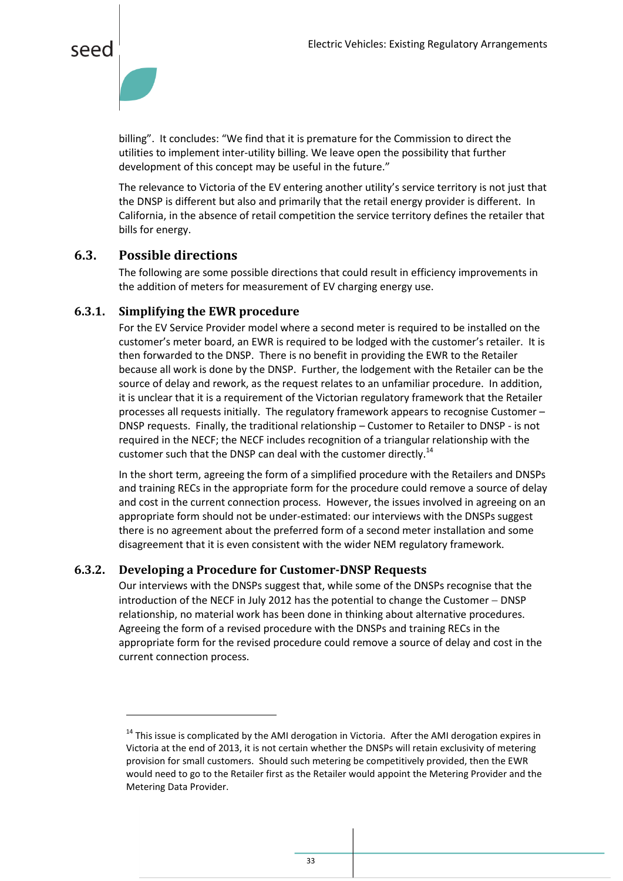



billing". It concludes: "We find that it is premature for the Commission to direct the utilities to implement inter-utility billing. We leave open the possibility that further development of this concept may be useful in the future."

The relevance to Victoria of the EV entering another utility's service territory is not just that the DNSP is different but also and primarily that the retail energy provider is different. In California, in the absence of retail competition the service territory defines the retailer that bills for energy.

#### <span id="page-33-0"></span>**6.3. Possible directions**

 $\overline{a}$ 

The following are some possible directions that could result in efficiency improvements in the addition of meters for measurement of EV charging energy use.

#### **6.3.1. Simplifying the EWR procedure**

For the EV Service Provider model where a second meter is required to be installed on the customer's meter board, an EWR is required to be lodged with the customer's retailer. It is then forwarded to the DNSP. There is no benefit in providing the EWR to the Retailer because all work is done by the DNSP. Further, the lodgement with the Retailer can be the source of delay and rework, as the request relates to an unfamiliar procedure. In addition, it is unclear that it is a requirement of the Victorian regulatory framework that the Retailer processes all requests initially. The regulatory framework appears to recognise Customer – DNSP requests. Finally, the traditional relationship – Customer to Retailer to DNSP - is not required in the NECF; the NECF includes recognition of a triangular relationship with the customer such that the DNSP can deal with the customer directly.<sup>14</sup>

In the short term, agreeing the form of a simplified procedure with the Retailers and DNSPs and training RECs in the appropriate form for the procedure could remove a source of delay and cost in the current connection process. However, the issues involved in agreeing on an appropriate form should not be under-estimated: our interviews with the DNSPs suggest there is no agreement about the preferred form of a second meter installation and some disagreement that it is even consistent with the wider NEM regulatory framework.

#### **6.3.2. Developing a Procedure for Customer-DNSP Requests**

Our interviews with the DNSPs suggest that, while some of the DNSPs recognise that the introduction of the NECF in July 2012 has the potential to change the Customer  $-$  DNSP relationship, no material work has been done in thinking about alternative procedures. Agreeing the form of a revised procedure with the DNSPs and training RECs in the appropriate form for the revised procedure could remove a source of delay and cost in the current connection process.

 $14$  This issue is complicated by the AMI derogation in Victoria. After the AMI derogation expires in Victoria at the end of 2013, it is not certain whether the DNSPs will retain exclusivity of metering provision for small customers. Should such metering be competitively provided, then the EWR would need to go to the Retailer first as the Retailer would appoint the Metering Provider and the Metering Data Provider.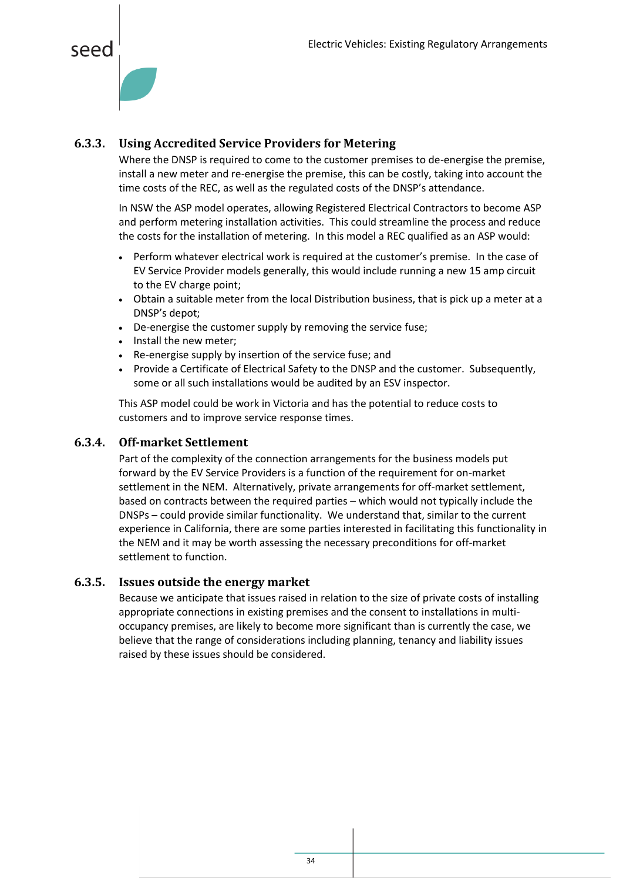



#### **6.3.3. Using Accredited Service Providers for Metering**

Where the DNSP is required to come to the customer premises to de-energise the premise, install a new meter and re-energise the premise, this can be costly, taking into account the time costs of the REC, as well as the regulated costs of the DNSP's attendance.

In NSW the ASP model operates, allowing Registered Electrical Contractors to become ASP and perform metering installation activities. This could streamline the process and reduce the costs for the installation of metering. In this model a REC qualified as an ASP would:

- Perform whatever electrical work is required at the customer's premise. In the case of EV Service Provider models generally, this would include running a new 15 amp circuit to the EV charge point;
- Obtain a suitable meter from the local Distribution business, that is pick up a meter at a DNSP's depot;
- De-energise the customer supply by removing the service fuse;
- Install the new meter;
- Re-energise supply by insertion of the service fuse; and
- Provide a Certificate of Electrical Safety to the DNSP and the customer. Subsequently, some or all such installations would be audited by an ESV inspector.

This ASP model could be work in Victoria and has the potential to reduce costs to customers and to improve service response times.

#### **6.3.4. Off-market Settlement**

Part of the complexity of the connection arrangements for the business models put forward by the EV Service Providers is a function of the requirement for on-market settlement in the NEM. Alternatively, private arrangements for off-market settlement, based on contracts between the required parties – which would not typically include the DNSPs – could provide similar functionality. We understand that, similar to the current experience in California, there are some parties interested in facilitating this functionality in the NEM and it may be worth assessing the necessary preconditions for off-market settlement to function.

#### **6.3.5. Issues outside the energy market**

Because we anticipate that issues raised in relation to the size of private costs of installing appropriate connections in existing premises and the consent to installations in multioccupancy premises, are likely to become more significant than is currently the case, we believe that the range of considerations including planning, tenancy and liability issues raised by these issues should be considered.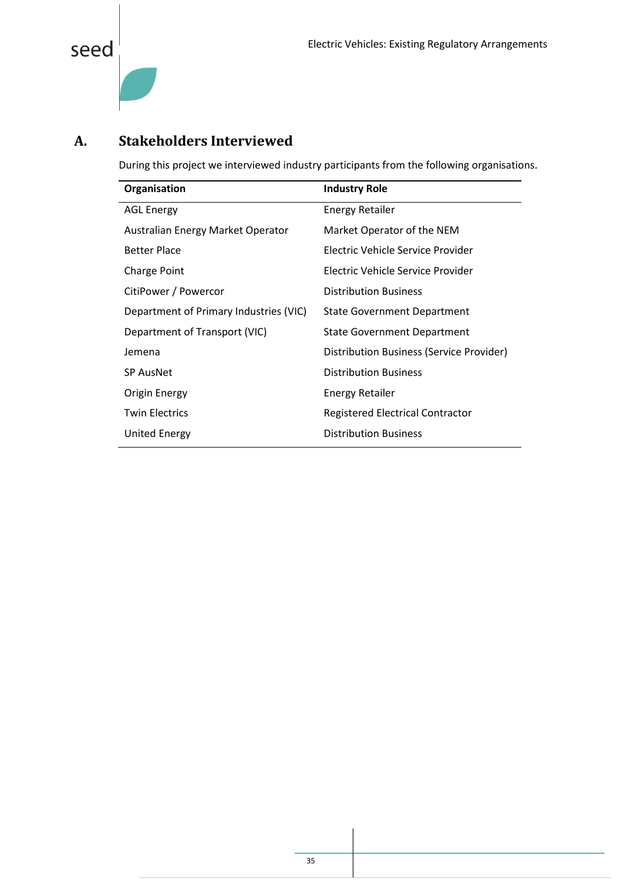

#### <span id="page-35-0"></span>**A. Stakeholders Interviewed**

During this project we interviewed industry participants from the following organisations.

| Organisation                           | <b>Industry Role</b>                     |
|----------------------------------------|------------------------------------------|
| <b>AGL Energy</b>                      | <b>Energy Retailer</b>                   |
| Australian Energy Market Operator      | Market Operator of the NEM               |
| <b>Better Place</b>                    | Electric Vehicle Service Provider        |
| <b>Charge Point</b>                    | Flectric Vehicle Service Provider        |
| CitiPower / Powercor                   | <b>Distribution Business</b>             |
| Department of Primary Industries (VIC) | <b>State Government Department</b>       |
| Department of Transport (VIC)          | <b>State Government Department</b>       |
| Jemena                                 | Distribution Business (Service Provider) |
| <b>SP AusNet</b>                       | <b>Distribution Business</b>             |
| Origin Energy                          | Energy Retailer                          |
| <b>Twin Electrics</b>                  | <b>Registered Electrical Contractor</b>  |
| United Energy                          | <b>Distribution Business</b>             |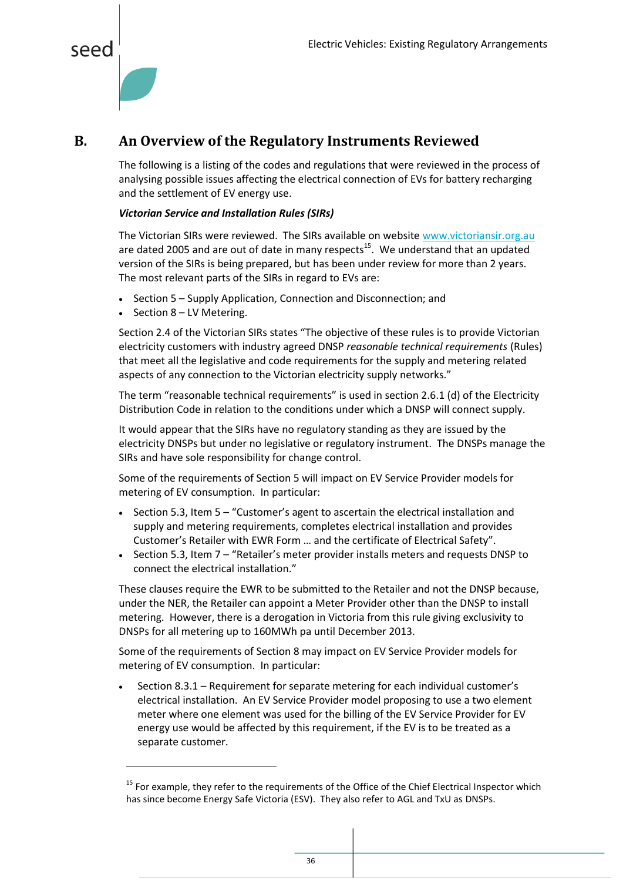<span id="page-36-1"></span>



 $\overline{a}$ 

#### <span id="page-36-0"></span>**B. An Overview of the Regulatory Instruments Reviewed**

The following is a listing of the codes and regulations that were reviewed in the process of analysing possible issues affecting the electrical connection of EVs for battery recharging and the settlement of EV energy use.

#### *Victorian Service and Installation Rules (SIRs)*

The Victorian SIRs were reviewed. The SIRs available on websit[e www.victoriansir.org.au](http://www.victoriansir.org.au/) are dated 2005 and are out of date in many respects $^{15}$ . We understand that an updated version of the SIRs is being prepared, but has been under review for more than 2 years. The most relevant parts of the SIRs in regard to EVs are:

- Section 5 Supply Application, Connection and Disconnection; and
- $\bullet$  Section 8 LV Metering.

Section 2.4 of the Victorian SIRs states "The objective of these rules is to provide Victorian electricity customers with industry agreed DNSP *reasonable technical requirements* (Rules) that meet all the legislative and code requirements for the supply and metering related aspects of any connection to the Victorian electricity supply networks."

The term "reasonable technical requirements" is used in section 2.6.1 (d) of the Electricity Distribution Code in relation to the conditions under which a DNSP will connect supply.

It would appear that the SIRs have no regulatory standing as they are issued by the electricity DNSPs but under no legislative or regulatory instrument. The DNSPs manage the SIRs and have sole responsibility for change control.

Some of the requirements of Section 5 will impact on EV Service Provider models for metering of EV consumption. In particular:

- Section 5.3, Item 5 "Customer's agent to ascertain the electrical installation and supply and metering requirements, completes electrical installation and provides Customer's Retailer with EWR Form … and the certificate of Electrical Safety".
- Section 5.3, Item 7 "Retailer's meter provider installs meters and requests DNSP to connect the electrical installation."

These clauses require the EWR to be submitted to the Retailer and not the DNSP because, under the NER, the Retailer can appoint a Meter Provider other than the DNSP to install metering. However, there is a derogation in Victoria from this rule giving exclusivity to DNSPs for all metering up to 160MWh pa until December 2013.

Some of the requirements of Section 8 may impact on EV Service Provider models for metering of EV consumption. In particular:

 Section 8.3.1 – Requirement for separate metering for each individual customer's electrical installation. An EV Service Provider model proposing to use a two element meter where one element was used for the billing of the EV Service Provider for EV energy use would be affected by this requirement, if the EV is to be treated as a separate customer.

<sup>&</sup>lt;sup>15</sup> For example, they refer to the requirements of the Office of the Chief Electrical Inspector which has since become Energy Safe Victoria (ESV). They also refer to AGL and TxU as DNSPs.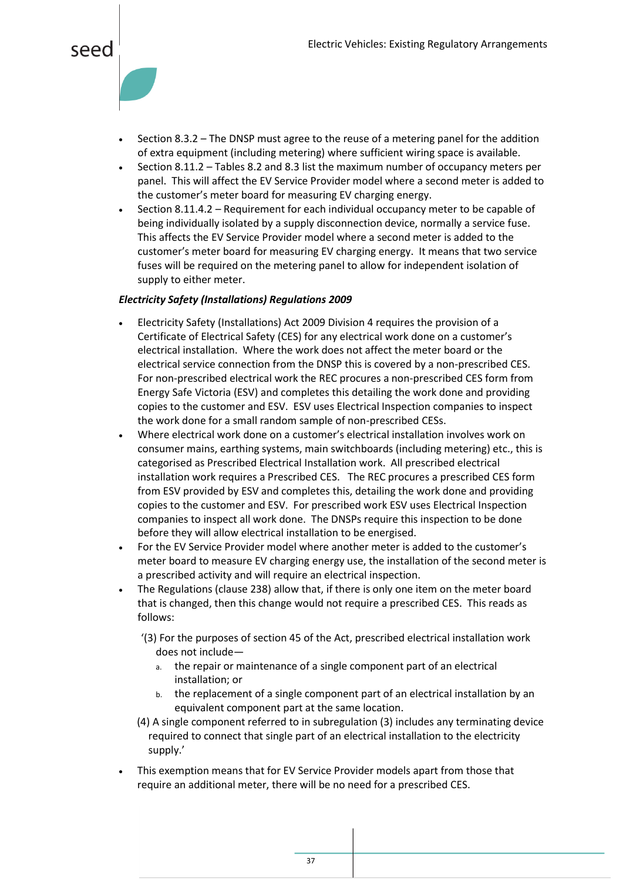

- Section 8.3.2 The DNSP must agree to the reuse of a metering panel for the addition of extra equipment (including metering) where sufficient wiring space is available.
- Section 8.11.2 Tables 8.2 and 8.3 list the maximum number of occupancy meters per panel. This will affect the EV Service Provider model where a second meter is added to the customer's meter board for measuring EV charging energy.
- Section 8.11.4.2 Requirement for each individual occupancy meter to be capable of being individually isolated by a supply disconnection device, normally a service fuse. This affects the EV Service Provider model where a second meter is added to the customer's meter board for measuring EV charging energy. It means that two service fuses will be required on the metering panel to allow for independent isolation of supply to either meter.

#### *Electricity Safety (Installations) Regulations 2009*

- Electricity Safety (Installations) Act 2009 Division 4 requires the provision of a Certificate of Electrical Safety (CES) for any electrical work done on a customer's electrical installation. Where the work does not affect the meter board or the electrical service connection from the DNSP this is covered by a non-prescribed CES. For non-prescribed electrical work the REC procures a non-prescribed CES form from Energy Safe Victoria (ESV) and completes this detailing the work done and providing copies to the customer and ESV. ESV uses Electrical Inspection companies to inspect the work done for a small random sample of non-prescribed CESs.
- Where electrical work done on a customer's electrical installation involves work on consumer mains, earthing systems, main switchboards (including metering) etc., this is categorised as Prescribed Electrical Installation work. All prescribed electrical installation work requires a Prescribed CES. The REC procures a prescribed CES form from ESV provided by ESV and completes this, detailing the work done and providing copies to the customer and ESV. For prescribed work ESV uses Electrical Inspection companies to inspect all work done. The DNSPs require this inspection to be done before they will allow electrical installation to be energised.
- For the EV Service Provider model where another meter is added to the customer's meter board to measure EV charging energy use, the installation of the second meter is a prescribed activity and will require an electrical inspection.
- The Regulations (clause 238) allow that, if there is only one item on the meter board that is changed, then this change would not require a prescribed CES. This reads as follows:
	- '(3) For the purposes of section 45 of the Act, prescribed electrical installation work does not include
		- a. the repair or maintenance of a single component part of an electrical installation; or
		- b. the replacement of a single component part of an electrical installation by an equivalent component part at the same location.
	- (4) A single component referred to in subregulation (3) includes any terminating device required to connect that single part of an electrical installation to the electricity supply.'
- This exemption means that for EV Service Provider models apart from those that require an additional meter, there will be no need for a prescribed CES.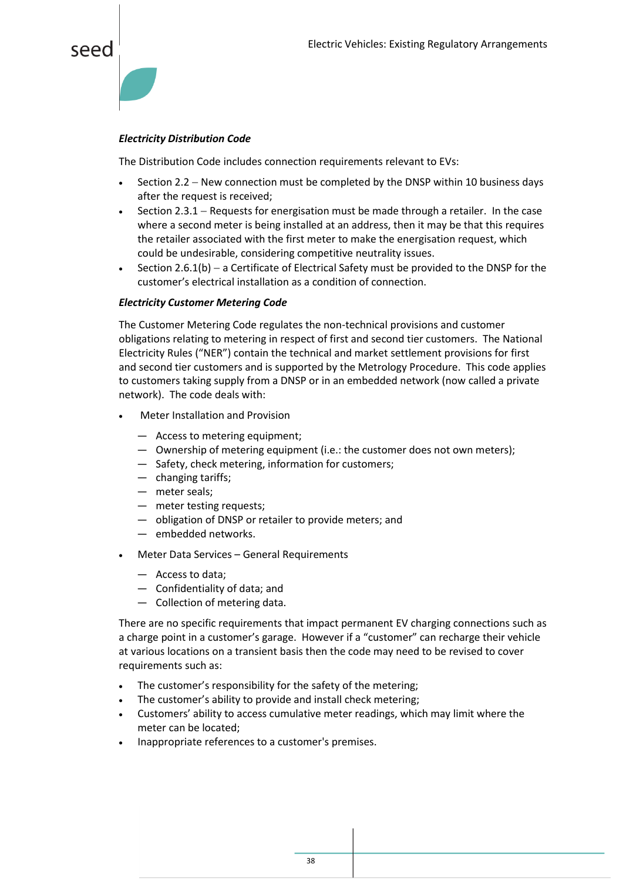

#### *Electricity Distribution Code*

The Distribution Code includes connection requirements relevant to EVs:

- Section 2.2 New connection must be completed by the DNSP within 10 business days after the request is received;
- Section 2.3.1 Requests for energisation must be made through a retailer. In the case where a second meter is being installed at an address, then it may be that this requires the retailer associated with the first meter to make the energisation request, which could be undesirable, considering competitive neutrality issues.
- Section 2.6.1(b)  $-$  a Certificate of Electrical Safety must be provided to the DNSP for the customer's electrical installation as a condition of connection.

#### *Electricity Customer Metering Code*

The Customer Metering Code regulates the non-technical provisions and customer obligations relating to metering in respect of first and second tier customers. The National Electricity Rules ("NER") contain the technical and market settlement provisions for first and second tier customers and is supported by the Metrology Procedure. This code applies to customers taking supply from a DNSP or in an embedded network (now called a private network). The code deals with:

- Meter Installation and Provision
	- ― Access to metering equipment;
	- ― Ownership of metering equipment (i.e.: the customer does not own meters);
	- ― Safety, check metering, information for customers;
	- ― changing tariffs;
	- ― meter seals;
	- ― meter testing requests;
	- ― obligation of DNSP or retailer to provide meters; and
	- ― embedded networks.
- Meter Data Services General Requirements
	- ― Access to data;
	- ― Confidentiality of data; and
	- ― Collection of metering data.

There are no specific requirements that impact permanent EV charging connections such as a charge point in a customer's garage. However if a "customer" can recharge their vehicle at various locations on a transient basis then the code may need to be revised to cover requirements such as:

- The customer's responsibility for the safety of the metering;
- The customer's ability to provide and install check metering;
- Customers' ability to access cumulative meter readings, which may limit where the meter can be located;
- Inappropriate references to a customer's premises.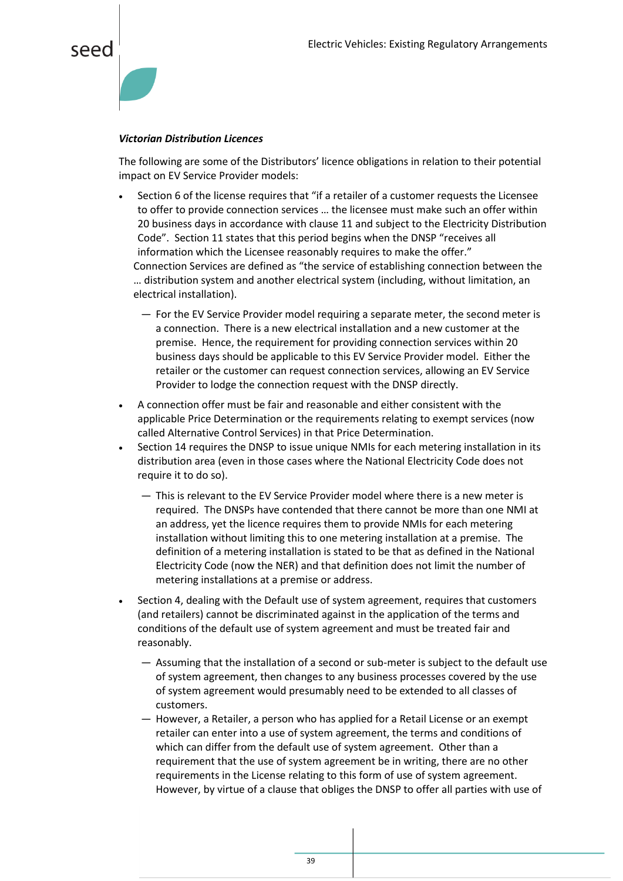

#### *Victorian Distribution Licences*

The following are some of the Distributors' licence obligations in relation to their potential impact on EV Service Provider models:

- Section 6 of the license requires that "if a retailer of a customer requests the Licensee to offer to provide connection services … the licensee must make such an offer within 20 business days in accordance with clause 11 and subject to the Electricity Distribution Code". Section 11 states that this period begins when the DNSP "receives all information which the Licensee reasonably requires to make the offer." Connection Services are defined as "the service of establishing connection between the … distribution system and another electrical system (including, without limitation, an electrical installation).
	- ― For the EV Service Provider model requiring a separate meter, the second meter is a connection. There is a new electrical installation and a new customer at the premise. Hence, the requirement for providing connection services within 20 business days should be applicable to this EV Service Provider model. Either the retailer or the customer can request connection services, allowing an EV Service Provider to lodge the connection request with the DNSP directly.
- A connection offer must be fair and reasonable and either consistent with the applicable Price Determination or the requirements relating to exempt services (now called Alternative Control Services) in that Price Determination.
- Section 14 requires the DNSP to issue unique NMIs for each metering installation in its distribution area (even in those cases where the National Electricity Code does not require it to do so).
	- ― This is relevant to the EV Service Provider model where there is a new meter is required. The DNSPs have contended that there cannot be more than one NMI at an address, yet the licence requires them to provide NMIs for each metering installation without limiting this to one metering installation at a premise. The definition of a metering installation is stated to be that as defined in the National Electricity Code (now the NER) and that definition does not limit the number of metering installations at a premise or address.
- Section 4, dealing with the Default use of system agreement, requires that customers (and retailers) cannot be discriminated against in the application of the terms and conditions of the default use of system agreement and must be treated fair and reasonably.
	- ― Assuming that the installation of a second or sub-meter is subject to the default use of system agreement, then changes to any business processes covered by the use of system agreement would presumably need to be extended to all classes of customers.
	- ― However, a Retailer, a person who has applied for a Retail License or an exempt retailer can enter into a use of system agreement, the terms and conditions of which can differ from the default use of system agreement. Other than a requirement that the use of system agreement be in writing, there are no other requirements in the License relating to this form of use of system agreement. However, by virtue of a clause that obliges the DNSP to offer all parties with use of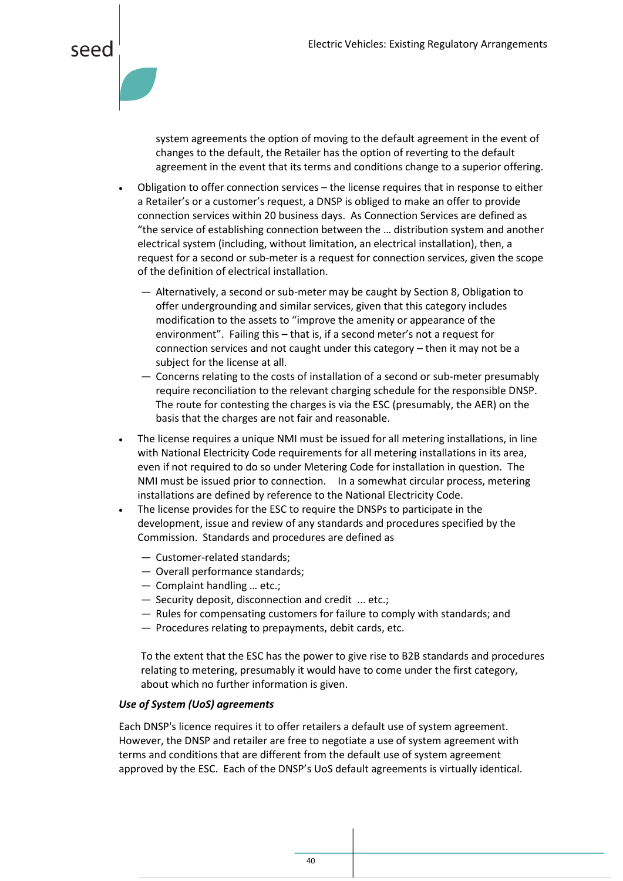

system agreements the option of moving to the default agreement in the event of changes to the default, the Retailer has the option of reverting to the default agreement in the event that its terms and conditions change to a superior offering.

- Obligation to offer connection services the license requires that in response to either a Retailer's or a customer's request, a DNSP is obliged to make an offer to provide connection services within 20 business days. As Connection Services are defined as "the service of establishing connection between the … distribution system and another electrical system (including, without limitation, an electrical installation), then, a request for a second or sub-meter is a request for connection services, given the scope of the definition of electrical installation.
	- ― Alternatively, a second or sub-meter may be caught by Section 8, Obligation to offer undergrounding and similar services, given that this category includes modification to the assets to "improve the amenity or appearance of the environment". Failing this – that is, if a second meter's not a request for connection services and not caught under this category – then it may not be a subject for the license at all.
	- ― Concerns relating to the costs of installation of a second or sub-meter presumably require reconciliation to the relevant charging schedule for the responsible DNSP. The route for contesting the charges is via the ESC (presumably, the AER) on the basis that the charges are not fair and reasonable.
- The license requires a unique NMI must be issued for all metering installations, in line with National Electricity Code requirements for all metering installations in its area, even if not required to do so under Metering Code for installation in question. The NMI must be issued prior to connection. In a somewhat circular process, metering installations are defined by reference to the National Electricity Code.
- The license provides for the ESC to require the DNSPs to participate in the development, issue and review of any standards and procedures specified by the Commission. Standards and procedures are defined as
	- ― Customer-related standards;
	- ― Overall performance standards;
	- ― Complaint handling … etc.;
	- ― Security deposit, disconnection and credit ... etc.;
	- ― Rules for compensating customers for failure to comply with standards; and
	- ― Procedures relating to prepayments, debit cards, etc.

To the extent that the ESC has the power to give rise to B2B standards and procedures relating to metering, presumably it would have to come under the first category, about which no further information is given.

#### *Use of System (UoS) agreements*

Each DNSP's licence requires it to offer retailers a default use of system agreement. However, the DNSP and retailer are free to negotiate a use of system agreement with terms and conditions that are different from the default use of system agreement approved by the ESC. Each of the DNSP's UoS default agreements is virtually identical.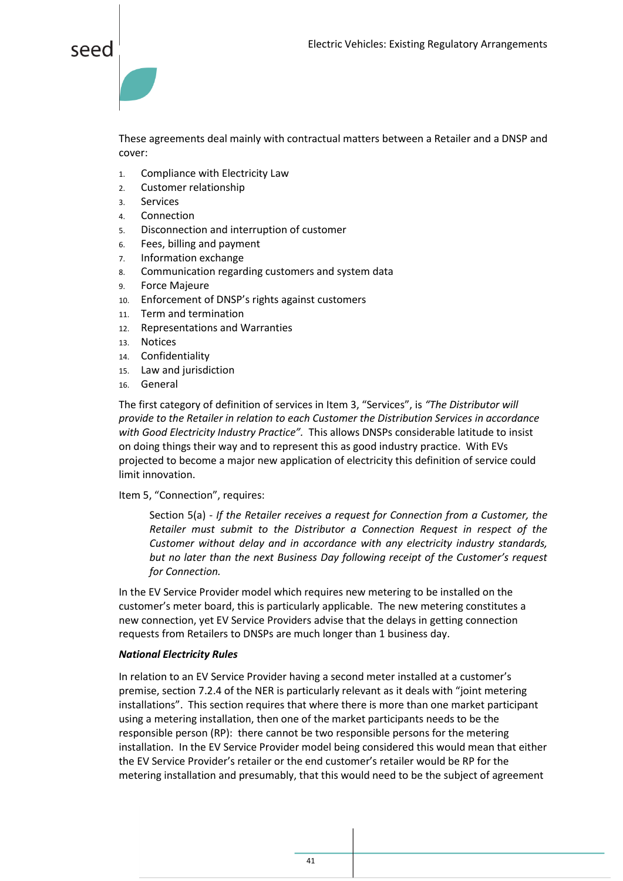

These agreements deal mainly with contractual matters between a Retailer and a DNSP and cover:

- 1. Compliance with Electricity Law
- 2. Customer relationship
- 3. Services
- 4. Connection
- 5. Disconnection and interruption of customer
- 6. Fees, billing and payment
- 7. Information exchange
- 8. Communication regarding customers and system data
- 9. Force Majeure
- 10. Enforcement of DNSP's rights against customers
- 11. Term and termination
- 12. Representations and Warranties
- 13. Notices
- 14. Confidentiality
- 15. Law and jurisdiction
- 16. General

The first category of definition of services in Item 3, "Services", is *"The Distributor will provide to the Retailer in relation to each Customer the Distribution Services in accordance with Good Electricity Industry Practice".* This allows DNSPs considerable latitude to insist on doing things their way and to represent this as good industry practice. With EVs projected to become a major new application of electricity this definition of service could limit innovation.

Item 5, "Connection", requires:

Section 5(a) - *If the Retailer receives a request for Connection from a Customer, the Retailer must submit to the Distributor a Connection Request in respect of the Customer without delay and in accordance with any electricity industry standards, but no later than the next Business Day following receipt of the Customer's request for Connection.*

In the EV Service Provider model which requires new metering to be installed on the customer's meter board, this is particularly applicable. The new metering constitutes a new connection, yet EV Service Providers advise that the delays in getting connection requests from Retailers to DNSPs are much longer than 1 business day.

#### *National Electricity Rules*

In relation to an EV Service Provider having a second meter installed at a customer's premise, section 7.2.4 of the NER is particularly relevant as it deals with "joint metering installations". This section requires that where there is more than one market participant using a metering installation, then one of the market participants needs to be the responsible person (RP): there cannot be two responsible persons for the metering installation. In the EV Service Provider model being considered this would mean that either the EV Service Provider's retailer or the end customer's retailer would be RP for the metering installation and presumably, that this would need to be the subject of agreement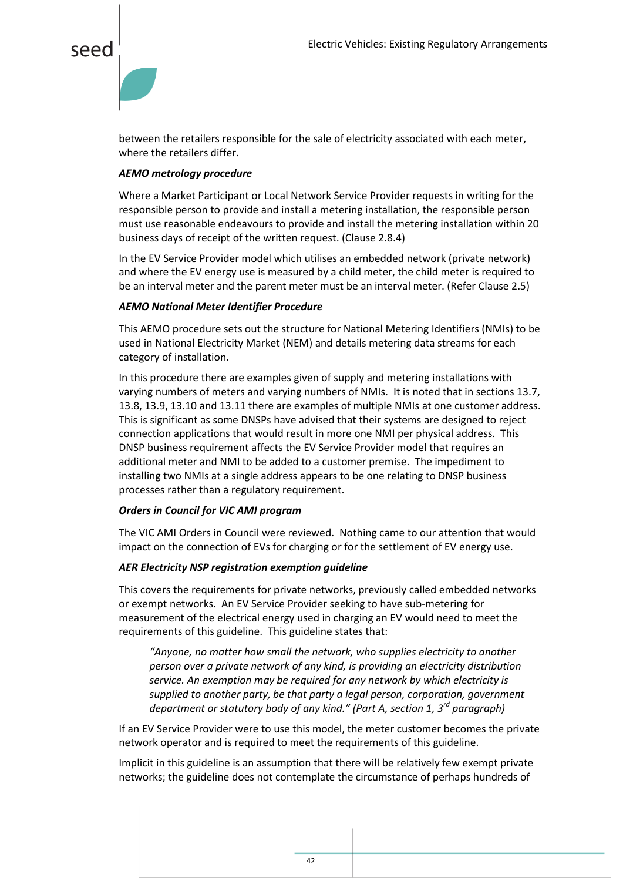



between the retailers responsible for the sale of electricity associated with each meter, where the retailers differ.

#### *AEMO metrology procedure*

Where a Market Participant or Local Network Service Provider requests in writing for the responsible person to provide and install a metering installation, the responsible person must use reasonable endeavours to provide and install the metering installation within 20 business days of receipt of the written request. (Clause 2.8.4)

In the EV Service Provider model which utilises an embedded network (private network) and where the EV energy use is measured by a child meter, the child meter is required to be an interval meter and the parent meter must be an interval meter. (Refer Clause 2.5)

#### *AEMO National Meter Identifier Procedure*

This AEMO procedure sets out the structure for National Metering Identifiers (NMIs) to be used in National Electricity Market (NEM) and details metering data streams for each category of installation.

In this procedure there are examples given of supply and metering installations with varying numbers of meters and varying numbers of NMIs. It is noted that in sections 13.7, 13.8, 13.9, 13.10 and 13.11 there are examples of multiple NMIs at one customer address. This is significant as some DNSPs have advised that their systems are designed to reject connection applications that would result in more one NMI per physical address. This DNSP business requirement affects the EV Service Provider model that requires an additional meter and NMI to be added to a customer premise. The impediment to installing two NMIs at a single address appears to be one relating to DNSP business processes rather than a regulatory requirement.

#### *Orders in Council for VIC AMI program*

The VIC AMI Orders in Council were reviewed. Nothing came to our attention that would impact on the connection of EVs for charging or for the settlement of EV energy use.

#### *AER Electricity NSP registration exemption guideline*

This covers the requirements for private networks, previously called embedded networks or exempt networks. An EV Service Provider seeking to have sub-metering for measurement of the electrical energy used in charging an EV would need to meet the requirements of this guideline. This guideline states that:

*"Anyone, no matter how small the network, who supplies electricity to another person over a private network of any kind, is providing an electricity distribution service. An exemption may be required for any network by which electricity is supplied to another party, be that party a legal person, corporation, government department or statutory body of any kind." (Part A, section 1, 3rd paragraph)*

If an EV Service Provider were to use this model, the meter customer becomes the private network operator and is required to meet the requirements of this guideline.

Implicit in this guideline is an assumption that there will be relatively few exempt private networks; the guideline does not contemplate the circumstance of perhaps hundreds of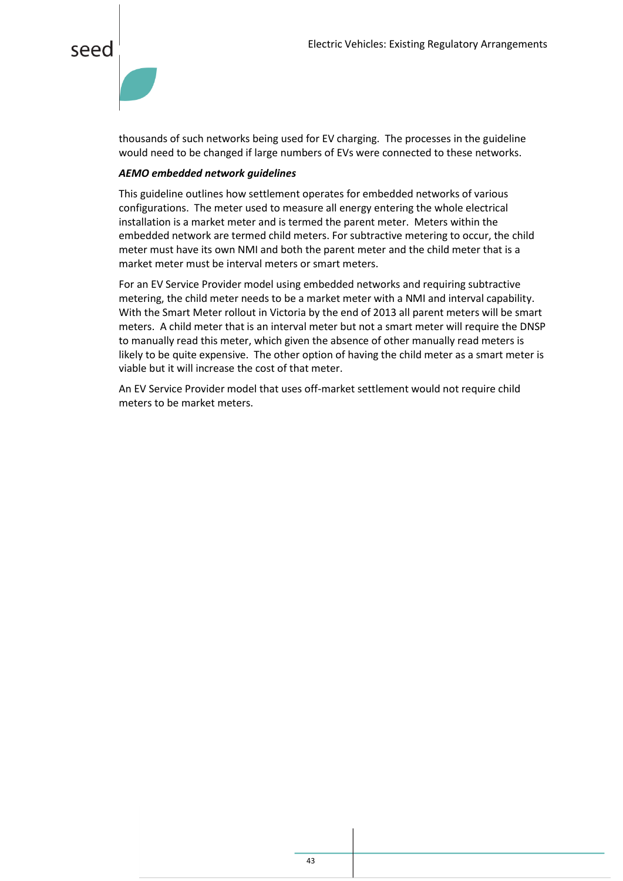

thousands of such networks being used for EV charging. The processes in the guideline would need to be changed if large numbers of EVs were connected to these networks.

#### *AEMO embedded network guidelines*

This guideline outlines how settlement operates for embedded networks of various configurations. The meter used to measure all energy entering the whole electrical installation is a market meter and is termed the parent meter. Meters within the embedded network are termed child meters. For subtractive metering to occur, the child meter must have its own NMI and both the parent meter and the child meter that is a market meter must be interval meters or smart meters.

For an EV Service Provider model using embedded networks and requiring subtractive metering, the child meter needs to be a market meter with a NMI and interval capability. With the Smart Meter rollout in Victoria by the end of 2013 all parent meters will be smart meters. A child meter that is an interval meter but not a smart meter will require the DNSP to manually read this meter, which given the absence of other manually read meters is likely to be quite expensive. The other option of having the child meter as a smart meter is viable but it will increase the cost of that meter.

An EV Service Provider model that uses off-market settlement would not require child meters to be market meters.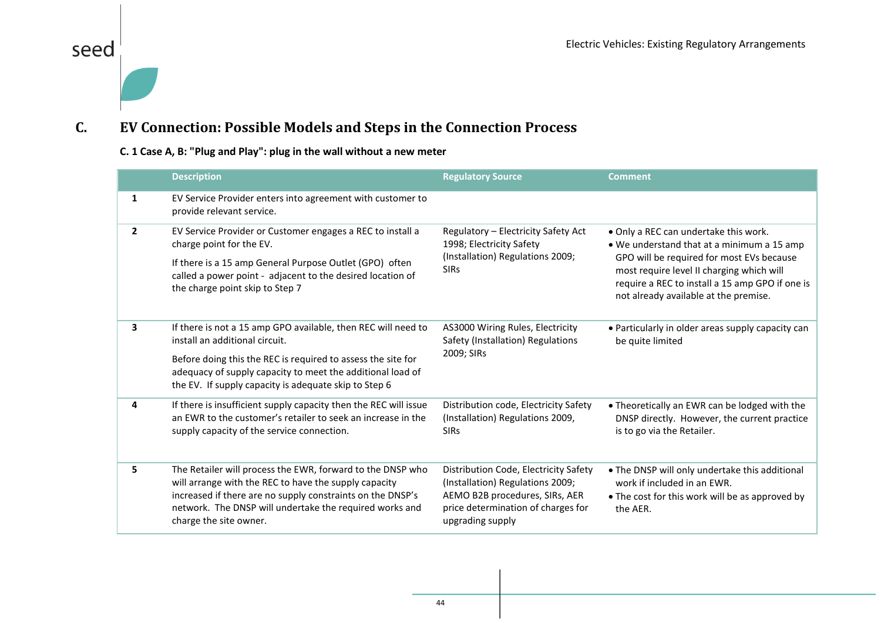#### <span id="page-44-1"></span>**C. EV Connection: Possible Models and Steps in the Connection Process**

#### **C. 1 Case A, B: "Plug and Play": plug in the wall without a new meter**

seed

<span id="page-44-0"></span>

|              | <b>Description</b>                                                                                                                                                                                                                                                                     | <b>Regulatory Source</b>                                                                                                                                              | <b>Comment</b>                                                                                                                                                                                                                                                            |
|--------------|----------------------------------------------------------------------------------------------------------------------------------------------------------------------------------------------------------------------------------------------------------------------------------------|-----------------------------------------------------------------------------------------------------------------------------------------------------------------------|---------------------------------------------------------------------------------------------------------------------------------------------------------------------------------------------------------------------------------------------------------------------------|
| 1            | EV Service Provider enters into agreement with customer to<br>provide relevant service.                                                                                                                                                                                                |                                                                                                                                                                       |                                                                                                                                                                                                                                                                           |
| $\mathbf{2}$ | EV Service Provider or Customer engages a REC to install a<br>charge point for the EV.<br>If there is a 15 amp General Purpose Outlet (GPO) often<br>called a power point - adjacent to the desired location of<br>the charge point skip to Step 7                                     | Regulatory - Electricity Safety Act<br>1998; Electricity Safety<br>(Installation) Regulations 2009;<br><b>SIRs</b>                                                    | . Only a REC can undertake this work.<br>. We understand that at a minimum a 15 amp<br>GPO will be required for most EVs because<br>most require level II charging which will<br>require a REC to install a 15 amp GPO if one is<br>not already available at the premise. |
| 3            | If there is not a 15 amp GPO available, then REC will need to<br>install an additional circuit.<br>Before doing this the REC is required to assess the site for<br>adequacy of supply capacity to meet the additional load of<br>the EV. If supply capacity is adequate skip to Step 6 | AS3000 Wiring Rules, Electricity<br>Safety (Installation) Regulations<br>2009; SIRs                                                                                   | • Particularly in older areas supply capacity can<br>be quite limited                                                                                                                                                                                                     |
| 4            | If there is insufficient supply capacity then the REC will issue<br>an EWR to the customer's retailer to seek an increase in the<br>supply capacity of the service connection.                                                                                                         | Distribution code, Electricity Safety<br>(Installation) Regulations 2009,<br><b>SIRs</b>                                                                              | • Theoretically an EWR can be lodged with the<br>DNSP directly. However, the current practice<br>is to go via the Retailer.                                                                                                                                               |
| 5.           | The Retailer will process the EWR, forward to the DNSP who<br>will arrange with the REC to have the supply capacity<br>increased if there are no supply constraints on the DNSP's<br>network. The DNSP will undertake the required works and<br>charge the site owner.                 | Distribution Code, Electricity Safety<br>(Installation) Regulations 2009;<br>AEMO B2B procedures, SIRs, AER<br>price determination of charges for<br>upgrading supply | . The DNSP will only undertake this additional<br>work if included in an EWR.<br>• The cost for this work will be as approved by<br>the AER.                                                                                                                              |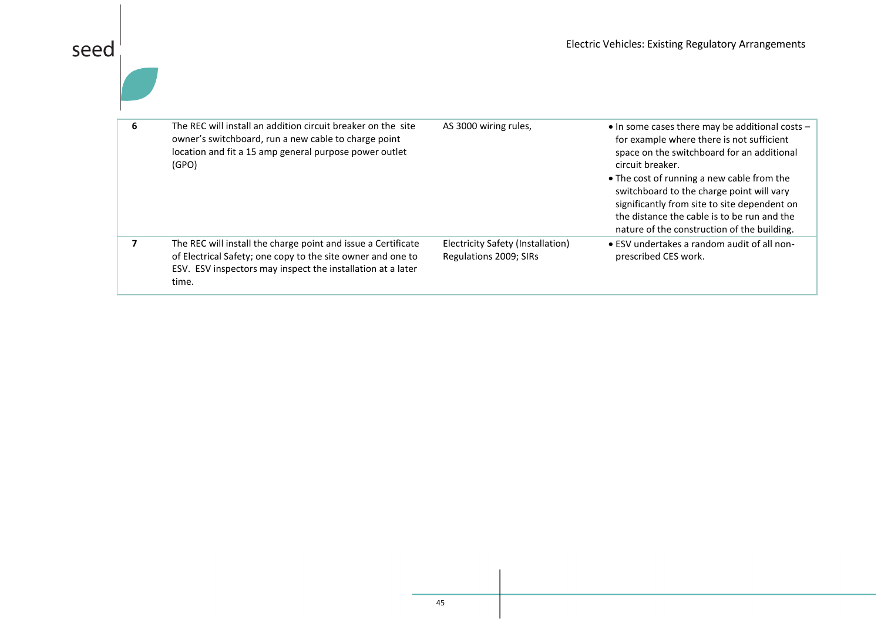| The REC will install an addition circuit breaker on the site<br>owner's switchboard, run a new cable to charge point<br>location and fit a 15 amp general purpose power outlet<br>(GPO)              | AS 3000 wiring rules,                                       | • In some cases there may be additional costs -<br>for example where there is not sufficient<br>space on the switchboard for an additional<br>circuit breaker.<br>• The cost of running a new cable from the<br>switchboard to the charge point will vary<br>significantly from site to site dependent on<br>the distance the cable is to be run and the<br>nature of the construction of the building. |
|------------------------------------------------------------------------------------------------------------------------------------------------------------------------------------------------------|-------------------------------------------------------------|---------------------------------------------------------------------------------------------------------------------------------------------------------------------------------------------------------------------------------------------------------------------------------------------------------------------------------------------------------------------------------------------------------|
| The REC will install the charge point and issue a Certificate<br>of Electrical Safety; one copy to the site owner and one to<br>ESV. ESV inspectors may inspect the installation at a later<br>time. | Electricity Safety (Installation)<br>Regulations 2009; SIRs | • ESV undertakes a random audit of all non-<br>prescribed CES work.                                                                                                                                                                                                                                                                                                                                     |

 $\left| \begin{array}{c} 1 \\ 1 \\ 1 \end{array} \right|$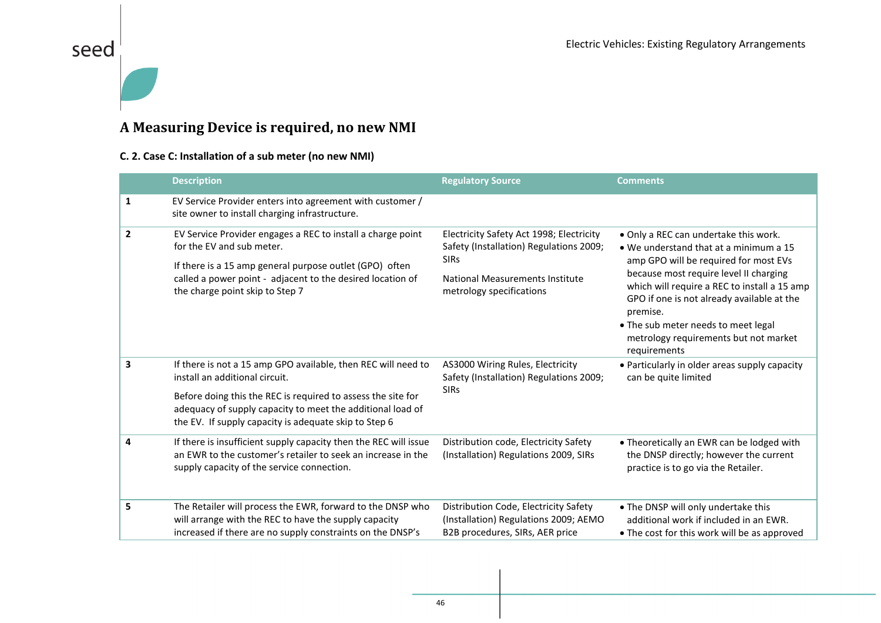## seed

#### **A Measuring Device is required, no new NMI**

#### **C. 2. Case C: Installation of a sub meter (no new NMI)**

|              | <b>Description</b>                                                                                                                                                                                                                                                                     | <b>Regulatory Source</b>                                                                                                                                                 | <b>Comments</b>                                                                                                                                                                                                                                                                                                                                                              |
|--------------|----------------------------------------------------------------------------------------------------------------------------------------------------------------------------------------------------------------------------------------------------------------------------------------|--------------------------------------------------------------------------------------------------------------------------------------------------------------------------|------------------------------------------------------------------------------------------------------------------------------------------------------------------------------------------------------------------------------------------------------------------------------------------------------------------------------------------------------------------------------|
| 1            | EV Service Provider enters into agreement with customer /<br>site owner to install charging infrastructure.                                                                                                                                                                            |                                                                                                                                                                          |                                                                                                                                                                                                                                                                                                                                                                              |
| $\mathbf{2}$ | EV Service Provider engages a REC to install a charge point<br>for the EV and sub meter.<br>If there is a 15 amp general purpose outlet (GPO) often<br>called a power point - adjacent to the desired location of<br>the charge point skip to Step 7                                   | Electricity Safety Act 1998; Electricity<br>Safety (Installation) Regulations 2009;<br><b>SIRs</b><br><b>National Measurements Institute</b><br>metrology specifications | . Only a REC can undertake this work.<br>• We understand that at a minimum a 15<br>amp GPO will be required for most EVs<br>because most require level II charging<br>which will require a REC to install a 15 amp<br>GPO if one is not already available at the<br>premise.<br>• The sub meter needs to meet legal<br>metrology requirements but not market<br>requirements |
| 3            | If there is not a 15 amp GPO available, then REC will need to<br>install an additional circuit.<br>Before doing this the REC is required to assess the site for<br>adequacy of supply capacity to meet the additional load of<br>the EV. If supply capacity is adequate skip to Step 6 | AS3000 Wiring Rules, Electricity<br>Safety (Installation) Regulations 2009;<br><b>SIRs</b>                                                                               | • Particularly in older areas supply capacity<br>can be quite limited                                                                                                                                                                                                                                                                                                        |
| 4            | If there is insufficient supply capacity then the REC will issue<br>an EWR to the customer's retailer to seek an increase in the<br>supply capacity of the service connection.                                                                                                         | Distribution code, Electricity Safety<br>(Installation) Regulations 2009, SIRs                                                                                           | • Theoretically an EWR can be lodged with<br>the DNSP directly; however the current<br>practice is to go via the Retailer.                                                                                                                                                                                                                                                   |
| 5            | The Retailer will process the EWR, forward to the DNSP who<br>will arrange with the REC to have the supply capacity<br>increased if there are no supply constraints on the DNSP's                                                                                                      | Distribution Code, Electricity Safety<br>(Installation) Regulations 2009; AEMO<br>B2B procedures, SIRs, AER price                                                        | . The DNSP will only undertake this<br>additional work if included in an EWR.<br>• The cost for this work will be as approved                                                                                                                                                                                                                                                |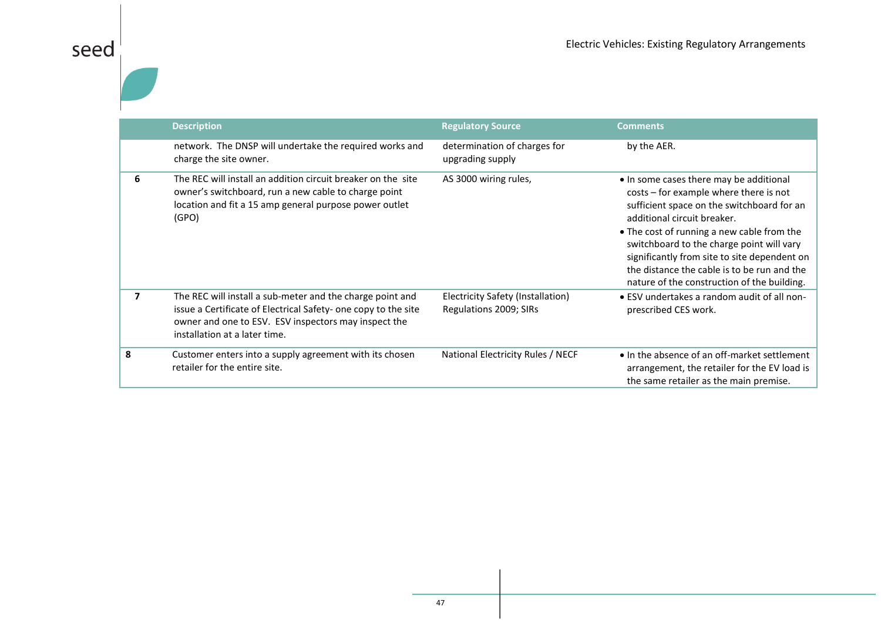|   | <b>Description</b>                                                                                                                                                                                                   | <b>Regulatory Source</b>                                    | <b>Comments</b>                                                                                                                                                                                                                                                                                                                                                                                         |
|---|----------------------------------------------------------------------------------------------------------------------------------------------------------------------------------------------------------------------|-------------------------------------------------------------|---------------------------------------------------------------------------------------------------------------------------------------------------------------------------------------------------------------------------------------------------------------------------------------------------------------------------------------------------------------------------------------------------------|
|   | network. The DNSP will undertake the required works and<br>charge the site owner.                                                                                                                                    | determination of charges for<br>upgrading supply            | by the AER.                                                                                                                                                                                                                                                                                                                                                                                             |
| 6 | The REC will install an addition circuit breaker on the site<br>owner's switchboard, run a new cable to charge point<br>location and fit a 15 amp general purpose power outlet<br>(GPO)                              | AS 3000 wiring rules,                                       | • In some cases there may be additional<br>costs – for example where there is not<br>sufficient space on the switchboard for an<br>additional circuit breaker.<br>• The cost of running a new cable from the<br>switchboard to the charge point will vary<br>significantly from site to site dependent on<br>the distance the cable is to be run and the<br>nature of the construction of the building. |
| 7 | The REC will install a sub-meter and the charge point and<br>issue a Certificate of Electrical Safety- one copy to the site<br>owner and one to ESV. ESV inspectors may inspect the<br>installation at a later time. | Electricity Safety (Installation)<br>Regulations 2009; SIRs | • ESV undertakes a random audit of all non-<br>prescribed CES work.                                                                                                                                                                                                                                                                                                                                     |
| 8 | Customer enters into a supply agreement with its chosen<br>retailer for the entire site.                                                                                                                             | National Electricity Rules / NECF                           | • In the absence of an off-market settlement<br>arrangement, the retailer for the EV load is<br>the same retailer as the main premise.                                                                                                                                                                                                                                                                  |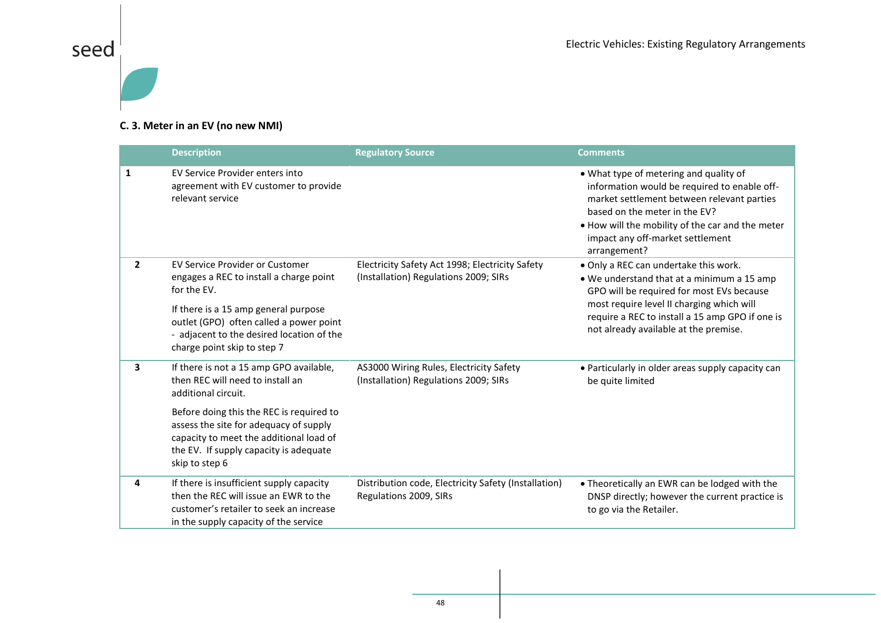

#### **C. 3. Meter in an EV (no new NMI)**

|              | <b>Description</b>                                                                                                                                                                                                                                                                              | <b>Regulatory Source</b>                                                                 | <b>Comments</b>                                                                                                                                                                                                                                                               |
|--------------|-------------------------------------------------------------------------------------------------------------------------------------------------------------------------------------------------------------------------------------------------------------------------------------------------|------------------------------------------------------------------------------------------|-------------------------------------------------------------------------------------------------------------------------------------------------------------------------------------------------------------------------------------------------------------------------------|
| $\mathbf{1}$ | EV Service Provider enters into<br>agreement with EV customer to provide<br>relevant service                                                                                                                                                                                                    |                                                                                          | . What type of metering and quality of<br>information would be required to enable off-<br>market settlement between relevant parties<br>based on the meter in the EV?<br>. How will the mobility of the car and the meter<br>impact any off-market settlement<br>arrangement? |
| $\mathbf{2}$ | EV Service Provider or Customer<br>engages a REC to install a charge point<br>for the EV.<br>If there is a 15 amp general purpose<br>outlet (GPO) often called a power point<br>- adjacent to the desired location of the<br>charge point skip to step 7                                        | Electricity Safety Act 1998; Electricity Safety<br>(Installation) Regulations 2009; SIRs | . Only a REC can undertake this work.<br>. We understand that at a minimum a 15 amp<br>GPO will be required for most EVs because<br>most require level II charging which will<br>require a REC to install a 15 amp GPO if one is<br>not already available at the premise.     |
| 3            | If there is not a 15 amp GPO available,<br>then REC will need to install an<br>additional circuit.<br>Before doing this the REC is required to<br>assess the site for adequacy of supply<br>capacity to meet the additional load of<br>the EV. If supply capacity is adequate<br>skip to step 6 | AS3000 Wiring Rules, Electricity Safety<br>(Installation) Regulations 2009; SIRs         | • Particularly in older areas supply capacity can<br>be quite limited                                                                                                                                                                                                         |
| 4            | If there is insufficient supply capacity<br>then the REC will issue an EWR to the<br>customer's retailer to seek an increase<br>in the supply capacity of the service                                                                                                                           | Distribution code, Electricity Safety (Installation)<br>Regulations 2009, SIRs           | . Theoretically an EWR can be lodged with the<br>DNSP directly; however the current practice is<br>to go via the Retailer.                                                                                                                                                    |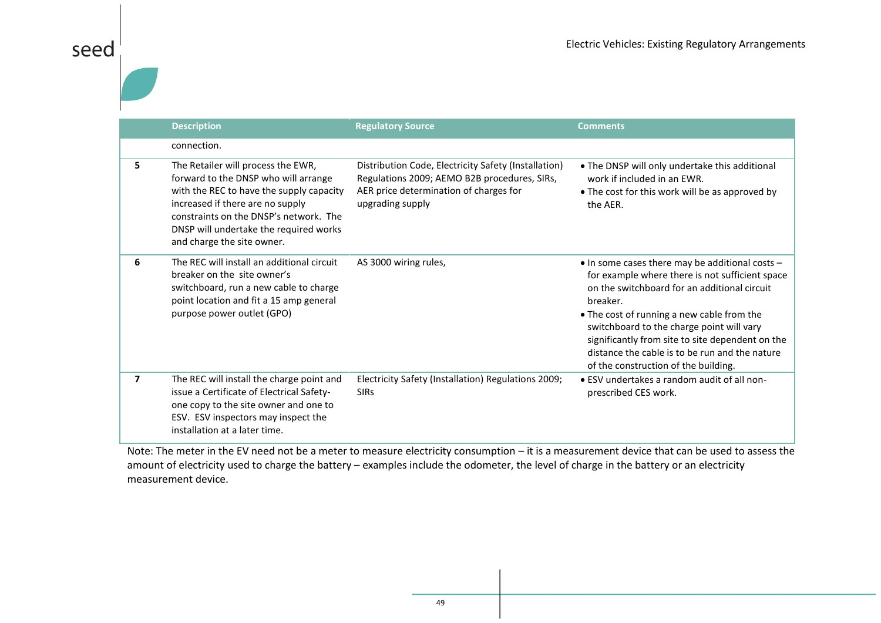|    | <b>Description</b>                                                                                                                                                                                                                                                           | <b>Regulatory Source</b>                                                                                                                                           | <b>Comments</b>                                                                                                                                                                                                                                                                                                                                                                                         |
|----|------------------------------------------------------------------------------------------------------------------------------------------------------------------------------------------------------------------------------------------------------------------------------|--------------------------------------------------------------------------------------------------------------------------------------------------------------------|---------------------------------------------------------------------------------------------------------------------------------------------------------------------------------------------------------------------------------------------------------------------------------------------------------------------------------------------------------------------------------------------------------|
|    | connection.                                                                                                                                                                                                                                                                  |                                                                                                                                                                    |                                                                                                                                                                                                                                                                                                                                                                                                         |
| 5. | The Retailer will process the EWR,<br>forward to the DNSP who will arrange<br>with the REC to have the supply capacity<br>increased if there are no supply<br>constraints on the DNSP's network. The<br>DNSP will undertake the required works<br>and charge the site owner. | Distribution Code, Electricity Safety (Installation)<br>Regulations 2009; AEMO B2B procedures, SIRs,<br>AER price determination of charges for<br>upgrading supply | . The DNSP will only undertake this additional<br>work if included in an EWR.<br>• The cost for this work will be as approved by<br>the AER.                                                                                                                                                                                                                                                            |
| 6  | The REC will install an additional circuit<br>breaker on the site owner's<br>switchboard, run a new cable to charge<br>point location and fit a 15 amp general<br>purpose power outlet (GPO)                                                                                 | AS 3000 wiring rules,                                                                                                                                              | • In some cases there may be additional costs -<br>for example where there is not sufficient space<br>on the switchboard for an additional circuit<br>breaker.<br>• The cost of running a new cable from the<br>switchboard to the charge point will vary<br>significantly from site to site dependent on the<br>distance the cable is to be run and the nature<br>of the construction of the building. |
| 7  | The REC will install the charge point and<br>issue a Certificate of Electrical Safety-<br>one copy to the site owner and one to<br>ESV. ESV inspectors may inspect the<br>installation at a later time.                                                                      | Electricity Safety (Installation) Regulations 2009;<br><b>SIRs</b>                                                                                                 | • ESV undertakes a random audit of all non-<br>prescribed CES work.                                                                                                                                                                                                                                                                                                                                     |

Note: The meter in the EV need not be a meter to measure electricity consumption – it is a measurement device that can be used to assess the amount of electricity used to charge the battery – examples include the odometer, the level of charge in the battery or an electricity measurement device.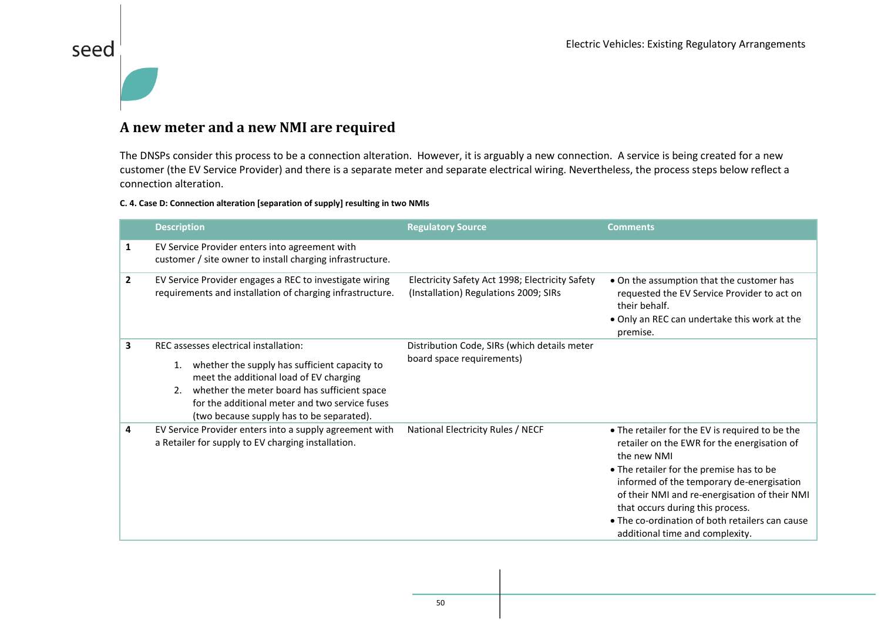#### **A new meter and a new NMI are required**

seed

The DNSPs consider this process to be a connection alteration. However, it is arguably a new connection. A service is being created for a new customer (the EV Service Provider) and there is a separate meter and separate electrical wiring. Nevertheless, the process steps below reflect a connection alteration.

#### **C. 4. Case D: Connection alteration [separation of supply] resulting in two NMIs**

|              | <b>Description</b>                                                                                                                                                                                                                                                                           | <b>Regulatory Source</b>                                                                 | <b>Comments</b>                                                                                                                                                                                                                                                                                                                                                                   |
|--------------|----------------------------------------------------------------------------------------------------------------------------------------------------------------------------------------------------------------------------------------------------------------------------------------------|------------------------------------------------------------------------------------------|-----------------------------------------------------------------------------------------------------------------------------------------------------------------------------------------------------------------------------------------------------------------------------------------------------------------------------------------------------------------------------------|
| 1            | EV Service Provider enters into agreement with<br>customer / site owner to install charging infrastructure.                                                                                                                                                                                  |                                                                                          |                                                                                                                                                                                                                                                                                                                                                                                   |
| $\mathbf{2}$ | EV Service Provider engages a REC to investigate wiring<br>requirements and installation of charging infrastructure.                                                                                                                                                                         | Electricity Safety Act 1998; Electricity Safety<br>(Installation) Regulations 2009; SIRs | • On the assumption that the customer has<br>requested the EV Service Provider to act on<br>their behalf.<br>. Only an REC can undertake this work at the<br>premise.                                                                                                                                                                                                             |
| 3            | REC assesses electrical installation:<br>whether the supply has sufficient capacity to<br>1.<br>meet the additional load of EV charging<br>whether the meter board has sufficient space<br>2.<br>for the additional meter and two service fuses<br>(two because supply has to be separated). | Distribution Code, SIRs (which details meter<br>board space requirements)                |                                                                                                                                                                                                                                                                                                                                                                                   |
| 4            | EV Service Provider enters into a supply agreement with<br>a Retailer for supply to EV charging installation.                                                                                                                                                                                | National Electricity Rules / NECF                                                        | • The retailer for the EV is required to be the<br>retailer on the EWR for the energisation of<br>the new NMI<br>• The retailer for the premise has to be<br>informed of the temporary de-energisation<br>of their NMI and re-energisation of their NMI<br>that occurs during this process.<br>• The co-ordination of both retailers can cause<br>additional time and complexity. |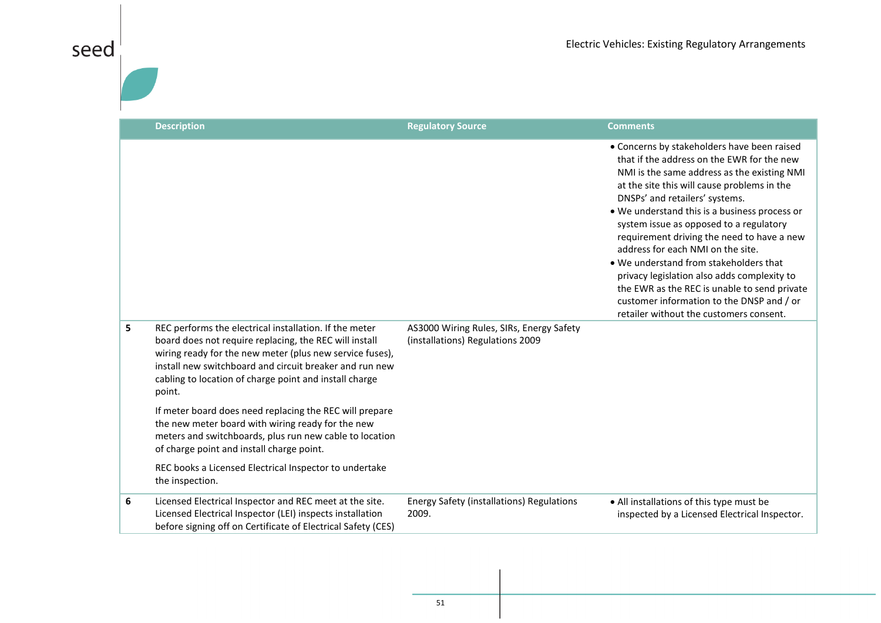|   | <b>Description</b>                                                                                                                                                                                                                                                                                          | <b>Regulatory Source</b>                                                     | <b>Comments</b>                                                                                                                                                                                                                                                                                                                                                                                                                                                                                                                                                                                                                           |
|---|-------------------------------------------------------------------------------------------------------------------------------------------------------------------------------------------------------------------------------------------------------------------------------------------------------------|------------------------------------------------------------------------------|-------------------------------------------------------------------------------------------------------------------------------------------------------------------------------------------------------------------------------------------------------------------------------------------------------------------------------------------------------------------------------------------------------------------------------------------------------------------------------------------------------------------------------------------------------------------------------------------------------------------------------------------|
|   |                                                                                                                                                                                                                                                                                                             |                                                                              | • Concerns by stakeholders have been raised<br>that if the address on the EWR for the new<br>NMI is the same address as the existing NMI<br>at the site this will cause problems in the<br>DNSPs' and retailers' systems.<br>. We understand this is a business process or<br>system issue as opposed to a regulatory<br>requirement driving the need to have a new<br>address for each NMI on the site.<br>• We understand from stakeholders that<br>privacy legislation also adds complexity to<br>the EWR as the REC is unable to send private<br>customer information to the DNSP and / or<br>retailer without the customers consent. |
| 5 | REC performs the electrical installation. If the meter<br>board does not require replacing, the REC will install<br>wiring ready for the new meter (plus new service fuses),<br>install new switchboard and circuit breaker and run new<br>cabling to location of charge point and install charge<br>point. | AS3000 Wiring Rules, SIRs, Energy Safety<br>(installations) Regulations 2009 |                                                                                                                                                                                                                                                                                                                                                                                                                                                                                                                                                                                                                                           |
|   | If meter board does need replacing the REC will prepare<br>the new meter board with wiring ready for the new<br>meters and switchboards, plus run new cable to location<br>of charge point and install charge point.                                                                                        |                                                                              |                                                                                                                                                                                                                                                                                                                                                                                                                                                                                                                                                                                                                                           |
|   | REC books a Licensed Electrical Inspector to undertake<br>the inspection.                                                                                                                                                                                                                                   |                                                                              |                                                                                                                                                                                                                                                                                                                                                                                                                                                                                                                                                                                                                                           |
| 6 | Licensed Electrical Inspector and REC meet at the site.<br>Licensed Electrical Inspector (LEI) inspects installation<br>before signing off on Certificate of Electrical Safety (CES)                                                                                                                        | <b>Energy Safety (installations) Regulations</b><br>2009.                    | • All installations of this type must be<br>inspected by a Licensed Electrical Inspector.                                                                                                                                                                                                                                                                                                                                                                                                                                                                                                                                                 |

seed $\vert$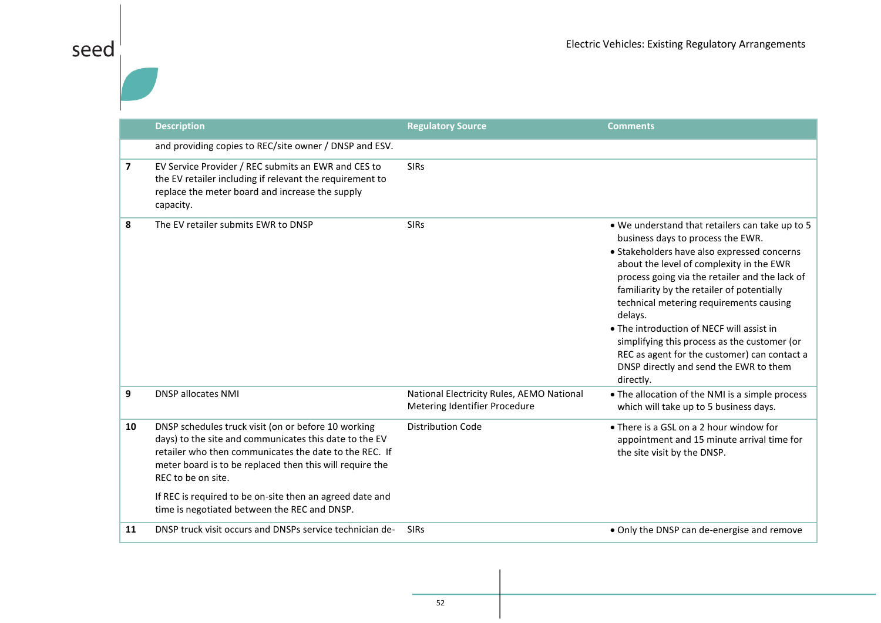|                          | <b>Description</b>                                                                                                                                                                                                                                                                                                                                                    | <b>Regulatory Source</b>                                                   | <b>Comments</b>                                                                                                                                                                                                                                                                                                                                                                                                                                                                                                                           |
|--------------------------|-----------------------------------------------------------------------------------------------------------------------------------------------------------------------------------------------------------------------------------------------------------------------------------------------------------------------------------------------------------------------|----------------------------------------------------------------------------|-------------------------------------------------------------------------------------------------------------------------------------------------------------------------------------------------------------------------------------------------------------------------------------------------------------------------------------------------------------------------------------------------------------------------------------------------------------------------------------------------------------------------------------------|
|                          | and providing copies to REC/site owner / DNSP and ESV.                                                                                                                                                                                                                                                                                                                |                                                                            |                                                                                                                                                                                                                                                                                                                                                                                                                                                                                                                                           |
| $\overline{\phantom{a}}$ | EV Service Provider / REC submits an EWR and CES to<br>the EV retailer including if relevant the requirement to<br>replace the meter board and increase the supply<br>capacity.                                                                                                                                                                                       | <b>SIRs</b>                                                                |                                                                                                                                                                                                                                                                                                                                                                                                                                                                                                                                           |
| 8                        | The EV retailer submits EWR to DNSP                                                                                                                                                                                                                                                                                                                                   | <b>SIRs</b>                                                                | . We understand that retailers can take up to 5<br>business days to process the EWR.<br>• Stakeholders have also expressed concerns<br>about the level of complexity in the EWR<br>process going via the retailer and the lack of<br>familiarity by the retailer of potentially<br>technical metering requirements causing<br>delays.<br>• The introduction of NECF will assist in<br>simplifying this process as the customer (or<br>REC as agent for the customer) can contact a<br>DNSP directly and send the EWR to them<br>directly. |
| 9                        | <b>DNSP allocates NMI</b>                                                                                                                                                                                                                                                                                                                                             | National Electricity Rules, AEMO National<br>Metering Identifier Procedure | • The allocation of the NMI is a simple process<br>which will take up to 5 business days.                                                                                                                                                                                                                                                                                                                                                                                                                                                 |
| 10                       | DNSP schedules truck visit (on or before 10 working<br>days) to the site and communicates this date to the EV<br>retailer who then communicates the date to the REC. If<br>meter board is to be replaced then this will require the<br>REC to be on site.<br>If REC is required to be on-site then an agreed date and<br>time is negotiated between the REC and DNSP. | <b>Distribution Code</b>                                                   | • There is a GSL on a 2 hour window for<br>appointment and 15 minute arrival time for<br>the site visit by the DNSP.                                                                                                                                                                                                                                                                                                                                                                                                                      |
| 11                       | DNSP truck visit occurs and DNSPs service technician de-                                                                                                                                                                                                                                                                                                              | <b>SIRs</b>                                                                | • Only the DNSP can de-energise and remove                                                                                                                                                                                                                                                                                                                                                                                                                                                                                                |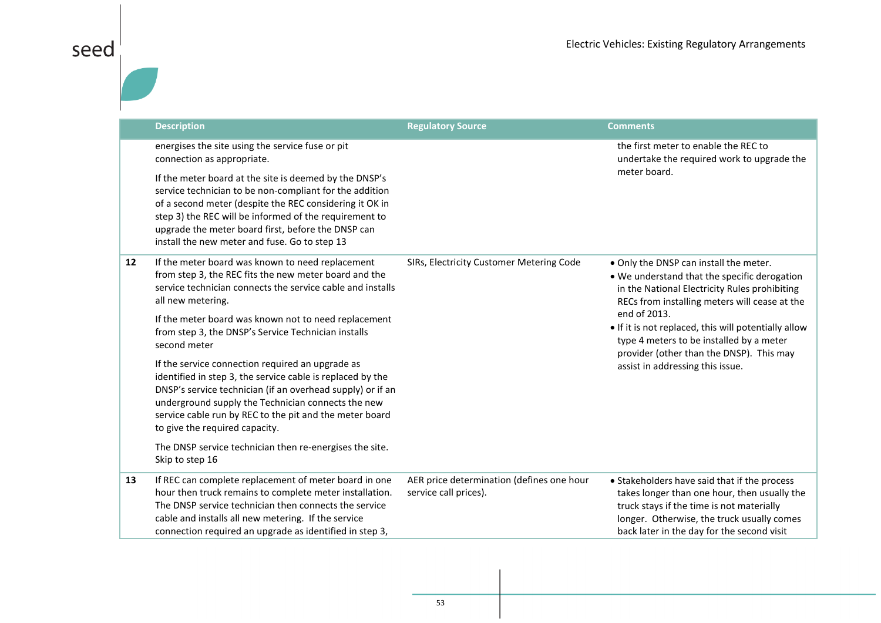|    | <b>Description</b>                                                                                                                                                                                                                                                                                                                                                             | <b>Regulatory Source</b>                                           | <b>Comments</b>                                                                                                                                                                                                                       |
|----|--------------------------------------------------------------------------------------------------------------------------------------------------------------------------------------------------------------------------------------------------------------------------------------------------------------------------------------------------------------------------------|--------------------------------------------------------------------|---------------------------------------------------------------------------------------------------------------------------------------------------------------------------------------------------------------------------------------|
|    | energises the site using the service fuse or pit<br>connection as appropriate.<br>If the meter board at the site is deemed by the DNSP's<br>service technician to be non-compliant for the addition<br>of a second meter (despite the REC considering it OK in<br>step 3) the REC will be informed of the requirement to<br>upgrade the meter board first, before the DNSP can |                                                                    | the first meter to enable the REC to<br>undertake the required work to upgrade the<br>meter board.                                                                                                                                    |
|    | install the new meter and fuse. Go to step 13                                                                                                                                                                                                                                                                                                                                  |                                                                    |                                                                                                                                                                                                                                       |
| 12 | If the meter board was known to need replacement<br>from step 3, the REC fits the new meter board and the<br>service technician connects the service cable and installs<br>all new metering.                                                                                                                                                                                   | SIRs, Electricity Customer Metering Code                           | . Only the DNSP can install the meter.<br>. We understand that the specific derogation<br>in the National Electricity Rules prohibiting<br>RECs from installing meters will cease at the                                              |
|    | If the meter board was known not to need replacement<br>from step 3, the DNSP's Service Technician installs<br>second meter                                                                                                                                                                                                                                                    |                                                                    | end of 2013.<br>• If it is not replaced, this will potentially allow<br>type 4 meters to be installed by a meter<br>provider (other than the DNSP). This may                                                                          |
|    | If the service connection required an upgrade as<br>identified in step 3, the service cable is replaced by the<br>DNSP's service technician (if an overhead supply) or if an<br>underground supply the Technician connects the new<br>service cable run by REC to the pit and the meter board<br>to give the required capacity.                                                |                                                                    | assist in addressing this issue.                                                                                                                                                                                                      |
|    | The DNSP service technician then re-energises the site.<br>Skip to step 16                                                                                                                                                                                                                                                                                                     |                                                                    |                                                                                                                                                                                                                                       |
| 13 | If REC can complete replacement of meter board in one<br>hour then truck remains to complete meter installation.<br>The DNSP service technician then connects the service<br>cable and installs all new metering. If the service<br>connection required an upgrade as identified in step 3,                                                                                    | AER price determination (defines one hour<br>service call prices). | • Stakeholders have said that if the process<br>takes longer than one hour, then usually the<br>truck stays if the time is not materially<br>longer. Otherwise, the truck usually comes<br>back later in the day for the second visit |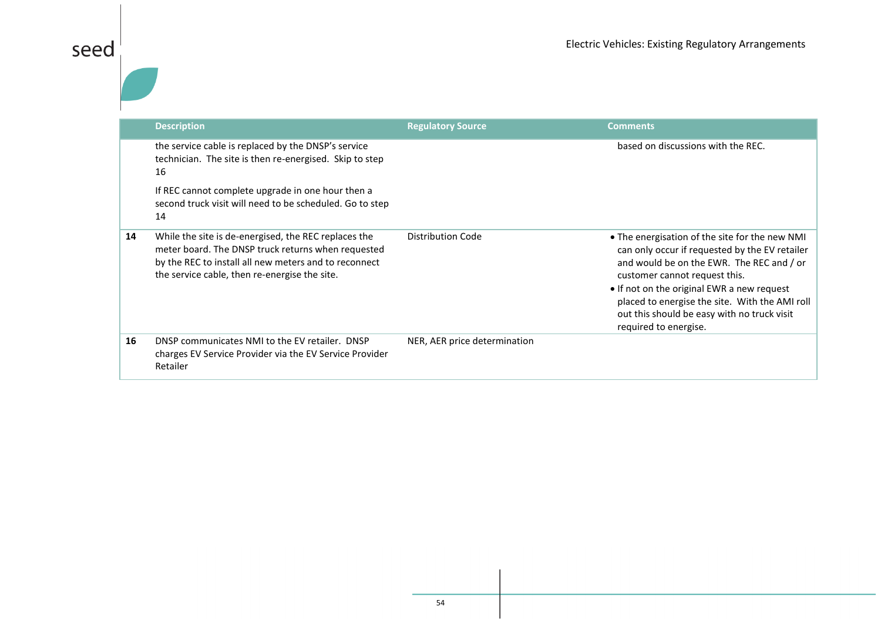|    | <b>Description</b>                                                                                                                                                                                                   | <b>Regulatory Source</b>     | <b>Comments</b>                                                                                                                                                                                                                                                                                                                                        |
|----|----------------------------------------------------------------------------------------------------------------------------------------------------------------------------------------------------------------------|------------------------------|--------------------------------------------------------------------------------------------------------------------------------------------------------------------------------------------------------------------------------------------------------------------------------------------------------------------------------------------------------|
|    | the service cable is replaced by the DNSP's service<br>technician. The site is then re-energised. Skip to step<br>16                                                                                                 |                              | based on discussions with the REC.                                                                                                                                                                                                                                                                                                                     |
|    | If REC cannot complete upgrade in one hour then a<br>second truck visit will need to be scheduled. Go to step<br>14                                                                                                  |                              |                                                                                                                                                                                                                                                                                                                                                        |
| 14 | While the site is de-energised, the REC replaces the<br>meter board. The DNSP truck returns when requested<br>by the REC to install all new meters and to reconnect<br>the service cable, then re-energise the site. | <b>Distribution Code</b>     | • The energisation of the site for the new NMI<br>can only occur if requested by the EV retailer<br>and would be on the EWR. The REC and / or<br>customer cannot request this.<br>• If not on the original EWR a new request<br>placed to energise the site. With the AMI roll<br>out this should be easy with no truck visit<br>required to energise. |
| 16 | DNSP communicates NMI to the EV retailer. DNSP<br>charges EV Service Provider via the EV Service Provider<br>Retailer                                                                                                | NER, AER price determination |                                                                                                                                                                                                                                                                                                                                                        |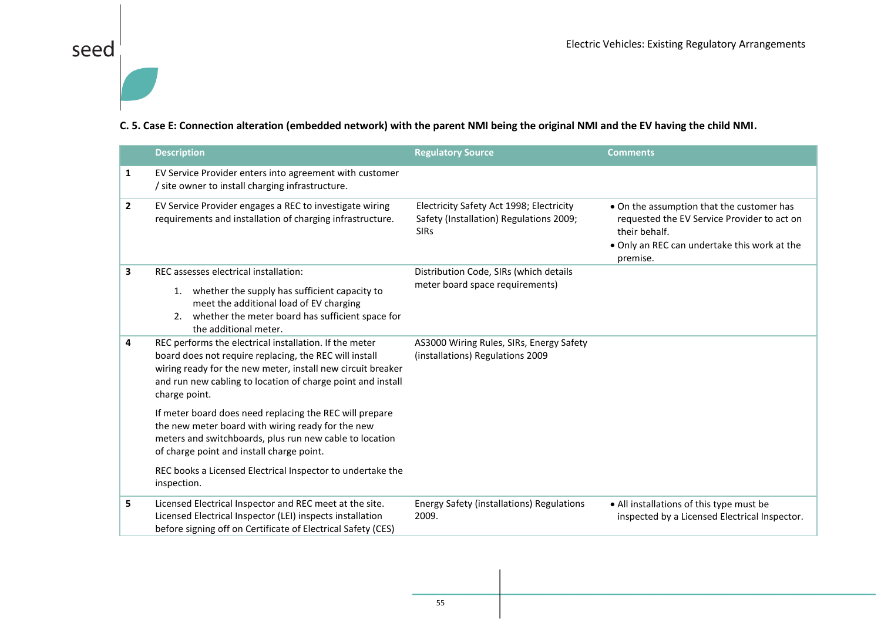# seed $\frac{1}{\vert}$

#### **C. 5. Case E: Connection alteration (embedded network) with the parent NMI being the original NMI and the EV having the child NMI.**

|                | <b>Description</b>                                                                                                                                                                                                                                              | <b>Regulatory Source</b>                                                                           | <b>Comments</b>                                                                                                                                                       |
|----------------|-----------------------------------------------------------------------------------------------------------------------------------------------------------------------------------------------------------------------------------------------------------------|----------------------------------------------------------------------------------------------------|-----------------------------------------------------------------------------------------------------------------------------------------------------------------------|
| 1              | EV Service Provider enters into agreement with customer<br>/ site owner to install charging infrastructure.                                                                                                                                                     |                                                                                                    |                                                                                                                                                                       |
| $\overline{2}$ | EV Service Provider engages a REC to investigate wiring<br>requirements and installation of charging infrastructure.                                                                                                                                            | Electricity Safety Act 1998; Electricity<br>Safety (Installation) Regulations 2009;<br><b>SIRs</b> | . On the assumption that the customer has<br>requested the EV Service Provider to act on<br>their behalf.<br>. Only an REC can undertake this work at the<br>premise. |
| 3              | REC assesses electrical installation:<br>1. whether the supply has sufficient capacity to<br>meet the additional load of EV charging<br>2. whether the meter board has sufficient space for<br>the additional meter.                                            | Distribution Code, SIRs (which details<br>meter board space requirements)                          |                                                                                                                                                                       |
| 4              | REC performs the electrical installation. If the meter<br>board does not require replacing, the REC will install<br>wiring ready for the new meter, install new circuit breaker<br>and run new cabling to location of charge point and install<br>charge point. | AS3000 Wiring Rules, SIRs, Energy Safety<br>(installations) Regulations 2009                       |                                                                                                                                                                       |
|                | If meter board does need replacing the REC will prepare<br>the new meter board with wiring ready for the new<br>meters and switchboards, plus run new cable to location<br>of charge point and install charge point.                                            |                                                                                                    |                                                                                                                                                                       |
|                | REC books a Licensed Electrical Inspector to undertake the<br>inspection.                                                                                                                                                                                       |                                                                                                    |                                                                                                                                                                       |
| 5              | Licensed Electrical Inspector and REC meet at the site.<br>Licensed Electrical Inspector (LEI) inspects installation<br>before signing off on Certificate of Electrical Safety (CES)                                                                            | <b>Energy Safety (installations) Regulations</b><br>2009.                                          | • All installations of this type must be<br>inspected by a Licensed Electrical Inspector.                                                                             |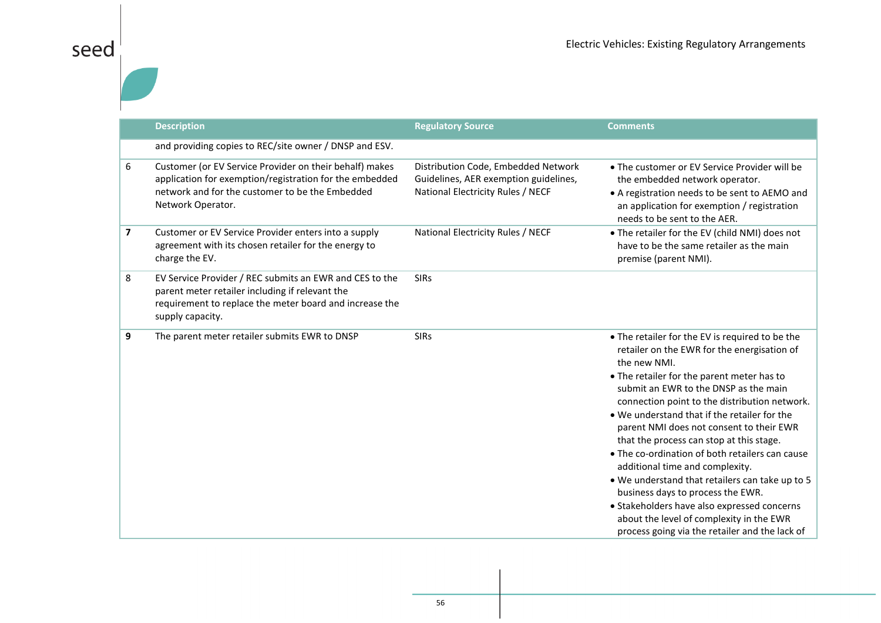|                         | <b>Description</b>                                                                                                                                                                         | <b>Regulatory Source</b>                                                                                          | <b>Comments</b>                                                                                                                                                                                                                                                                                                                                                                                                                                                                                                                                                                                                                                                                                                           |
|-------------------------|--------------------------------------------------------------------------------------------------------------------------------------------------------------------------------------------|-------------------------------------------------------------------------------------------------------------------|---------------------------------------------------------------------------------------------------------------------------------------------------------------------------------------------------------------------------------------------------------------------------------------------------------------------------------------------------------------------------------------------------------------------------------------------------------------------------------------------------------------------------------------------------------------------------------------------------------------------------------------------------------------------------------------------------------------------------|
|                         | and providing copies to REC/site owner / DNSP and ESV.                                                                                                                                     |                                                                                                                   |                                                                                                                                                                                                                                                                                                                                                                                                                                                                                                                                                                                                                                                                                                                           |
| 6                       | Customer (or EV Service Provider on their behalf) makes<br>application for exemption/registration for the embedded<br>network and for the customer to be the Embedded<br>Network Operator. | Distribution Code, Embedded Network<br>Guidelines, AER exemption guidelines,<br>National Electricity Rules / NECF | • The customer or EV Service Provider will be<br>the embedded network operator.<br>• A registration needs to be sent to AEMO and<br>an application for exemption / registration<br>needs to be sent to the AER.                                                                                                                                                                                                                                                                                                                                                                                                                                                                                                           |
| $\overline{\mathbf{z}}$ | Customer or EV Service Provider enters into a supply<br>agreement with its chosen retailer for the energy to<br>charge the EV.                                                             | National Electricity Rules / NECF                                                                                 | . The retailer for the EV (child NMI) does not<br>have to be the same retailer as the main<br>premise (parent NMI).                                                                                                                                                                                                                                                                                                                                                                                                                                                                                                                                                                                                       |
| 8                       | EV Service Provider / REC submits an EWR and CES to the<br>parent meter retailer including if relevant the<br>requirement to replace the meter board and increase the<br>supply capacity.  | <b>SIRs</b>                                                                                                       |                                                                                                                                                                                                                                                                                                                                                                                                                                                                                                                                                                                                                                                                                                                           |
| 9                       | The parent meter retailer submits EWR to DNSP                                                                                                                                              | <b>SIRs</b>                                                                                                       | • The retailer for the EV is required to be the<br>retailer on the EWR for the energisation of<br>the new NMI.<br>• The retailer for the parent meter has to<br>submit an EWR to the DNSP as the main<br>connection point to the distribution network.<br>. We understand that if the retailer for the<br>parent NMI does not consent to their EWR<br>that the process can stop at this stage.<br>• The co-ordination of both retailers can cause<br>additional time and complexity.<br>. We understand that retailers can take up to 5<br>business days to process the EWR.<br>• Stakeholders have also expressed concerns<br>about the level of complexity in the EWR<br>process going via the retailer and the lack of |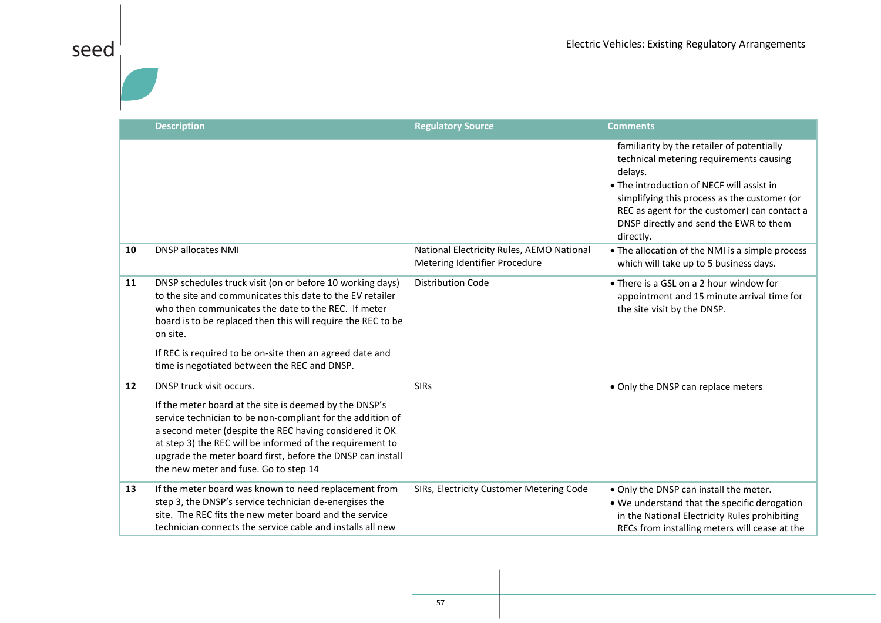| eec<br>$\varsigma$ |
|--------------------|
|--------------------|

|    | <b>Description</b>                                                                                                                                                                                                                                                                                                                                                    | <b>Regulatory Source</b>                                                   | <b>Comments</b>                                                                                                                                                                                                                                                                                      |
|----|-----------------------------------------------------------------------------------------------------------------------------------------------------------------------------------------------------------------------------------------------------------------------------------------------------------------------------------------------------------------------|----------------------------------------------------------------------------|------------------------------------------------------------------------------------------------------------------------------------------------------------------------------------------------------------------------------------------------------------------------------------------------------|
|    |                                                                                                                                                                                                                                                                                                                                                                       |                                                                            | familiarity by the retailer of potentially<br>technical metering requirements causing<br>delays.<br>• The introduction of NECF will assist in<br>simplifying this process as the customer (or<br>REC as agent for the customer) can contact a<br>DNSP directly and send the EWR to them<br>directly. |
| 10 | <b>DNSP allocates NMI</b>                                                                                                                                                                                                                                                                                                                                             | National Electricity Rules, AEMO National<br>Metering Identifier Procedure | • The allocation of the NMI is a simple process<br>which will take up to 5 business days.                                                                                                                                                                                                            |
| 11 | DNSP schedules truck visit (on or before 10 working days)<br>to the site and communicates this date to the EV retailer<br>who then communicates the date to the REC. If meter<br>board is to be replaced then this will require the REC to be<br>on site.<br>If REC is required to be on-site then an agreed date and<br>time is negotiated between the REC and DNSP. | <b>Distribution Code</b>                                                   | • There is a GSL on a 2 hour window for<br>appointment and 15 minute arrival time for<br>the site visit by the DNSP.                                                                                                                                                                                 |
| 12 | DNSP truck visit occurs.                                                                                                                                                                                                                                                                                                                                              | <b>SIRs</b>                                                                | • Only the DNSP can replace meters                                                                                                                                                                                                                                                                   |
|    | If the meter board at the site is deemed by the DNSP's<br>service technician to be non-compliant for the addition of<br>a second meter (despite the REC having considered it OK<br>at step 3) the REC will be informed of the requirement to<br>upgrade the meter board first, before the DNSP can install<br>the new meter and fuse. Go to step 14                   |                                                                            |                                                                                                                                                                                                                                                                                                      |
| 13 | If the meter board was known to need replacement from<br>step 3, the DNSP's service technician de-energises the<br>site. The REC fits the new meter board and the service<br>technician connects the service cable and installs all new                                                                                                                               | SIRs, Electricity Customer Metering Code                                   | . Only the DNSP can install the meter.<br>. We understand that the specific derogation<br>in the National Electricity Rules prohibiting<br>RECs from installing meters will cease at the                                                                                                             |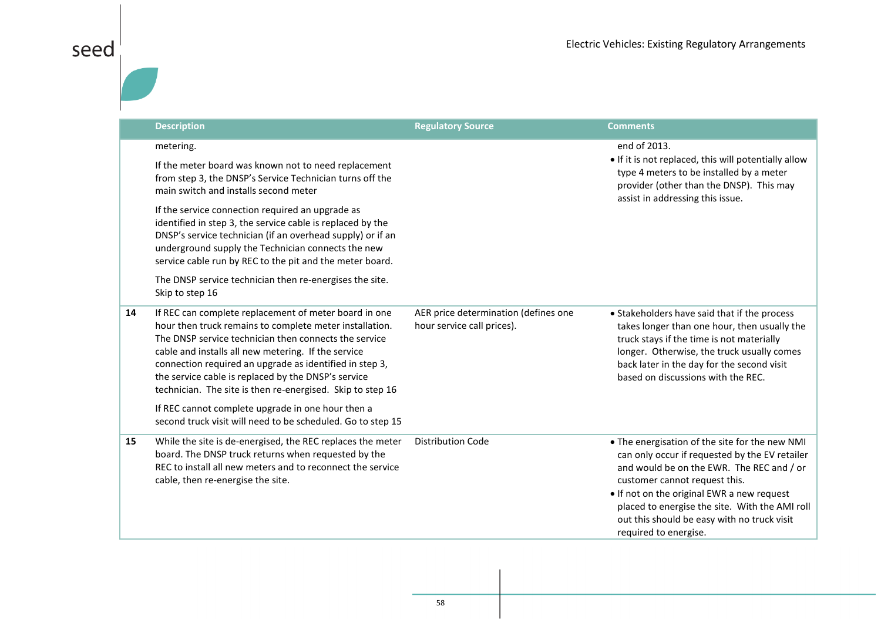|    | <b>Description</b>                                                                                                                                                                                                                                                                                                                                                                                                                                                                                                                                     | <b>Regulatory Source</b>                                           | <b>Comments</b>                                                                                                                                                                                                                                                                                                                                        |
|----|--------------------------------------------------------------------------------------------------------------------------------------------------------------------------------------------------------------------------------------------------------------------------------------------------------------------------------------------------------------------------------------------------------------------------------------------------------------------------------------------------------------------------------------------------------|--------------------------------------------------------------------|--------------------------------------------------------------------------------------------------------------------------------------------------------------------------------------------------------------------------------------------------------------------------------------------------------------------------------------------------------|
|    | metering.<br>If the meter board was known not to need replacement<br>from step 3, the DNSP's Service Technician turns off the<br>main switch and installs second meter<br>If the service connection required an upgrade as<br>identified in step 3, the service cable is replaced by the<br>DNSP's service technician (if an overhead supply) or if an<br>underground supply the Technician connects the new<br>service cable run by REC to the pit and the meter board.<br>The DNSP service technician then re-energises the site.<br>Skip to step 16 |                                                                    | end of 2013.<br>• If it is not replaced, this will potentially allow<br>type 4 meters to be installed by a meter<br>provider (other than the DNSP). This may<br>assist in addressing this issue.                                                                                                                                                       |
| 14 | If REC can complete replacement of meter board in one<br>hour then truck remains to complete meter installation.<br>The DNSP service technician then connects the service<br>cable and installs all new metering. If the service<br>connection required an upgrade as identified in step 3,<br>the service cable is replaced by the DNSP's service<br>technician. The site is then re-energised. Skip to step 16<br>If REC cannot complete upgrade in one hour then a<br>second truck visit will need to be scheduled. Go to step 15                   | AER price determination (defines one<br>hour service call prices). | • Stakeholders have said that if the process<br>takes longer than one hour, then usually the<br>truck stays if the time is not materially<br>longer. Otherwise, the truck usually comes<br>back later in the day for the second visit<br>based on discussions with the REC.                                                                            |
| 15 | While the site is de-energised, the REC replaces the meter<br>board. The DNSP truck returns when requested by the<br>REC to install all new meters and to reconnect the service<br>cable, then re-energise the site.                                                                                                                                                                                                                                                                                                                                   | <b>Distribution Code</b>                                           | . The energisation of the site for the new NMI<br>can only occur if requested by the EV retailer<br>and would be on the EWR. The REC and / or<br>customer cannot request this.<br>• If not on the original EWR a new request<br>placed to energise the site. With the AMI roll<br>out this should be easy with no truck visit<br>required to energise. |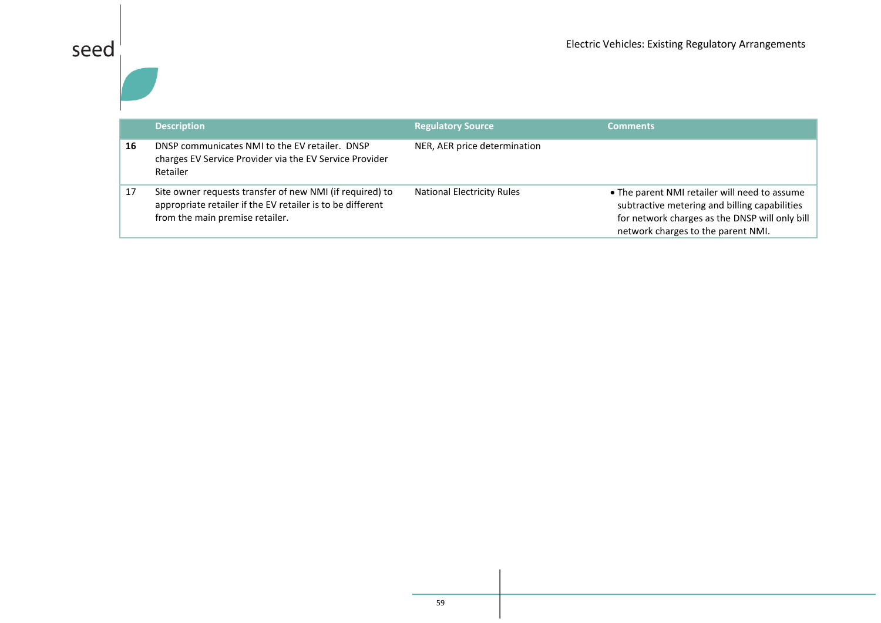|    | <b>Description</b>                                                                                                                                        | <b>Regulatory Source</b>          | <b>Comments</b>                                                                                                                                                                        |
|----|-----------------------------------------------------------------------------------------------------------------------------------------------------------|-----------------------------------|----------------------------------------------------------------------------------------------------------------------------------------------------------------------------------------|
| 16 | DNSP communicates NMI to the EV retailer. DNSP<br>charges EV Service Provider via the EV Service Provider<br>Retailer                                     | NER, AER price determination      |                                                                                                                                                                                        |
| 17 | Site owner requests transfer of new NMI (if required) to<br>appropriate retailer if the EV retailer is to be different<br>from the main premise retailer. | <b>National Electricity Rules</b> | • The parent NMI retailer will need to assume<br>subtractive metering and billing capabilities<br>for network charges as the DNSP will only bill<br>network charges to the parent NMI. |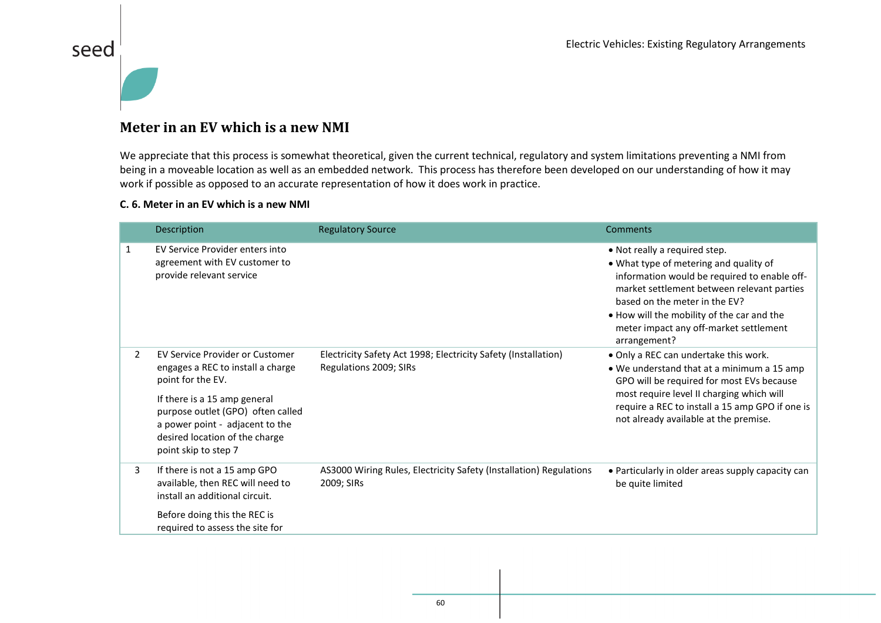#### **Meter in an EV which is a new NMI**

We appreciate that this process is somewhat theoretical, given the current technical, regulatory and system limitations preventing a NMI from being in a moveable location as well as an embedded network. This process has therefore been developed on our understanding of how it may work if possible as opposed to an accurate representation of how it does work in practice.

#### **C. 6. Meter in an EV which is a new NMI**

seed

|   | Description                                                                                                                                                                                                                                                        | <b>Regulatory Source</b>                                                                 | Comments                                                                                                                                                                                                                                                                                                       |
|---|--------------------------------------------------------------------------------------------------------------------------------------------------------------------------------------------------------------------------------------------------------------------|------------------------------------------------------------------------------------------|----------------------------------------------------------------------------------------------------------------------------------------------------------------------------------------------------------------------------------------------------------------------------------------------------------------|
| 1 | EV Service Provider enters into<br>agreement with EV customer to<br>provide relevant service                                                                                                                                                                       |                                                                                          | • Not really a required step.<br>• What type of metering and quality of<br>information would be required to enable off-<br>market settlement between relevant parties<br>based on the meter in the EV?<br>. How will the mobility of the car and the<br>meter impact any off-market settlement<br>arrangement? |
| 2 | <b>EV Service Provider or Customer</b><br>engages a REC to install a charge<br>point for the EV.<br>If there is a 15 amp general<br>purpose outlet (GPO) often called<br>a power point - adjacent to the<br>desired location of the charge<br>point skip to step 7 | Electricity Safety Act 1998; Electricity Safety (Installation)<br>Regulations 2009; SIRs | . Only a REC can undertake this work.<br>• We understand that at a minimum a 15 amp<br>GPO will be required for most EVs because<br>most require level II charging which will<br>require a REC to install a 15 amp GPO if one is<br>not already available at the premise.                                      |
| 3 | If there is not a 15 amp GPO<br>available, then REC will need to<br>install an additional circuit.<br>Before doing this the REC is<br>required to assess the site for                                                                                              | AS3000 Wiring Rules, Electricity Safety (Installation) Regulations<br>2009; SIRs         | • Particularly in older areas supply capacity can<br>be quite limited                                                                                                                                                                                                                                          |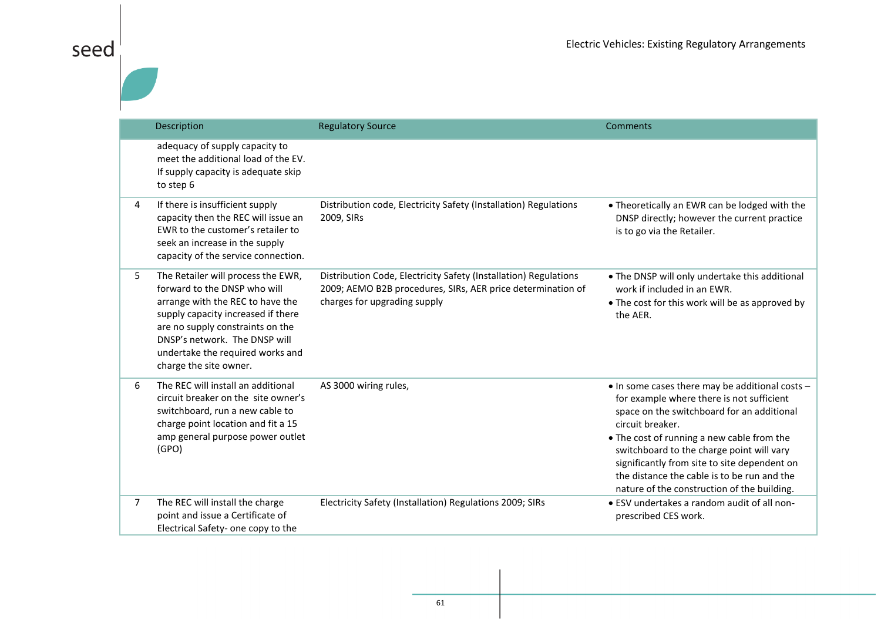|   | Description                                                                                                                                                                                                                                                                     | <b>Regulatory Source</b>                                                                                                                                        | Comments                                                                                                                                                                                                                                                                                                                                                                                                |
|---|---------------------------------------------------------------------------------------------------------------------------------------------------------------------------------------------------------------------------------------------------------------------------------|-----------------------------------------------------------------------------------------------------------------------------------------------------------------|---------------------------------------------------------------------------------------------------------------------------------------------------------------------------------------------------------------------------------------------------------------------------------------------------------------------------------------------------------------------------------------------------------|
|   | adequacy of supply capacity to<br>meet the additional load of the EV.<br>If supply capacity is adequate skip<br>to step 6                                                                                                                                                       |                                                                                                                                                                 |                                                                                                                                                                                                                                                                                                                                                                                                         |
| 4 | If there is insufficient supply<br>capacity then the REC will issue an<br>EWR to the customer's retailer to<br>seek an increase in the supply<br>capacity of the service connection.                                                                                            | Distribution code, Electricity Safety (Installation) Regulations<br>2009, SIRs                                                                                  | • Theoretically an EWR can be lodged with the<br>DNSP directly; however the current practice<br>is to go via the Retailer.                                                                                                                                                                                                                                                                              |
| 5 | The Retailer will process the EWR,<br>forward to the DNSP who will<br>arrange with the REC to have the<br>supply capacity increased if there<br>are no supply constraints on the<br>DNSP's network. The DNSP will<br>undertake the required works and<br>charge the site owner. | Distribution Code, Electricity Safety (Installation) Regulations<br>2009; AEMO B2B procedures, SIRs, AER price determination of<br>charges for upgrading supply | . The DNSP will only undertake this additional<br>work if included in an EWR.<br>• The cost for this work will be as approved by<br>the AER.                                                                                                                                                                                                                                                            |
| 6 | The REC will install an additional<br>circuit breaker on the site owner's<br>switchboard, run a new cable to<br>charge point location and fit a 15<br>amp general purpose power outlet<br>(GPO)                                                                                 | AS 3000 wiring rules,                                                                                                                                           | • In some cases there may be additional costs -<br>for example where there is not sufficient<br>space on the switchboard for an additional<br>circuit breaker.<br>• The cost of running a new cable from the<br>switchboard to the charge point will vary<br>significantly from site to site dependent on<br>the distance the cable is to be run and the<br>nature of the construction of the building. |
| 7 | The REC will install the charge<br>point and issue a Certificate of<br>Electrical Safety- one copy to the                                                                                                                                                                       | Electricity Safety (Installation) Regulations 2009; SIRs                                                                                                        | • ESV undertakes a random audit of all non-<br>prescribed CES work.                                                                                                                                                                                                                                                                                                                                     |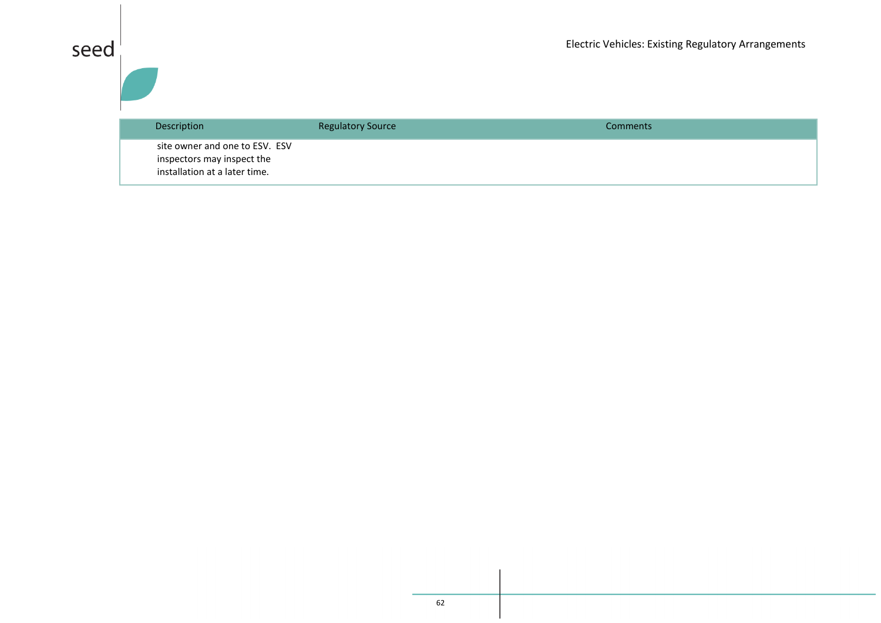| Description                                                                                   | <b>Regulatory Source</b> | Comments |
|-----------------------------------------------------------------------------------------------|--------------------------|----------|
| site owner and one to ESV. ESV<br>inspectors may inspect the<br>installation at a later time. |                          |          |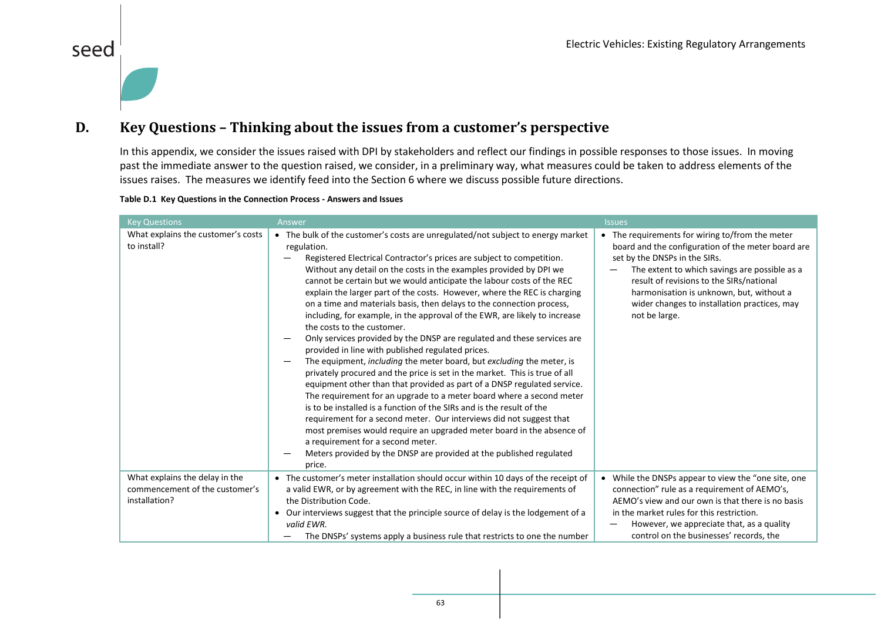#### **D. Key Questions – Thinking about the issues from a customer's perspective**

In this appendix, we consider the issues raised with DPI by stakeholders and reflect our findings in possible responses to those issues. In moving past the immediate answer to the question raised, we consider, in a preliminary way, what measures could be taken to address elements of the issues raises. The measures we identify feed into the Section [6](#page-30-2) where we discuss possible future directions.

#### **Table D.1 Key Questions in the Connection Process - Answers and Issues**

seed

<span id="page-63-0"></span>

| <b>Key Questions</b>                                                              | Answer                                                                                                                                                                                                                                                                                                                                                                                                                                                                                                                                                                                                                                                                                                                                                                                                                                                                                                                                                                                                                                                                                                                                                                                                                                                                                                                                                                           | <b>Issues</b>                                                                                                                                                                                                                                                                                                                                    |
|-----------------------------------------------------------------------------------|----------------------------------------------------------------------------------------------------------------------------------------------------------------------------------------------------------------------------------------------------------------------------------------------------------------------------------------------------------------------------------------------------------------------------------------------------------------------------------------------------------------------------------------------------------------------------------------------------------------------------------------------------------------------------------------------------------------------------------------------------------------------------------------------------------------------------------------------------------------------------------------------------------------------------------------------------------------------------------------------------------------------------------------------------------------------------------------------------------------------------------------------------------------------------------------------------------------------------------------------------------------------------------------------------------------------------------------------------------------------------------|--------------------------------------------------------------------------------------------------------------------------------------------------------------------------------------------------------------------------------------------------------------------------------------------------------------------------------------------------|
| What explains the customer's costs<br>to install?                                 | • The bulk of the customer's costs are unregulated/not subject to energy market<br>regulation.<br>Registered Electrical Contractor's prices are subject to competition.<br>Without any detail on the costs in the examples provided by DPI we<br>cannot be certain but we would anticipate the labour costs of the REC<br>explain the larger part of the costs. However, where the REC is charging<br>on a time and materials basis, then delays to the connection process,<br>including, for example, in the approval of the EWR, are likely to increase<br>the costs to the customer.<br>Only services provided by the DNSP are regulated and these services are<br>provided in line with published regulated prices.<br>The equipment, including the meter board, but excluding the meter, is<br>privately procured and the price is set in the market. This is true of all<br>equipment other than that provided as part of a DNSP regulated service.<br>The requirement for an upgrade to a meter board where a second meter<br>is to be installed is a function of the SIRs and is the result of the<br>requirement for a second meter. Our interviews did not suggest that<br>most premises would require an upgraded meter board in the absence of<br>a requirement for a second meter.<br>Meters provided by the DNSP are provided at the published regulated<br>price. | • The requirements for wiring to/from the meter<br>board and the configuration of the meter board are<br>set by the DNSPs in the SIRs.<br>The extent to which savings are possible as a<br>result of revisions to the SIRs/national<br>harmonisation is unknown, but, without a<br>wider changes to installation practices, may<br>not be large. |
| What explains the delay in the<br>commencement of the customer's<br>installation? | • The customer's meter installation should occur within 10 days of the receipt of<br>a valid EWR, or by agreement with the REC, in line with the requirements of<br>the Distribution Code.<br>• Our interviews suggest that the principle source of delay is the lodgement of a<br>valid EWR.<br>The DNSPs' systems apply a business rule that restricts to one the number                                                                                                                                                                                                                                                                                                                                                                                                                                                                                                                                                                                                                                                                                                                                                                                                                                                                                                                                                                                                       | • While the DNSPs appear to view the "one site, one<br>connection" rule as a requirement of AEMO's,<br>AEMO's view and our own is that there is no basis<br>in the market rules for this restriction.<br>However, we appreciate that, as a quality<br>control on the businesses' records, the                                                    |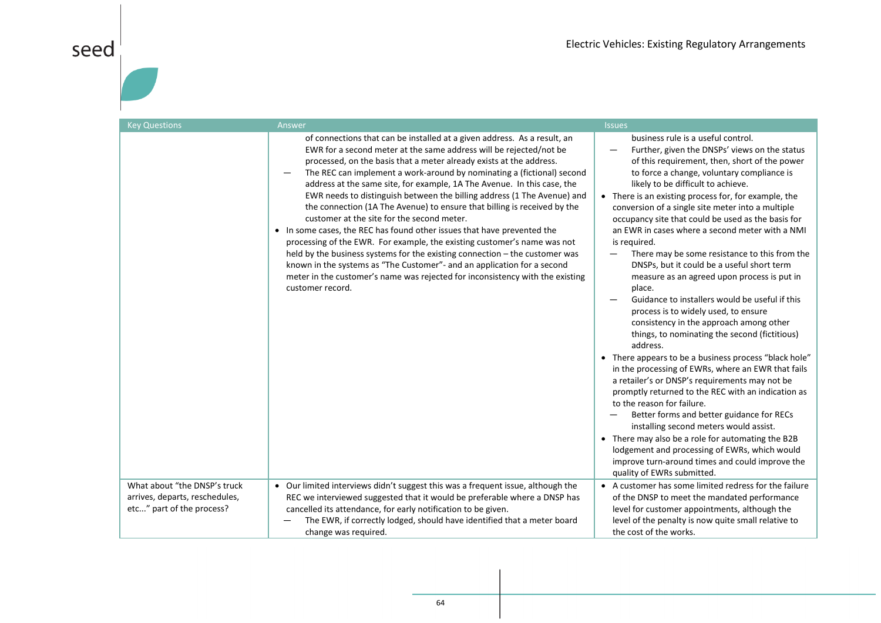| <b>Key Questions</b>                                           | Answer                                                                                                                                                                                                                                                                                                                                                                                                                                                                                                                                                                                                                                                                                                                                                                                                                                                                                                                                                                                                | <b>Issues</b>                                                                                                                                                                                                                                                                                                                                                                                                                                                                                                                                                                                                                                                                                                                                                                                                                                                                                                                                                                                                                                                                                                                                                                                                                                                                                                                                               |
|----------------------------------------------------------------|-------------------------------------------------------------------------------------------------------------------------------------------------------------------------------------------------------------------------------------------------------------------------------------------------------------------------------------------------------------------------------------------------------------------------------------------------------------------------------------------------------------------------------------------------------------------------------------------------------------------------------------------------------------------------------------------------------------------------------------------------------------------------------------------------------------------------------------------------------------------------------------------------------------------------------------------------------------------------------------------------------|-------------------------------------------------------------------------------------------------------------------------------------------------------------------------------------------------------------------------------------------------------------------------------------------------------------------------------------------------------------------------------------------------------------------------------------------------------------------------------------------------------------------------------------------------------------------------------------------------------------------------------------------------------------------------------------------------------------------------------------------------------------------------------------------------------------------------------------------------------------------------------------------------------------------------------------------------------------------------------------------------------------------------------------------------------------------------------------------------------------------------------------------------------------------------------------------------------------------------------------------------------------------------------------------------------------------------------------------------------------|
|                                                                | of connections that can be installed at a given address. As a result, an<br>EWR for a second meter at the same address will be rejected/not be<br>processed, on the basis that a meter already exists at the address.<br>The REC can implement a work-around by nominating a (fictional) second<br>address at the same site, for example, 1A The Avenue. In this case, the<br>EWR needs to distinguish between the billing address (1 The Avenue) and<br>the connection (1A The Avenue) to ensure that billing is received by the<br>customer at the site for the second meter.<br>• In some cases, the REC has found other issues that have prevented the<br>processing of the EWR. For example, the existing customer's name was not<br>held by the business systems for the existing connection - the customer was<br>known in the systems as "The Customer"- and an application for a second<br>meter in the customer's name was rejected for inconsistency with the existing<br>customer record. | business rule is a useful control.<br>Further, given the DNSPs' views on the status<br>of this requirement, then, short of the power<br>to force a change, voluntary compliance is<br>likely to be difficult to achieve.<br>• There is an existing process for, for example, the<br>conversion of a single site meter into a multiple<br>occupancy site that could be used as the basis for<br>an EWR in cases where a second meter with a NMI<br>is required.<br>There may be some resistance to this from the<br>DNSPs, but it could be a useful short term<br>measure as an agreed upon process is put in<br>place.<br>Guidance to installers would be useful if this<br>process is to widely used, to ensure<br>consistency in the approach among other<br>things, to nominating the second (fictitious)<br>address.<br>• There appears to be a business process "black hole"<br>in the processing of EWRs, where an EWR that fails<br>a retailer's or DNSP's requirements may not be<br>promptly returned to the REC with an indication as<br>to the reason for failure.<br>Better forms and better guidance for RECs<br>installing second meters would assist.<br>• There may also be a role for automating the B2B<br>lodgement and processing of EWRs, which would<br>improve turn-around times and could improve the<br>quality of EWRs submitted. |
| What about "the DNSP's truck<br>arrives, departs, reschedules, | • Our limited interviews didn't suggest this was a frequent issue, although the<br>REC we interviewed suggested that it would be preferable where a DNSP has                                                                                                                                                                                                                                                                                                                                                                                                                                                                                                                                                                                                                                                                                                                                                                                                                                          | • A customer has some limited redress for the failure<br>of the DNSP to meet the mandated performance                                                                                                                                                                                                                                                                                                                                                                                                                                                                                                                                                                                                                                                                                                                                                                                                                                                                                                                                                                                                                                                                                                                                                                                                                                                       |
| etc" part of the process?                                      | cancelled its attendance, for early notification to be given.                                                                                                                                                                                                                                                                                                                                                                                                                                                                                                                                                                                                                                                                                                                                                                                                                                                                                                                                         | level for customer appointments, although the                                                                                                                                                                                                                                                                                                                                                                                                                                                                                                                                                                                                                                                                                                                                                                                                                                                                                                                                                                                                                                                                                                                                                                                                                                                                                                               |
|                                                                | The EWR, if correctly lodged, should have identified that a meter board                                                                                                                                                                                                                                                                                                                                                                                                                                                                                                                                                                                                                                                                                                                                                                                                                                                                                                                               | level of the penalty is now quite small relative to                                                                                                                                                                                                                                                                                                                                                                                                                                                                                                                                                                                                                                                                                                                                                                                                                                                                                                                                                                                                                                                                                                                                                                                                                                                                                                         |
|                                                                | change was required.                                                                                                                                                                                                                                                                                                                                                                                                                                                                                                                                                                                                                                                                                                                                                                                                                                                                                                                                                                                  | the cost of the works.                                                                                                                                                                                                                                                                                                                                                                                                                                                                                                                                                                                                                                                                                                                                                                                                                                                                                                                                                                                                                                                                                                                                                                                                                                                                                                                                      |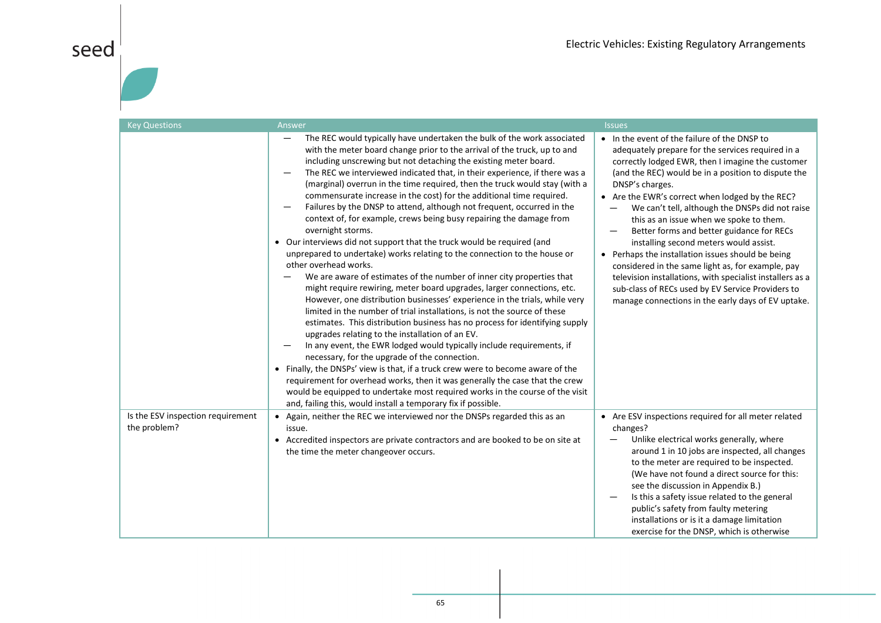# $\left| \begin{array}{c} 1 \ 1 \ 1 \end{array} \right|$

| <b>Key Questions</b>                              | Answer                                                                                                                                                                                                                                                                                                                                                                                                                                                                                                                                                                                                                                                                                                                                                                                                                                                                                                                                                                                                                                                                                                                                                                                                                                                                                                                                                                                                                                                                                                                                                                                                                                                                                                                               | <b>Issues</b>                                                                                                                                                                                                                                                                                                                                                                                                                                                                                                                                                                                                                                                                                                                                              |
|---------------------------------------------------|--------------------------------------------------------------------------------------------------------------------------------------------------------------------------------------------------------------------------------------------------------------------------------------------------------------------------------------------------------------------------------------------------------------------------------------------------------------------------------------------------------------------------------------------------------------------------------------------------------------------------------------------------------------------------------------------------------------------------------------------------------------------------------------------------------------------------------------------------------------------------------------------------------------------------------------------------------------------------------------------------------------------------------------------------------------------------------------------------------------------------------------------------------------------------------------------------------------------------------------------------------------------------------------------------------------------------------------------------------------------------------------------------------------------------------------------------------------------------------------------------------------------------------------------------------------------------------------------------------------------------------------------------------------------------------------------------------------------------------------|------------------------------------------------------------------------------------------------------------------------------------------------------------------------------------------------------------------------------------------------------------------------------------------------------------------------------------------------------------------------------------------------------------------------------------------------------------------------------------------------------------------------------------------------------------------------------------------------------------------------------------------------------------------------------------------------------------------------------------------------------------|
|                                                   | The REC would typically have undertaken the bulk of the work associated<br>$\qquad \qquad -$<br>with the meter board change prior to the arrival of the truck, up to and<br>including unscrewing but not detaching the existing meter board.<br>The REC we interviewed indicated that, in their experience, if there was a<br>(marginal) overrun in the time required, then the truck would stay (with a<br>commensurate increase in the cost) for the additional time required.<br>Failures by the DNSP to attend, although not frequent, occurred in the<br>context of, for example, crews being busy repairing the damage from<br>overnight storms.<br>• Our interviews did not support that the truck would be required (and<br>unprepared to undertake) works relating to the connection to the house or<br>other overhead works.<br>We are aware of estimates of the number of inner city properties that<br>might require rewiring, meter board upgrades, larger connections, etc.<br>However, one distribution businesses' experience in the trials, while very<br>limited in the number of trial installations, is not the source of these<br>estimates. This distribution business has no process for identifying supply<br>upgrades relating to the installation of an EV.<br>In any event, the EWR lodged would typically include requirements, if<br>necessary, for the upgrade of the connection.<br>• Finally, the DNSPs' view is that, if a truck crew were to become aware of the<br>requirement for overhead works, then it was generally the case that the crew<br>would be equipped to undertake most required works in the course of the visit<br>and, failing this, would install a temporary fix if possible. | • In the event of the failure of the DNSP to<br>adequately prepare for the services required in a<br>correctly lodged EWR, then I imagine the customer<br>(and the REC) would be in a position to dispute the<br>DNSP's charges.<br>• Are the EWR's correct when lodged by the REC?<br>We can't tell, although the DNSPs did not raise<br>this as an issue when we spoke to them.<br>Better forms and better guidance for RECs<br>installing second meters would assist.<br>• Perhaps the installation issues should be being<br>considered in the same light as, for example, pay<br>television installations, with specialist installers as a<br>sub-class of RECs used by EV Service Providers to<br>manage connections in the early days of EV uptake. |
| Is the ESV inspection requirement<br>the problem? | • Again, neither the REC we interviewed nor the DNSPs regarded this as an<br>issue.<br>• Accredited inspectors are private contractors and are booked to be on site at<br>the time the meter changeover occurs.                                                                                                                                                                                                                                                                                                                                                                                                                                                                                                                                                                                                                                                                                                                                                                                                                                                                                                                                                                                                                                                                                                                                                                                                                                                                                                                                                                                                                                                                                                                      | • Are ESV inspections required for all meter related<br>changes?<br>Unlike electrical works generally, where<br>around 1 in 10 jobs are inspected, all changes<br>to the meter are required to be inspected.<br>(We have not found a direct source for this:<br>see the discussion in Appendix B.)<br>Is this a safety issue related to the general<br>public's safety from faulty metering<br>installations or is it a damage limitation<br>exercise for the DNSP, which is otherwise                                                                                                                                                                                                                                                                     |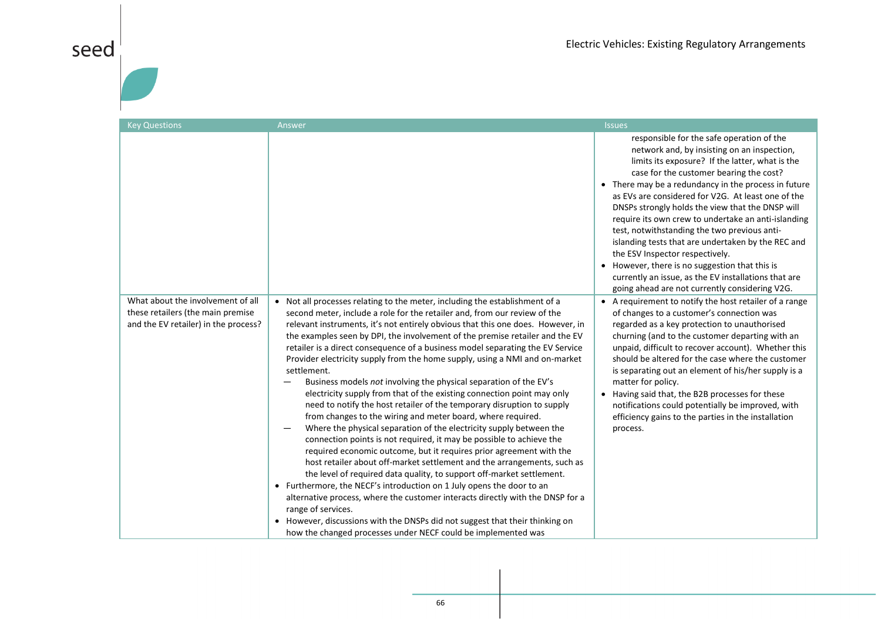# seed $\frac{1}{1}$

| <b>Key Questions</b>                                                                                           | Answer                                                                                                                                                                                                                                                                                                                                                                                                                                                                                                                                                                                                                                                                                                                                                                                                                                                                                                                                                                                                                                                                                                                                                                                                                                                                                                                                                                                                                                                                                                          | <b>Issues</b>                                                                                                                                                                                                                                                                                                                                                                                                                                                                                                                                                                                                                                                                                                        |
|----------------------------------------------------------------------------------------------------------------|-----------------------------------------------------------------------------------------------------------------------------------------------------------------------------------------------------------------------------------------------------------------------------------------------------------------------------------------------------------------------------------------------------------------------------------------------------------------------------------------------------------------------------------------------------------------------------------------------------------------------------------------------------------------------------------------------------------------------------------------------------------------------------------------------------------------------------------------------------------------------------------------------------------------------------------------------------------------------------------------------------------------------------------------------------------------------------------------------------------------------------------------------------------------------------------------------------------------------------------------------------------------------------------------------------------------------------------------------------------------------------------------------------------------------------------------------------------------------------------------------------------------|----------------------------------------------------------------------------------------------------------------------------------------------------------------------------------------------------------------------------------------------------------------------------------------------------------------------------------------------------------------------------------------------------------------------------------------------------------------------------------------------------------------------------------------------------------------------------------------------------------------------------------------------------------------------------------------------------------------------|
|                                                                                                                |                                                                                                                                                                                                                                                                                                                                                                                                                                                                                                                                                                                                                                                                                                                                                                                                                                                                                                                                                                                                                                                                                                                                                                                                                                                                                                                                                                                                                                                                                                                 | responsible for the safe operation of the<br>network and, by insisting on an inspection,<br>limits its exposure? If the latter, what is the<br>case for the customer bearing the cost?<br>• There may be a redundancy in the process in future<br>as EVs are considered for V2G. At least one of the<br>DNSPs strongly holds the view that the DNSP will<br>require its own crew to undertake an anti-islanding<br>test, notwithstanding the two previous anti-<br>islanding tests that are undertaken by the REC and<br>the ESV Inspector respectively.<br>• However, there is no suggestion that this is<br>currently an issue, as the EV installations that are<br>going ahead are not currently considering V2G. |
| What about the involvement of all<br>these retailers (the main premise<br>and the EV retailer) in the process? | • Not all processes relating to the meter, including the establishment of a<br>second meter, include a role for the retailer and, from our review of the<br>relevant instruments, it's not entirely obvious that this one does. However, in<br>the examples seen by DPI, the involvement of the premise retailer and the EV<br>retailer is a direct consequence of a business model separating the EV Service<br>Provider electricity supply from the home supply, using a NMI and on-market<br>settlement.<br>Business models not involving the physical separation of the EV's<br>electricity supply from that of the existing connection point may only<br>need to notify the host retailer of the temporary disruption to supply<br>from changes to the wiring and meter board, where required.<br>Where the physical separation of the electricity supply between the<br>connection points is not required, it may be possible to achieve the<br>required economic outcome, but it requires prior agreement with the<br>host retailer about off-market settlement and the arrangements, such as<br>the level of required data quality, to support off-market settlement.<br>• Furthermore, the NECF's introduction on 1 July opens the door to an<br>alternative process, where the customer interacts directly with the DNSP for a<br>range of services.<br>• However, discussions with the DNSPs did not suggest that their thinking on<br>how the changed processes under NECF could be implemented was | • A requirement to notify the host retailer of a range<br>of changes to a customer's connection was<br>regarded as a key protection to unauthorised<br>churning (and to the customer departing with an<br>unpaid, difficult to recover account). Whether this<br>should be altered for the case where the customer<br>is separating out an element of his/her supply is a<br>matter for policy.<br>• Having said that, the B2B processes for these<br>notifications could potentially be improved, with<br>efficiency gains to the parties in the installation<br>process.                                                                                                                                           |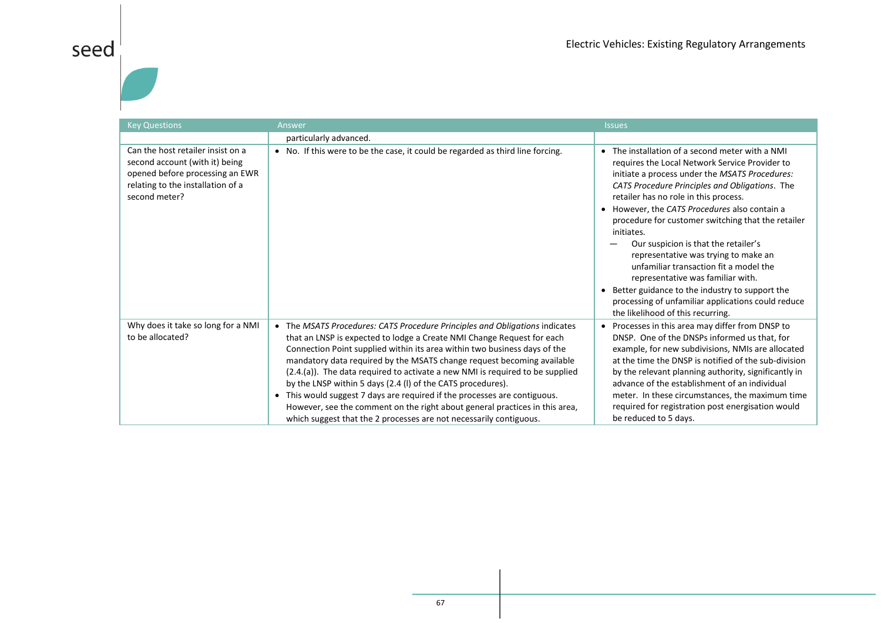| <b>Key Questions</b>                                                                                                                                         | Answer                                                                                                                                                                                                                                                                                                                                                                                                                                                                                                                                                                                                                                                                                         | <b>Issues</b>                                                                                                                                                                                                                                                                                                                                                                                                                                                                                                                                                                                                                                                                     |
|--------------------------------------------------------------------------------------------------------------------------------------------------------------|------------------------------------------------------------------------------------------------------------------------------------------------------------------------------------------------------------------------------------------------------------------------------------------------------------------------------------------------------------------------------------------------------------------------------------------------------------------------------------------------------------------------------------------------------------------------------------------------------------------------------------------------------------------------------------------------|-----------------------------------------------------------------------------------------------------------------------------------------------------------------------------------------------------------------------------------------------------------------------------------------------------------------------------------------------------------------------------------------------------------------------------------------------------------------------------------------------------------------------------------------------------------------------------------------------------------------------------------------------------------------------------------|
|                                                                                                                                                              | particularly advanced.                                                                                                                                                                                                                                                                                                                                                                                                                                                                                                                                                                                                                                                                         |                                                                                                                                                                                                                                                                                                                                                                                                                                                                                                                                                                                                                                                                                   |
| Can the host retailer insist on a<br>second account (with it) being<br>opened before processing an EWR<br>relating to the installation of a<br>second meter? | • No. If this were to be the case, it could be regarded as third line forcing.                                                                                                                                                                                                                                                                                                                                                                                                                                                                                                                                                                                                                 | • The installation of a second meter with a NMI<br>requires the Local Network Service Provider to<br>initiate a process under the MSATS Procedures:<br>CATS Procedure Principles and Obligations. The<br>retailer has no role in this process.<br>• However, the CATS Procedures also contain a<br>procedure for customer switching that the retailer<br>initiates.<br>Our suspicion is that the retailer's<br>representative was trying to make an<br>unfamiliar transaction fit a model the<br>representative was familiar with.<br>• Better guidance to the industry to support the<br>processing of unfamiliar applications could reduce<br>the likelihood of this recurring. |
| Why does it take so long for a NMI<br>to be allocated?                                                                                                       | • The MSATS Procedures: CATS Procedure Principles and Obligations indicates<br>that an LNSP is expected to lodge a Create NMI Change Request for each<br>Connection Point supplied within its area within two business days of the<br>mandatory data required by the MSATS change request becoming available<br>(2.4.(a)). The data required to activate a new NMI is required to be supplied<br>by the LNSP within 5 days (2.4 (I) of the CATS procedures).<br>• This would suggest 7 days are required if the processes are contiguous.<br>However, see the comment on the right about general practices in this area,<br>which suggest that the 2 processes are not necessarily contiguous. | • Processes in this area may differ from DNSP to<br>DNSP. One of the DNSPs informed us that, for<br>example, for new subdivisions, NMIs are allocated<br>at the time the DNSP is notified of the sub-division<br>by the relevant planning authority, significantly in<br>advance of the establishment of an individual<br>meter. In these circumstances, the maximum time<br>required for registration post energisation would<br>be reduced to 5 days.                                                                                                                                                                                                                           |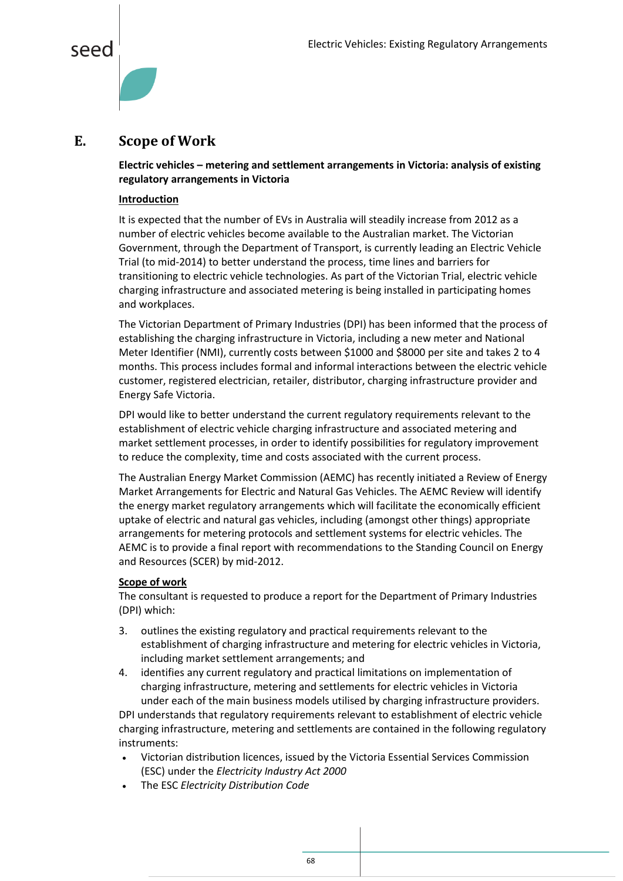

#### <span id="page-68-0"></span>**E. Scope of Work**

**Electric vehicles – metering and settlement arrangements in Victoria: analysis of existing regulatory arrangements in Victoria**

#### **Introduction**

It is expected that the number of EVs in Australia will steadily increase from 2012 as a number of electric vehicles become available to the Australian market. The Victorian Government, through the Department of Transport, is currently leading an Electric Vehicle Trial (to mid-2014) to better understand the process, time lines and barriers for transitioning to electric vehicle technologies. As part of the Victorian Trial, electric vehicle charging infrastructure and associated metering is being installed in participating homes and workplaces.

The Victorian Department of Primary Industries (DPI) has been informed that the process of establishing the charging infrastructure in Victoria, including a new meter and National Meter Identifier (NMI), currently costs between \$1000 and \$8000 per site and takes 2 to 4 months. This process includes formal and informal interactions between the electric vehicle customer, registered electrician, retailer, distributor, charging infrastructure provider and Energy Safe Victoria.

DPI would like to better understand the current regulatory requirements relevant to the establishment of electric vehicle charging infrastructure and associated metering and market settlement processes, in order to identify possibilities for regulatory improvement to reduce the complexity, time and costs associated with the current process.

The Australian Energy Market Commission (AEMC) has recently initiated a Review of Energy Market Arrangements for Electric and Natural Gas Vehicles. The AEMC Review will identify the energy market regulatory arrangements which will facilitate the economically efficient uptake of electric and natural gas vehicles, including (amongst other things) appropriate arrangements for metering protocols and settlement systems for electric vehicles. The AEMC is to provide a final report with recommendations to the Standing Council on Energy and Resources (SCER) by mid-2012.

#### **Scope of work**

The consultant is requested to produce a report for the Department of Primary Industries (DPI) which:

- 3. outlines the existing regulatory and practical requirements relevant to the establishment of charging infrastructure and metering for electric vehicles in Victoria, including market settlement arrangements; and
- 4. identifies any current regulatory and practical limitations on implementation of charging infrastructure, metering and settlements for electric vehicles in Victoria under each of the main business models utilised by charging infrastructure providers.

DPI understands that regulatory requirements relevant to establishment of electric vehicle charging infrastructure, metering and settlements are contained in the following regulatory instruments:

- Victorian distribution licences, issued by the Victoria Essential Services Commission (ESC) under the *Electricity Industry Act 2000*
- The ESC *Electricity Distribution Code*

68